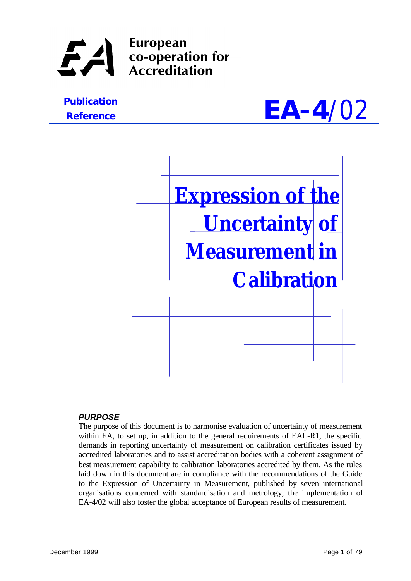## **European** co-operation for **Accreditation**

# *Reference*





### *PURPOSE*

The purpose of this document is to harmonise evaluation of uncertainty of measurement within EA, to set up, in addition to the general requirements of EAL-R1, the specific demands in reporting uncertainty of measurement on calibration certificates issued by accredited laboratories and to assist accreditation bodies with a coherent assignment of best measurement capability to calibration laboratories accredited by them. As the rules laid down in this document are in compliance with the recommendations of the Guide to the Expression of Uncertainty in Measurement, published by seven international organisations concerned with standardisation and metrology, the implementation of EA-4/02 will also foster the global acceptance of European results of measurement.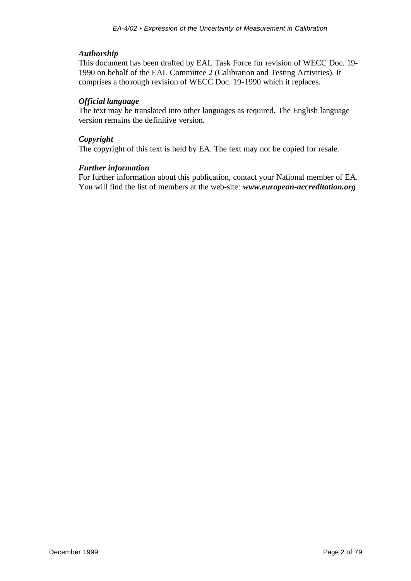#### *Authorship*

This document has been drafted by EAL Task Force for revision of WECC Doc. 19- 1990 on behalf of the EAL Committee 2 (Calibration and Testing Activities). It comprises a thorough revision of WECC Doc. 19-1990 which it replaces.

#### *Official language*

The text may be translated into other languages as required. The English language version remains the definitive version.

#### *Copyright*

The copyright of this text is held by EA. The text may not be copied for resale.

#### *Further information*

For further information about this publication, contact your National member of EA. You will find the list of members at the web-site: *www.european-accreditation.org*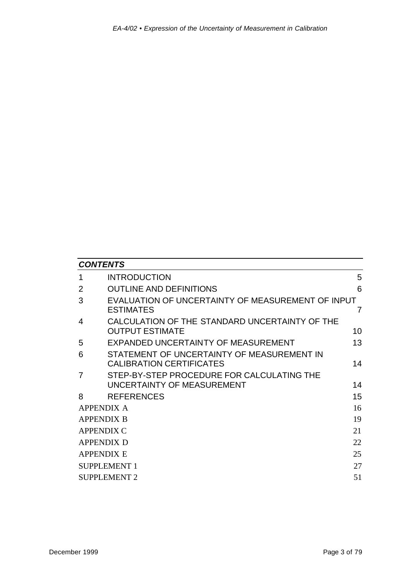| <b>CONTENTS</b>           |                                                                               |    |  |  |  |
|---------------------------|-------------------------------------------------------------------------------|----|--|--|--|
| 1                         | <b>INTRODUCTION</b>                                                           | 5  |  |  |  |
| 2                         | <b>OUTLINE AND DEFINITIONS</b>                                                | 6  |  |  |  |
| 3                         | EVALUATION OF UNCERTAINTY OF MEASUREMENT OF INPUT<br><b>ESTIMATES</b>         | 7  |  |  |  |
| 4                         | CALCULATION OF THE STANDARD UNCERTAINTY OF THE<br><b>OUTPUT ESTIMATE</b>      | 10 |  |  |  |
| 5                         | EXPANDED UNCERTAINTY OF MEASUREMENT                                           | 13 |  |  |  |
| 6                         | STATEMENT OF UNCERTAINTY OF MEASUREMENT IN<br><b>CALIBRATION CERTIFICATES</b> | 14 |  |  |  |
| 7                         | STEP-BY-STEP PROCEDURE FOR CALCULATING THE                                    |    |  |  |  |
|                           | UNCERTAINTY OF MEASUREMENT                                                    | 14 |  |  |  |
| 8                         | <b>REFERENCES</b>                                                             | 15 |  |  |  |
|                           | <b>APPENDIX A</b>                                                             | 16 |  |  |  |
| <b>APPENDIX B</b>         |                                                                               | 19 |  |  |  |
| <b>APPENDIX C</b>         |                                                                               | 21 |  |  |  |
|                           | <b>APPENDIX D</b>                                                             | 22 |  |  |  |
|                           | 25<br><b>APPENDIX E</b>                                                       |    |  |  |  |
| 27<br><b>SUPPLEMENT 1</b> |                                                                               |    |  |  |  |
|                           | 51<br><b>SUPPLEMENT 2</b>                                                     |    |  |  |  |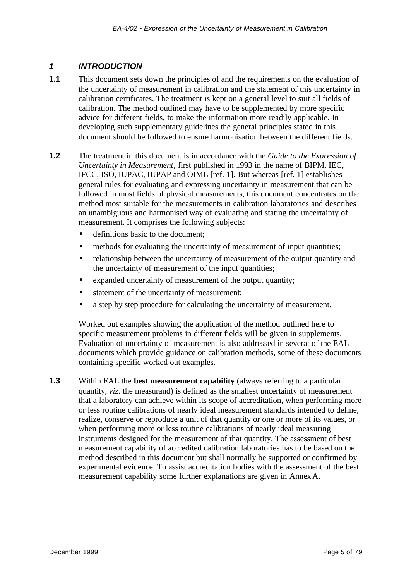### *1 INTRODUCTION*

- **1.1** This document sets down the principles of and the requirements on the evaluation of the uncertainty of measurement in calibration and the statement of this uncertainty in calibration certificates. The treatment is kept on a general level to suit all fields of calibration. The method outlined may have to be supplemented by more specific advice for different fields, to make the information more readily applicable. In developing such supplementary guidelines the general principles stated in this document should be followed to ensure harmonisation between the different fields.
- **1.2** The treatment in this document is in accordance with the *Guide to the Expression of Uncertainty in Measurement*, first published in 1993 in the name of BIPM, IEC, IFCC, ISO, IUPAC, IUPAP and OIML [ref. 1]. But whereas [ref. 1] establishes general rules for evaluating and expressing uncertainty in measurement that can be followed in most fields of physical measurements, this document concentrates on the method most suitable for the measurements in calibration laboratories and describes an unambiguous and harmonised way of evaluating and stating the uncertainty of measurement. It comprises the following subjects:
	- definitions basic to the document:
	- methods for evaluating the uncertainty of measurement of input quantities;
	- relationship between the uncertainty of measurement of the output quantity and the uncertainty of measurement of the input quantities;
	- expanded uncertainty of measurement of the output quantity;
	- statement of the uncertainty of measurement;
	- a step by step procedure for calculating the uncertainty of measurement.

Worked out examples showing the application of the method outlined here to specific measurement problems in different fields will be given in supplements. Evaluation of uncertainty of measurement is also addressed in several of the EAL documents which provide guidance on calibration methods, some of these documents containing specific worked out examples.

**1.3** Within EAL the **best measurement capability** (always referring to a particular quantity, *viz*. the measurand) is defined as the smallest uncertainty of measurement that a laboratory can achieve within its scope of accreditation, when performing more or less routine calibrations of nearly ideal measurement standards intended to define, realize, conserve or reproduce a unit of that quantity or one or more of its values, or when performing more or less routine calibrations of nearly ideal measuring instruments designed for the measurement of that quantity. The assessment of best measurement capability of accredited calibration laboratories has to be based on the method described in this document but shall normally be supported or confirmed by experimental evidence. To assist accreditation bodies with the assessment of the best measurement capability some further explanations are given in Annex A.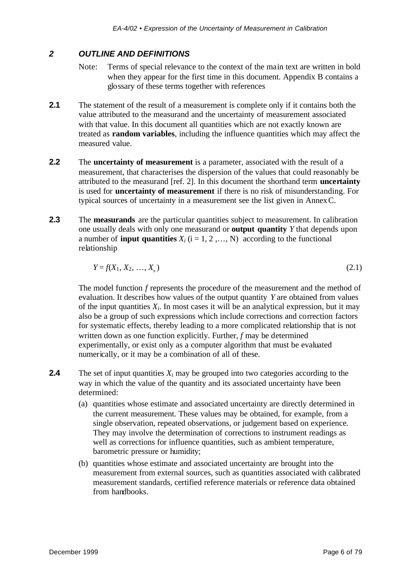#### *2 OUTLINE AND DEFINITIONS*

- Note: Terms of special relevance to the context of the main text are written in bold when they appear for the first time in this document. Appendix B contains a glossary of these terms together with references
- **2.1** The statement of the result of a measurement is complete only if it contains both the value attributed to the measurand and the uncertainty of measurement associated with that value. In this document all quantities which are not exactly known are treated as **random variables**, including the influence quantities which may affect the measured value.
- **2.2** The **uncertainty of measurement** is a parameter, associated with the result of a measurement, that characterises the dispersion of the values that could reasonably be attributed to the measurand [ref. 2]. In this document the shorthand term **uncertainty** is used for **uncertainty of measurement** if there is no risk of misunderstanding. For typical sources of uncertainty in a measurement see the list given in Annex C.
- **2.3** The **measurands** are the particular quantities subject to measurement. In calibration one usually deals with only one measurand or **output quantity** *Y* that depends upon a number of **input quantities**  $X_i$  ( $i = 1, 2, ..., N$ ) according to the functional relationship

$$
Y = f(X_1, X_2, \dots, X_n) \tag{2.1}
$$

The model function *f* represents the procedure of the measurement and the method of evaluation. It describes how values of the output quantity *Y* are obtained from values of the input quantities  $X_i$ . In most cases it will be an analytical expression, but it may also be a group of such expressions which include corrections and correction factors for systematic effects, thereby leading to a more complicated relationship that is not written down as one function explicitly. Further, *f* may be determined experimentally, or exist only as a computer algorithm that must be evaluated numerically, or it may be a combination of all of these.

- **2.4** The set of input quantities  $X_i$  may be grouped into two categories according to the way in which the value of the quantity and its associated uncertainty have been determined:
	- (a) quantities whose estimate and associated uncertainty are directly determined in the current measurement. These values may be obtained, for example, from a single observation, repeated observations, or judgement based on experience. They may involve the determination of corrections to instrument readings as well as corrections for influence quantities, such as ambient temperature, barometric pressure or humidity;
	- (b) quantities whose estimate and associated uncertainty are brought into the measurement from external sources, such as quantities associated with calibrated measurement standards, certified reference materials or reference data obtained from handbooks.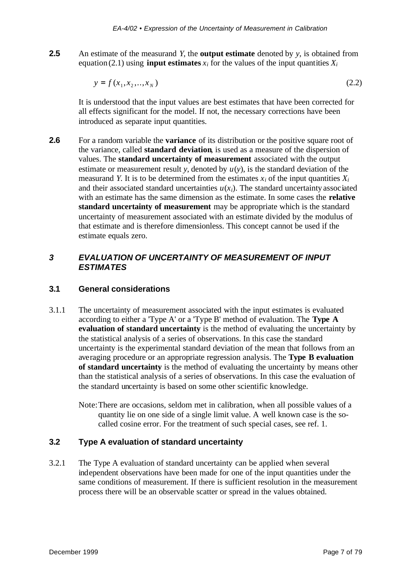**2.5** An estimate of the measurand *Y*, the **output estimate** denoted by *y*, is obtained from equation (2.1) using **input estimates**  $x_i$  for the values of the input quantities  $X_i$ 

$$
y = f(x_1, x_2, \dots, x_N)
$$
 (2.2)

It is understood that the input values are best estimates that have been corrected for all effects significant for the model. If not, the necessary corrections have been introduced as separate input quantities.

**2.6** For a random variable the **variance** of its distribution or the positive square root of the variance, called **standard deviation**, is used as a measure of the dispersion of values. The **standard uncertainty of measurement** associated with the output estimate or measurement result *y*, denoted by  $u(y)$ , is the standard deviation of the measurand *Y*. It is to be determined from the estimates  $x_i$  of the input quantities  $X_i$ and their associated standard uncertainties  $u(x_i)$ . The standard uncertainty associated with an estimate has the same dimension as the estimate. In some cases the **relative standard uncertainty of measurement** may be appropriate which is the standard uncertainty of measurement associated with an estimate divided by the modulus of that estimate and is therefore dimensionless. This concept cannot be used if the estimate equals zero.

### *3 EVALUATION OF UNCERTAINTY OF MEASUREMENT OF INPUT ESTIMATES*

### **3.1 General considerations**

- 3.1.1 The uncertainty of measurement associated with the input estimates is evaluated according to either a 'Type A' or a 'Type B' method of evaluation. The **Type A evaluation of standard uncertainty** is the method of evaluating the uncertainty by the statistical analysis of a series of observations. In this case the standard uncertainty is the experimental standard deviation of the mean that follows from an averaging procedure or an appropriate regression analysis. The **Type B evaluation of standard uncertainty** is the method of evaluating the uncertainty by means other than the statistical analysis of a series of observations. In this case the evaluation of the standard uncertainty is based on some other scientific knowledge.
	- Note:There are occasions, seldom met in calibration, when all possible values of a quantity lie on one side of a single limit value. A well known case is the socalled cosine error. For the treatment of such special cases, see ref. 1.

### **3.2 Type A evaluation of standard uncertainty**

3.2.1 The Type A evaluation of standard uncertainty can be applied when several independent observations have been made for one of the input quantities under the same conditions of measurement. If there is sufficient resolution in the measurement process there will be an observable scatter or spread in the values obtained.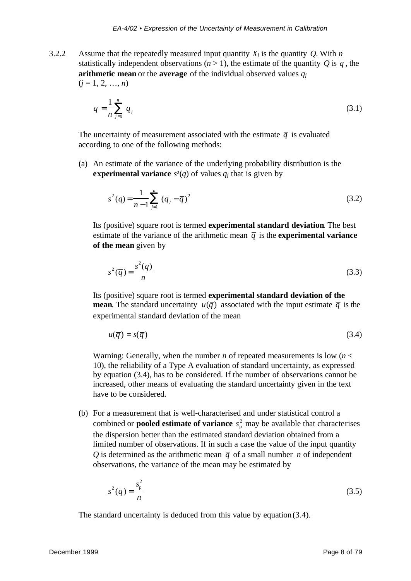3.2.2 Assume that the repeatedly measured input quantity  $X_i$  is the quantity  $Q$ . With  $n$ statistically independent observations ( $n > 1$ ), the estimate of the quantity *Q* is  $\bar{q}$ , the **arithmetic mean** or the **average** of the individual observed values *q<sup>j</sup>*  $(j = 1, 2, ..., n)$ 

$$
\overline{q} = \frac{1}{n} \sum_{j=1}^{n} q_j \tag{3.1}
$$

The uncertainty of measurement associated with the estimate  $\overline{q}$  is evaluated according to one of the following methods:

(a) An estimate of the variance of the underlying probability distribution is the **experimental variance**  $s^2(q)$  of values  $q_i$  that is given by

$$
s^{2}(q) = \frac{1}{n-1} \sum_{j=1}^{n} (q_{j} - \overline{q})^{2}
$$
 (3.2)

Its (positive) square root is termed **experimental standard deviation**. The best estimate of the variance of the arithmetic mean  $\overline{q}$  is the **experimental variance of the mean** given by

$$
s^2(\overline{q}) = \frac{s^2(q)}{n} \tag{3.3}
$$

Its (positive) square root is termed **experimental standard deviation of the mean**. The standard uncertainty  $u(\bar{q})$  associated with the input estimate  $\bar{q}$  is the experimental standard deviation of the mean

$$
u(\overline{q}) = s(\overline{q}) \tag{3.4}
$$

Warning: Generally, when the number *n* of repeated measurements is low (*n* < 10), the reliability of a Type A evaluation of standard uncertainty, as expressed by equation (3.4), has to be considered. If the number of observations cannot be increased, other means of evaluating the standard uncertainty given in the text have to be considered.

(b) For a measurement that is well-characterised and under statistical control a combined or **pooled estimate of variance**  $s_p^2$  may be available that characterises the dispersion better than the estimated standard deviation obtained from a limited number of observations. If in such a case the value of the input quantity *Q* is determined as the arithmetic mean  $\bar{q}$  of a small number *n* of independent observations, the variance of the mean may be estimated by

$$
s^2(\overline{q}) = \frac{s_p^2}{n} \tag{3.5}
$$

The standard uncertainty is deduced from this value by equation (3.4).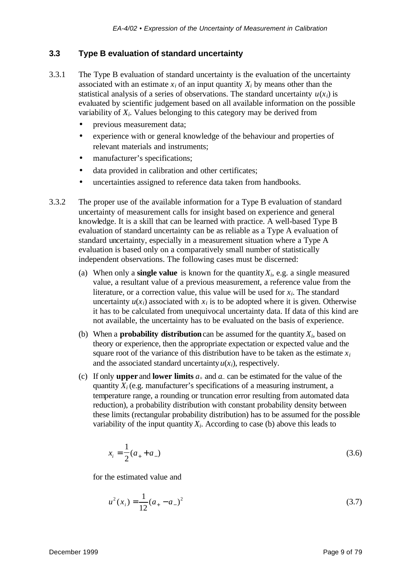#### **3.3 Type B evaluation of standard uncertainty**

- 3.3.1 The Type B evaluation of standard uncertainty is the evaluation of the uncertainty associated with an estimate  $x_i$  of an input quantity  $X_i$  by means other than the statistical analysis of a series of observations. The standard uncertainty  $u(x_i)$  is evaluated by scientific judgement based on all available information on the possible variability of *Xi*. Values belonging to this category may be derived from
	- previous measurement data;
	- experience with or general knowledge of the behaviour and properties of relevant materials and instruments;
	- manufacturer's specifications;
	- data provided in calibration and other certificates;
	- uncertainties assigned to reference data taken from handbooks.
- 3.3.2 The proper use of the available information for a Type B evaluation of standard uncertainty of measurement calls for insight based on experience and general knowledge. It is a skill that can be learned with practice. A well-based Type B evaluation of standard uncertainty can be as reliable as a Type A evaluation of standard uncertainty, especially in a measurement situation where a Type A evaluation is based only on a comparatively small number of statistically independent observations. The following cases must be discerned:
	- (a) When only a **single value** is known for the quantity  $X_i$ , e.g. a single measured value, a resultant value of a previous measurement, a reference value from the literature, or a correction value, this value will be used for *xi*. The standard uncertainty  $u(x_i)$  associated with  $x_i$  is to be adopted where it is given. Otherwise it has to be calculated from unequivocal uncertainty data. If data of this kind are not available, the uncertainty has to be evaluated on the basis of experience.
	- (b) When a **probability distribution** can be assumed for the quantity  $X_i$ , based on theory or experience, then the appropriate expectation or expected value and the square root of the variance of this distribution have to be taken as the estimate  $x_i$ and the associated standard uncertainty  $u(x_i)$ , respectively.
	- (c) If only **upper** and **lower limits**  $a_+$  and  $a_-$  can be estimated for the value of the quantity  $X_i$  (e.g. manufacturer's specifications of a measuring instrument, a temperature range, a rounding or truncation error resulting from automated data reduction), a probability distribution with constant probability density between these limits (rectangular probability distribution) has to be assumed for the possible variability of the input quantity  $X_i$ . According to case (b) above this leads to

$$
x_i = \frac{1}{2}(a_+ + a_-) \tag{3.6}
$$

for the estimated value and

$$
u^{2}(x_{i}) = \frac{1}{12}(a_{+} - a_{-})^{2}
$$
\n(3.7)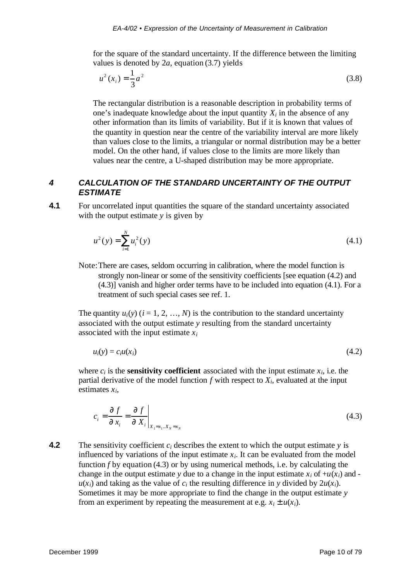for the square of the standard uncertainty. If the difference between the limiting values is denoted by 2*a*, equation (3.7) yields

$$
u^2(x_i) = \frac{1}{3}a^2
$$
 (3.8)

The rectangular distribution is a reasonable description in probability terms of one's inadequate knowledge about the input quantity  $X_i$  in the absence of any other information than its limits of variability. But if it is known that values of the quantity in question near the centre of the variability interval are more likely than values close to the limits, a triangular or normal distribution may be a better model. On the other hand, if values close to the limits are more likely than values near the centre, a U-shaped distribution may be more appropriate.

### *4 CALCULATION OF THE STANDARD UNCERTAINTY OF THE OUTPUT ESTIMATE*

**4.1** For uncorrelated input quantities the square of the standard uncertainty associated with the output estimate *y* is given by

$$
u^{2}(y) = \sum_{i=1}^{N} u_{i}^{2}(y)
$$
\n(4.1)

Note:There are cases, seldom occurring in calibration, where the model function is strongly non-linear or some of the sensitivity coefficients [see equation (4.2) and (4.3)] vanish and higher order terms have to be included into equation (4.1). For a treatment of such special cases see ref. 1.

The quantity  $u_i(y)$  ( $i = 1, 2, ..., N$ ) is the contribution to the standard uncertainty associated with the output estimate *y* resulting from the standard uncertainty associated with the input estimate *x<sup>i</sup>*

$$
u_i(y) = c_i u(x_i) \tag{4.2}
$$

where  $c_i$  is the **sensitivity coefficient** associated with the input estimate  $x_i$ , i.e. the partial derivative of the model function  $f$  with respect to  $X_i$ , evaluated at the input estimates *xi*,

$$
c_i = \frac{\P f}{\P x_i} = \frac{\P f}{\P X_i} \bigg|_{X_1 = x_1 \dots x_N = x_N}
$$
(4.3)

**4.2** The sensitivity coefficient  $c_i$  describes the extent to which the output estimate  $\gamma$  is influenced by variations of the input estimate  $x_i$ . It can be evaluated from the model function *f* by equation (4.3) or by using numerical methods, i.e. by calculating the change in the output estimate *y* due to a change in the input estimate  $x_i$  of  $+u(x_i)$  and  $u(x_i)$  and taking as the value of  $c_i$  the resulting difference in *y* divided by  $2u(x_i)$ . Sometimes it may be more appropriate to find the change in the output estimate *y* from an experiment by repeating the measurement at e.g.  $x_i \pm u(x_i)$ .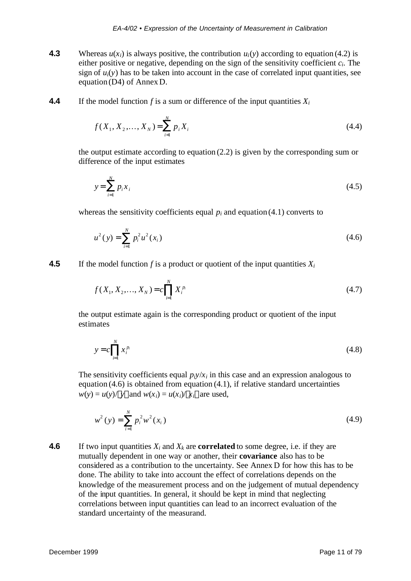- **4.3** Whereas  $u(x_i)$  is always positive, the contribution  $u_i(y)$  according to equation (4.2) is either positive or negative, depending on the sign of the sensitivity coefficient *ci*. The sign of  $u_i(y)$  has to be taken into account in the case of correlated input quantities, see equation (D4) of Annex D.
- **4.4** If the model function *f* is a sum or difference of the input quantities  $X_i$

$$
f(X_1, X_2, \dots, X_N) = \sum_{i=1}^{N} p_i X_i
$$
\n(4.4)

the output estimate according to equation (2.2) is given by the corresponding sum or difference of the input estimates

$$
y = \sum_{i=1}^{N} p_i x_i
$$
 (4.5)

whereas the sensitivity coefficients equal  $p_i$  and equation (4.1) converts to

$$
u^{2}(y) = \sum_{i=1}^{N} p_{i}^{2} u^{2}(x_{i})
$$
\n(4.6)

**4.5** If the model function *f* is a product or quotient of the input quantities  $X_i$ 

$$
f(X_1, X_2, \dots, X_N) = c \prod_{i=1}^N X_i^{p_i}
$$
\n(4.7)

the output estimate again is the corresponding product or quotient of the input estimates

$$
y = c \prod_{i=1}^{N} x_i^{p_i} \tag{4.8}
$$

The sensitivity coefficients equal  $p_i y / x_i$  in this case and an expression analogous to equation (4.6) is obtained from equation (4.1), if relative standard uncertainties  $w(y) = u(y) / |y|$  and  $w(x_i) = u(x_i) / |x_i|$  are used,

$$
w^{2}(y) = \sum_{i=1}^{N} p_{i}^{2} w^{2}(x_{i})
$$
\n(4.9)

**4.6** If two input quantities  $X_i$  and  $X_k$  are **correlated** to some degree, i.e. if they are mutually dependent in one way or another, their **covariance** also has to be considered as a contribution to the uncertainty. See Annex D for how this has to be done. The ability to take into account the effect of correlations depends on the knowledge of the measurement process and on the judgement of mutual dependency of the input quantities. In general, it should be kept in mind that neglecting correlations between input quantities can lead to an incorrect evaluation of the standard uncertainty of the measurand.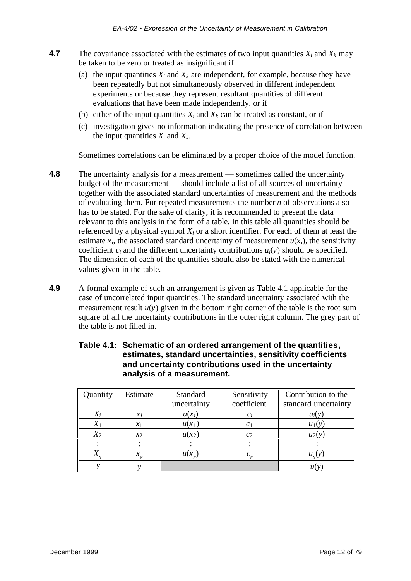- **4.7** The covariance associated with the estimates of two input quantities  $X_i$  and  $X_k$  may be taken to be zero or treated as insignificant if
	- (a) the input quantities  $X_i$  and  $X_k$  are independent, for example, because they have been repeatedly but not simultaneously observed in different independent experiments or because they represent resultant quantities of different evaluations that have been made independently, or if
	- (b) either of the input quantities  $X_i$  and  $X_k$  can be treated as constant, or if
	- (c) investigation gives no information indicating the presence of correlation between the input quantities  $X_i$  and  $X_k$ .

Sometimes correlations can be eliminated by a proper choice of the model function.

- **4.8** The uncertainty analysis for a measurement sometimes called the uncertainty budget of the measurement — should include a list of all sources of uncertainty together with the associated standard uncertainties of measurement and the methods of evaluating them. For repeated measurements the number *n* of observations also has to be stated. For the sake of clarity, it is recommended to present the data relevant to this analysis in the form of a table. In this table all quantities should be referenced by a physical symbol *Xi* or a short identifier. For each of them at least the estimate  $x_i$ , the associated standard uncertainty of measurement  $u(x_i)$ , the sensitivity coefficient  $c_i$  and the different uncertainty contributions  $u_i(y)$  should be specified. The dimension of each of the quantities should also be stated with the numerical values given in the table.
- **4.9** A formal example of such an arrangement is given as Table 4.1 applicable for the case of uncorrelated input quantities. The standard uncertainty associated with the measurement result  $u(y)$  given in the bottom right corner of the table is the root sum square of all the uncertainty contributions in the outer right column. The grey part of the table is not filled in.

| Quantity | Estimate   | Standard    | Sensitivity    | Contribution to the  |
|----------|------------|-------------|----------------|----------------------|
|          |            | uncertainty | coefficient    | standard uncertainty |
|          | $x_i$      | $u(x_i)$    | $c_i$          | $u_i(y)$             |
|          | $x_1$      | $u(x_1)$    | C <sub>1</sub> | $u_1(y)$             |
| $X_2$    | $\chi_{2}$ | $u(x_2)$    | c <sub>2</sub> | $u_2(y)$             |
|          |            |             |                |                      |
|          | х          |             |                |                      |
|          |            |             |                |                      |

#### **Table 4.1: Schematic of an ordered arrangement of the quantities, estimates, standard uncertainties, sensitivity coefficients and uncertainty contributions used in the uncertainty analysis of a measurement.**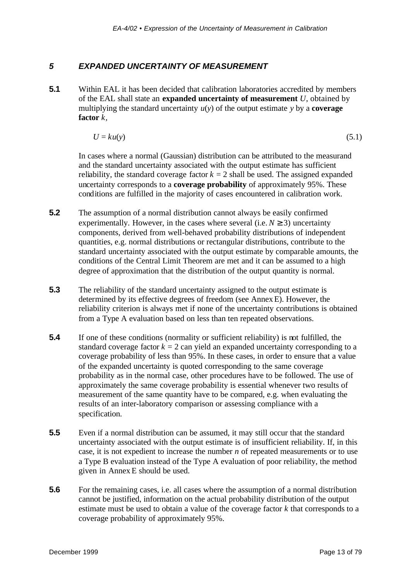#### *5 EXPANDED UNCERTAINTY OF MEASUREMENT*

**5.1** Within EAL it has been decided that calibration laboratories accredited by members of the EAL shall state an **expanded uncertainty of measurement** *U*, obtained by multiplying the standard uncertainty  $u(y)$  of the output estimate  $y$  by a **coverage factor** *k,*

$$
U = ku(y) \tag{5.1}
$$

In cases where a normal (Gaussian) distribution can be attributed to the measurand and the standard uncertainty associated with the output estimate has sufficient reliability, the standard coverage factor  $k = 2$  shall be used. The assigned expanded uncertainty corresponds to a **coverage probability** of approximately 95%. These conditions are fulfilled in the majority of cases encountered in calibration work.

- **5.2** The assumption of a normal distribution cannot always be easily confirmed experimentally. However, in the cases where several (i.e.  $N \ge 3$ ) uncertainty components, derived from well-behaved probability distributions of independent quantities, e.g. normal distributions or rectangular distributions, contribute to the standard uncertainty associated with the output estimate by comparable amounts, the conditions of the Central Limit Theorem are met and it can be assumed to a high degree of approximation that the distribution of the output quantity is normal.
- **5.3** The reliability of the standard uncertainty assigned to the output estimate is determined by its effective degrees of freedom (see Annex E). However, the reliability criterion is always met if none of the uncertainty contributions is obtained from a Type A evaluation based on less than ten repeated observations.
- **5.4** If one of these conditions (normality or sufficient reliability) is not fulfilled, the standard coverage factor  $k = 2$  can yield an expanded uncertainty corresponding to a coverage probability of less than 95%. In these cases, in order to ensure that a value of the expanded uncertainty is quoted corresponding to the same coverage probability as in the normal case, other procedures have to be followed. The use of approximately the same coverage probability is essential whenever two results of measurement of the same quantity have to be compared, e.g. when evaluating the results of an inter-laboratory comparison or assessing compliance with a specification.
- **5.5** Even if a normal distribution can be assumed, it may still occur that the standard uncertainty associated with the output estimate is of insufficient reliability. If, in this case, it is not expedient to increase the number *n* of repeated measurements or to use a Type B evaluation instead of the Type A evaluation of poor reliability, the method given in Annex E should be used.
- **5.6** For the remaining cases, i.e. all cases where the assumption of a normal distribution cannot be justified, information on the actual probability distribution of the output estimate must be used to obtain a value of the coverage factor *k* that corresponds to a coverage probability of approximately 95%.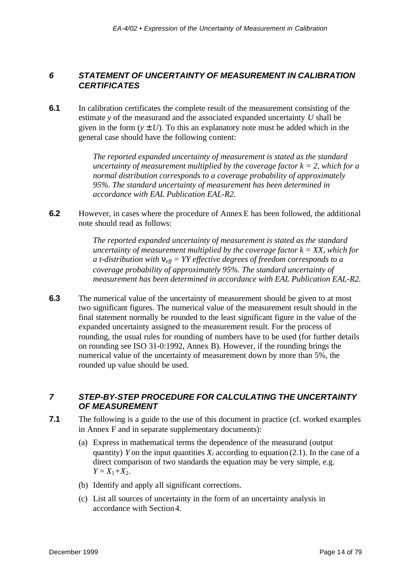### *6 STATEMENT OF UNCERTAINTY OF MEASUREMENT IN CALIBRATION CERTIFICATES*

**6.1** In calibration certificates the complete result of the measurement consisting of the estimate *y* of the measurand and the associated expanded uncertainty *U* shall be given in the form  $(y \pm U)$ . To this an explanatory note must be added which in the general case should have the following content:

> *The reported expanded uncertainty of measurement is stated as the standard uncertainty of measurement multiplied by the coverage factor k = 2, which for a normal distribution corresponds to a coverage probability of approximately 95%. The standard uncertainty of measurement has been determined in accordance with EAL Publication EAL-R2.*

**6.2** However, in cases where the procedure of Annex E has been followed, the additional note should read as follows:

> *The reported expanded uncertainty of measurement is stated as the standard uncertainty of measurement multiplied by the coverage factor k = XX, which for a t-distribution with neff = YY effective degrees of freedom corresponds to a coverage probability of approximately 95%. The standard uncertainty of measurement has been determined in accordance with EAL Publication EAL-R2.*

**6.3** The numerical value of the uncertainty of measurement should be given to at most two significant figures. The numerical value of the measurement result should in the final statement normally be rounded to the least significant figure in the value of the expanded uncertainty assigned to the measurement result. For the process of rounding, the usual rules for rounding of numbers have to be used (for further details on rounding see ISO 31-0:1992, Annex B). However, if the rounding brings the numerical value of the uncertainty of measurement down by more than 5%, the rounded up value should be used.

### *7 STEP-BY-STEP PROCEDURE FOR CALCULATING THE UNCERTAINTY OF MEASUREMENT*

- **7.1** The following is a guide to the use of this document in practice (cf. worked examples in Annex F and in separate supplementary documents):
	- (a) Express in mathematical terms the dependence of the measurand (output quantity) *Y* on the input quantities  $X_i$  according to equation (2.1). In the case of a direct comparison of two standards the equation may be very simple, e.g.  $Y = X_1 + X_2$ .
	- (b) Identify and apply all significant corrections.
	- (c) List all sources of uncertainty in the form of an uncertainty analysis in accordance with Section 4.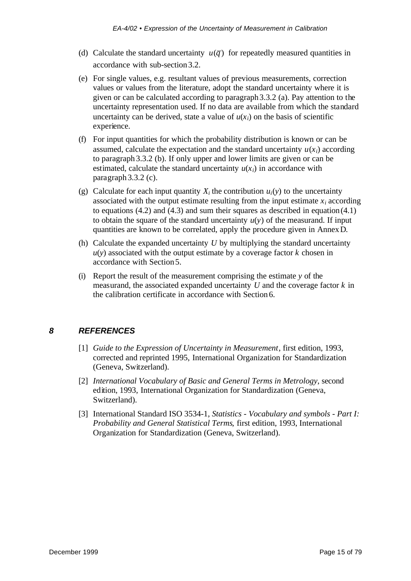- (d) Calculate the standard uncertainty  $u(\bar{q})$  for repeatedly measured quantities in accordance with sub-section 3.2.
- (e) For single values, e.g. resultant values of previous measurements, correction values or values from the literature, adopt the standard uncertainty where it is given or can be calculated according to paragraph 3.3.2 (a). Pay attention to the uncertainty representation used. If no data are available from which the standard uncertainty can be derived, state a value of  $u(x_i)$  on the basis of scientific experience.
- (f) For input quantities for which the probability distribution is known or can be assumed, calculate the expectation and the standard uncertainty  $u(x_i)$  according to paragraph 3.3.2 (b). If only upper and lower limits are given or can be estimated, calculate the standard uncertainty  $u(x_i)$  in accordance with paragraph 3.3.2 (c).
- (g) Calculate for each input quantity  $X_i$  the contribution  $u_i(y)$  to the uncertainty associated with the output estimate resulting from the input estimate  $x_i$  according to equations  $(4.2)$  and  $(4.3)$  and sum their squares as described in equation  $(4.1)$ to obtain the square of the standard uncertainty  $u(y)$  of the measurand. If input quantities are known to be correlated, apply the procedure given in Annex D.
- (h) Calculate the expanded uncertainty *U* by multiplying the standard uncertainty  $u(y)$  associated with the output estimate by a coverage factor  $k$  chosen in accordance with Section 5.
- (i) Report the result of the measurement comprising the estimate *y* of the measurand, the associated expanded uncertainty *U* and the coverage factor *k* in the calibration certificate in accordance with Section 6.

## *8 REFERENCES*

- [1] *Guide to the Expression of Uncertainty in Measurement*, first edition, 1993, corrected and reprinted 1995, International Organization for Standardization (Geneva, Switzerland).
- [2] *International Vocabulary of Basic and General Terms in Metrology*, second edition, 1993, International Organization for Standardization (Geneva, Switzerland).
- [3] International Standard ISO 3534-1, *Statistics Vocabulary and symbols Part I: Probability and General Statistical Terms*, first edition, 1993, International Organization for Standardization (Geneva, Switzerland).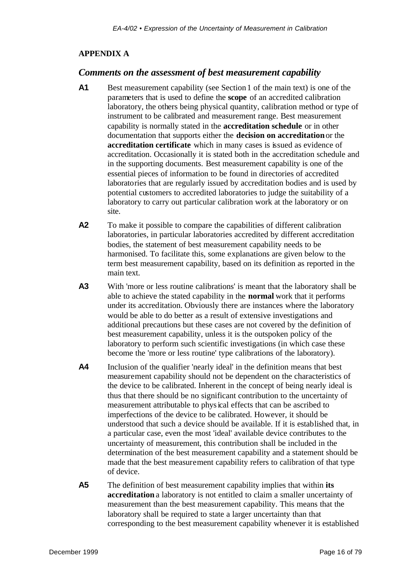#### **APPENDIX A**

#### *Comments on the assessment of best measurement capability*

- **A1** Best measurement capability (see Section 1 of the main text) is one of the parameters that is used to define the **scope** of an accredited calibration laboratory, the others being physical quantity, calibration method or type of instrument to be calibrated and measurement range. Best measurement capability is normally stated in the **accreditation schedule** or in other documentation that supports either the **decision on accreditation** or the **accreditation certificate** which in many cases is issued as evidence of accreditation. Occasionally it is stated both in the accreditation schedule and in the supporting documents. Best measurement capability is one of the essential pieces of information to be found in directories of accredited laboratories that are regularly issued by accreditation bodies and is used by potential customers to accredited laboratories to judge the suitability of a laboratory to carry out particular calibration work at the laboratory or on site.
- **A2** To make it possible to compare the capabilities of different calibration laboratories, in particular laboratories accredited by different accreditation bodies, the statement of best measurement capability needs to be harmonised. To facilitate this, some explanations are given below to the term best measurement capability, based on its definition as reported in the main text.
- **A3** With 'more or less routine calibrations' is meant that the laboratory shall be able to achieve the stated capability in the **normal** work that it performs under its accreditation. Obviously there are instances where the laboratory would be able to do better as a result of extensive investigations and additional precautions but these cases are not covered by the definition of best measurement capability, unless it is the outspoken policy of the laboratory to perform such scientific investigations (in which case these become the 'more or less routine' type calibrations of the laboratory).
- **A4** Inclusion of the qualifier 'nearly ideal' in the definition means that best measurement capability should not be dependent on the characteristics of the device to be calibrated. Inherent in the concept of being nearly ideal is thus that there should be no significant contribution to the uncertainty of measurement attributable to physical effects that can be ascribed to imperfections of the device to be calibrated. However, it should be understood that such a device should be available. If it is established that, in a particular case, even the most 'ideal' available device contributes to the uncertainty of measurement, this contribution shall be included in the determination of the best measurement capability and a statement should be made that the best measurement capability refers to calibration of that type of device.
- **A5** The definition of best measurement capability implies that within **its accreditation** a laboratory is not entitled to claim a smaller uncertainty of measurement than the best measurement capability. This means that the laboratory shall be required to state a larger uncertainty than that corresponding to the best measurement capability whenever it is established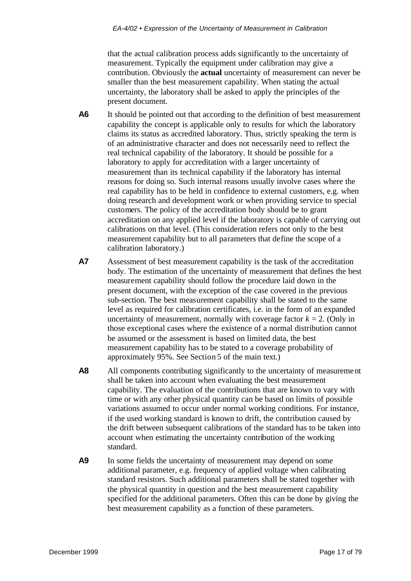that the actual calibration process adds significantly to the uncertainty of measurement. Typically the equipment under calibration may give a contribution. Obviously the **actual** uncertainty of measurement can never be smaller than the best measurement capability. When stating the actual uncertainty, the laboratory shall be asked to apply the principles of the present document.

- **A6** It should be pointed out that according to the definition of best measurement capability the concept is applicable only to results for which the laboratory claims its status as accredited laboratory. Thus, strictly speaking the term is of an administrative character and does not necessarily need to reflect the real technical capability of the laboratory. It should be possible for a laboratory to apply for accreditation with a larger uncertainty of measurement than its technical capability if the laboratory has internal reasons for doing so. Such internal reasons usually involve cases where the real capability has to be held in confidence to external customers, e.g. when doing research and development work or when providing service to special customers. The policy of the accreditation body should be to grant accreditation on any applied level if the laboratory is capable of carrying out calibrations on that level. (This consideration refers not only to the best measurement capability but to all parameters that define the scope of a calibration laboratory.)
- **A7** Assessment of best measurement capability is the task of the accreditation body. The estimation of the uncertainty of measurement that defines the best measurement capability should follow the procedure laid down in the present document, with the exception of the case covered in the previous sub-section. The best measurement capability shall be stated to the same level as required for calibration certificates, i.e. in the form of an expanded uncertainty of measurement, normally with coverage factor  $k = 2$ . (Only in those exceptional cases where the existence of a normal distribution cannot be assumed or the assessment is based on limited data, the best measurement capability has to be stated to a coverage probability of approximately 95%. See Section 5 of the main text.)
- **A8** All components contributing significantly to the uncertainty of measurement shall be taken into account when evaluating the best measurement capability. The evaluation of the contributions that are known to vary with time or with any other physical quantity can be based on limits of possible variations assumed to occur under normal working conditions. For instance, if the used working standard is known to drift, the contribution caused by the drift between subsequent calibrations of the standard has to be taken into account when estimating the uncertainty contribution of the working standard.
- A9 In some fields the uncertainty of measurement may depend on some additional parameter, e.g. frequency of applied voltage when calibrating standard resistors. Such additional parameters shall be stated together with the physical quantity in question and the best measurement capability specified for the additional parameters. Often this can be done by giving the best measurement capability as a function of these parameters.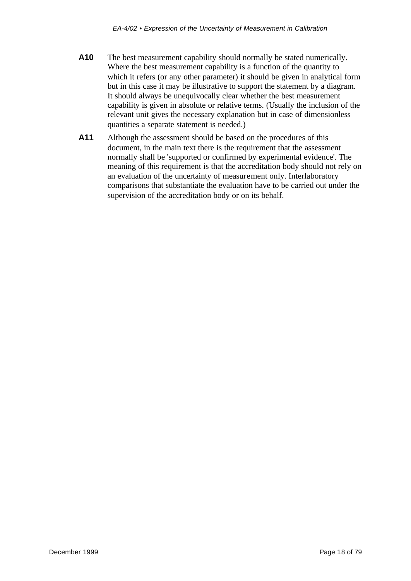- **A10** The best measurement capability should normally be stated numerically. Where the best measurement capability is a function of the quantity to which it refers (or any other parameter) it should be given in analytical form but in this case it may be illustrative to support the statement by a diagram. It should always be unequivocally clear whether the best measurement capability is given in absolute or relative terms. (Usually the inclusion of the relevant unit gives the necessary explanation but in case of dimensionless quantities a separate statement is needed.)
- **A11** Although the assessment should be based on the procedures of this document, in the main text there is the requirement that the assessment normally shall be 'supported or confirmed by experimental evidence'. The meaning of this requirement is that the accreditation body should not rely on an evaluation of the uncertainty of measurement only. Interlaboratory comparisons that substantiate the evaluation have to be carried out under the supervision of the accreditation body or on its behalf.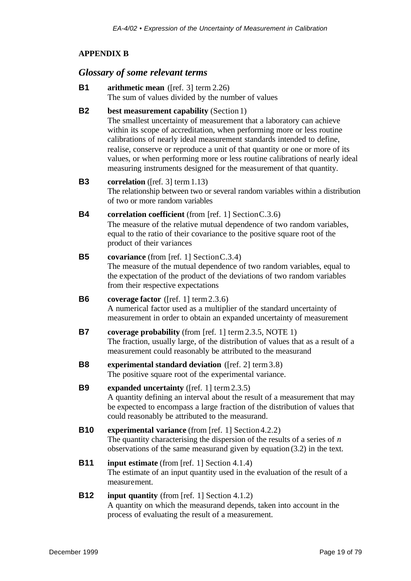## **APPENDIX B**

## *Glossary of some relevant terms*

| <b>B1</b>      | arithmetic mean ([ref. 3] term $2.26$ )<br>The sum of values divided by the number of values                                                                                                                                                                                                                                                                                                                                                                                                                  |
|----------------|---------------------------------------------------------------------------------------------------------------------------------------------------------------------------------------------------------------------------------------------------------------------------------------------------------------------------------------------------------------------------------------------------------------------------------------------------------------------------------------------------------------|
| <b>B2</b>      | best measurement capability (Section 1)<br>The smallest uncertainty of measurement that a laboratory can achieve<br>within its scope of accreditation, when performing more or less routine<br>calibrations of nearly ideal measurement standards intended to define,<br>realise, conserve or reproduce a unit of that quantity or one or more of its<br>values, or when performing more or less routine calibrations of nearly ideal<br>measuring instruments designed for the measurement of that quantity. |
| <b>B3</b>      | <b>correlation</b> ([ref. 3] term $1.13$ )<br>The relationship between two or several random variables within a distribution<br>of two or more random variables                                                                                                                                                                                                                                                                                                                                               |
| <b>B4</b>      | correlation coefficient (from [ref. 1] Section $C.3.6$ )<br>The measure of the relative mutual dependence of two random variables,<br>equal to the ratio of their covariance to the positive square root of the<br>product of their variances                                                                                                                                                                                                                                                                 |
| <b>B5</b>      | covariance (from [ref. 1] Section $C.3.4$ )<br>The measure of the mutual dependence of two random variables, equal to<br>the expectation of the product of the deviations of two random variables<br>from their respective expectations                                                                                                                                                                                                                                                                       |
| <b>B6</b>      | coverage factor ( $[ref. 1]$ term 2.3.6)<br>A numerical factor used as a multiplier of the standard uncertainty of<br>measurement in order to obtain an expanded uncertainty of measurement                                                                                                                                                                                                                                                                                                                   |
| <b>B7</b>      | coverage probability (from [ref. 1] term 2.3.5, NOTE 1)<br>The fraction, usually large, of the distribution of values that as a result of a<br>measurement could reasonably be attributed to the measurand                                                                                                                                                                                                                                                                                                    |
| B <sub>8</sub> | experimental standard deviation ([ref. 2] term 3.8)<br>The positive square root of the experimental variance.                                                                                                                                                                                                                                                                                                                                                                                                 |
| <b>B9</b>      | expanded uncertainty ([ref. 1] term 2.3.5)<br>A quantity defining an interval about the result of a measurement that may<br>be expected to encompass a large fraction of the distribution of values that<br>could reasonably be attributed to the measurand.                                                                                                                                                                                                                                                  |
| <b>B10</b>     | experimental variance (from [ref. 1] Section 4.2.2)<br>The quantity characterising the dispersion of the results of a series of $n$<br>observations of the same measurand given by equation $(3.2)$ in the text.                                                                                                                                                                                                                                                                                              |
| <b>B11</b>     | <b>input estimate</b> (from [ref. 1] Section 4.1.4)<br>The estimate of an input quantity used in the evaluation of the result of a<br>measurement.                                                                                                                                                                                                                                                                                                                                                            |
| <b>B12</b>     | <b>input quantity</b> (from [ref. 1] Section 4.1.2)<br>A quantity on which the measurand depends, taken into account in the<br>process of evaluating the result of a measurement.                                                                                                                                                                                                                                                                                                                             |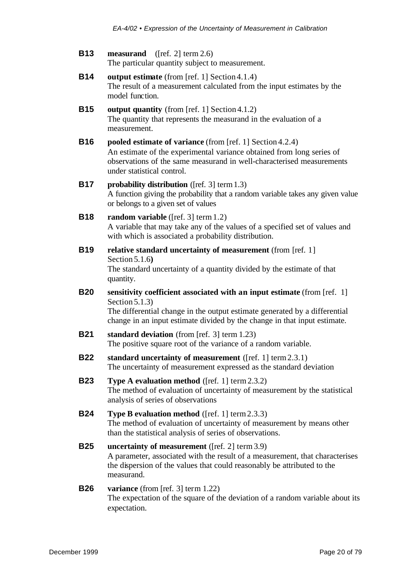| <b>B13</b> | <b>measurand</b> ([ref. 2] term $2.6$ )         |
|------------|-------------------------------------------------|
|            | The particular quantity subject to measurement. |

- **B14 output estimate** (from [ref. 1] Section 4.1.4) The result of a measurement calculated from the input estimates by the model function.
- **B15 output quantity** (from [ref. 1] Section 4.1.2) The quantity that represents the measurand in the evaluation of a measurement.
- **B16 pooled estimate of variance** (from [ref. 1] Section 4.2.4) An estimate of the experimental variance obtained from long series of observations of the same measurand in well-characterised measurements under statistical control.

### **B17 probability distribution** ([ref. 3] term 1.3) A function giving the probability that a random variable takes any given value or belongs to a given set of values

## **B18 random variable** ([ref. 3] term 1.2) A variable that may take any of the values of a specified set of values and with which is associated a probability distribution.

- **B19 relative standard uncertainty of measurement** (from [ref. 1] Section 5.1.6**)** The standard uncertainty of a quantity divided by the estimate of that quantity.
- **B20 sensitivity coefficient associated with an input estimate** (from [ref. 1] Section 5.1.3) The differential change in the output estimate generated by a differential

change in an input estimate divided by the change in that input estimate.

- **B21 standard deviation** (from [ref. 3] term 1.23) The positive square root of the variance of a random variable.
- **B22 standard uncertainty of measurement** ([ref. 1] term 2.3.1) The uncertainty of measurement expressed as the standard deviation
- **B23 Type A evaluation method** ([ref. 1] term 2.3.2) The method of evaluation of uncertainty of measurement by the statistical analysis of series of observations
- **B24 Type B evaluation method** ([ref. 1] term 2.3.3) The method of evaluation of uncertainty of measurement by means other than the statistical analysis of series of observations.
- **B25 uncertainty of measurement** ([ref. 2] term 3.9) A parameter, associated with the result of a measurement, that characterises the dispersion of the values that could reasonably be attributed to the measurand.

#### **B26 variance** (from [ref. 3] term 1.22) The expectation of the square of the deviation of a random variable about its expectation.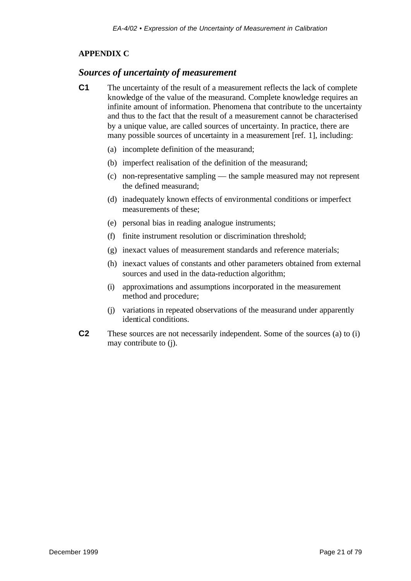## **APPENDIX C**

## *Sources of uncertainty of measurement*

- **C1** The uncertainty of the result of a measurement reflects the lack of complete knowledge of the value of the measurand. Complete knowledge requires an infinite amount of information. Phenomena that contribute to the uncertainty and thus to the fact that the result of a measurement cannot be characterised by a unique value, are called sources of uncertainty. In practice, there are many possible sources of uncertainty in a measurement [ref. 1], including:
	- (a) incomplete definition of the measurand;
	- (b) imperfect realisation of the definition of the measurand;
	- (c) non-representative sampling the sample measured may not represent the defined measurand;
	- (d) inadequately known effects of environmental conditions or imperfect measurements of these;
	- (e) personal bias in reading analogue instruments;
	- (f) finite instrument resolution or discrimination threshold;
	- (g) inexact values of measurement standards and reference materials;
	- (h) inexact values of constants and other parameters obtained from external sources and used in the data-reduction algorithm;
	- (i) approximations and assumptions incorporated in the measurement method and procedure;
	- (j) variations in repeated observations of the measurand under apparently identical conditions.
- **C2** These sources are not necessarily independent. Some of the sources (a) to (i) may contribute to (j).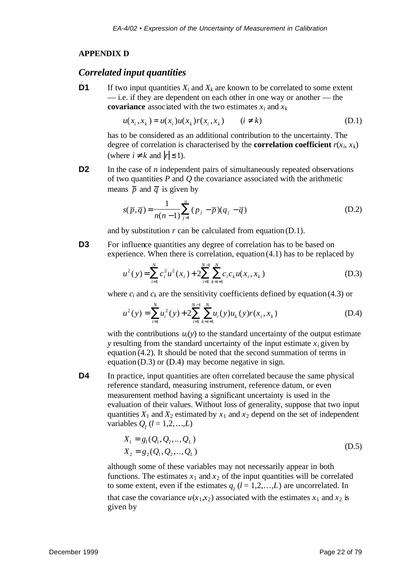#### **APPENDIX D**

#### *Correlated input quantities*

**D1** If two input quantities  $X_i$  and  $X_k$  are known to be correlated to some extent — i.e. if they are dependent on each other in one way or another — the **covariance** associated with the two estimates  $x_i$  and  $x_k$ 

$$
u(x_i, x_k) = u(x_i)u(x_k)r(x_i, x_k) \qquad (i \neq k)
$$
 (D.1)

has to be considered as an additional contribution to the uncertainty. The degree of correlation is characterised by the **correlation coefficient**  $r(x_i, x_k)$ (where  $i \neq k$  and  $|r| \leq 1$ ).

**D2** In the case of *n* independent pairs of simultaneously repeated observations of two quantities *P* and *Q* the covariance associated with the arithmetic means  $\overline{p}$  and  $\overline{q}$  is given by

$$
s(\overline{p}, \overline{q}) = \frac{1}{n(n-1)} \sum_{j=1}^{n} (p_j - \overline{p})(q_j - \overline{q})
$$
 (D.2)

and by substitution *r* can be calculated from equation (D.1).

**D3** For influence quantities any degree of correlation has to be based on experience. When there is correlation, equation (4.1) has to be replaced by

$$
u^{2}(y) = \sum_{i=1}^{N} c_{i}^{2} u^{2}(x_{i}) + 2 \sum_{i=1}^{N-1} \sum_{k=i+1}^{N} c_{i} c_{k} u(x_{i}, x_{k})
$$
 (D.3)

where  $c_i$  and  $c_k$  are the sensitivity coefficients defined by equation (4.3) or

$$
u^{2}(y) = \sum_{i=1}^{N} u_{i}^{2}(y) + 2 \sum_{i=1}^{N-1} \sum_{k=i+1}^{N} u_{i}(y) u_{k}(y) r(x_{i}, x_{k})
$$
 (D.4)

with the contributions  $u_i(y)$  to the standard uncertainty of the output estimate *y* resulting from the standard uncertainty of the input estimate  $x_i$  given by equation (4.2). It should be noted that the second summation of terms in equation (D.3) or (D.4) may become negative in sign.

**D4** In practice, input quantities are often correlated because the same physical reference standard, measuring instrument, reference datum, or even measurement method having a significant uncertainty is used in the evaluation of their values. Without loss of generality, suppose that two input quantities  $X_1$  and  $X_2$  estimated by  $x_1$  and  $x_2$  depend on the set of independent variables  $Q_l$  ( $l = 1, 2, ..., L$ )

$$
X_1 = g_1(Q_1, Q_2, ..., Q_L)
$$
  
\n
$$
X_2 = g_2(Q_1, Q_2, ..., Q_L)
$$
 (D.5)

although some of these variables may not necessarily appear in both functions. The estimates  $x_1$  and  $x_2$  of the input quantities will be correlated to some extent, even if the estimates  $q_l$  ( $l = 1, 2, \ldots, L$ ) are uncorrelated. In that case the covariance  $u(x_1, x_2)$  associated with the estimates  $x_1$  and  $x_2$  is given by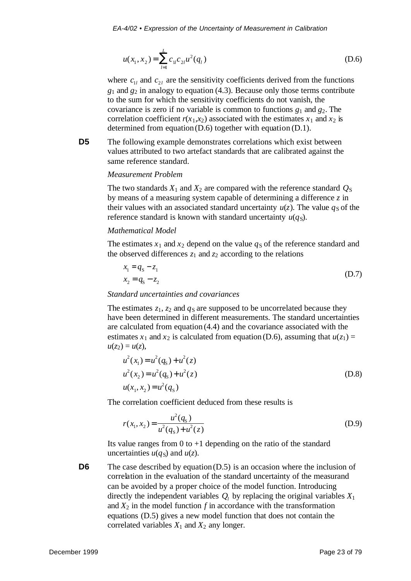$$
u(x_1, x_2) = \sum_{l=1}^{L} c_{1l} c_{2l} u^2(q_l)
$$
 (D.6)

where  $c_{1l}$  and  $c_{2l}$  are the sensitivity coefficients derived from the functions *g*1 and *g*2 in analogy to equation (4.3). Because only those terms contribute to the sum for which the sensitivity coefficients do not vanish, the covariance is zero if no variable is common to functions *g*1 and *g*2. The correlation coefficient  $r(x_1,x_2)$  associated with the estimates  $x_1$  and  $x_2$  is determined from equation (D.6) together with equation (D.1).

**D5** The following example demonstrates correlations which exist between values attributed to two artefact standards that are calibrated against the same reference standard.

#### *Measurement Problem*

The two standards  $X_1$  and  $X_2$  are compared with the reference standard  $Q_S$ by means of a measuring system capable of determining a difference *z* in their values with an associated standard uncertainty  $u(z)$ . The value  $q_S$  of the reference standard is known with standard uncertainty  $u(q_S)$ .

#### *Mathematical Model*

The estimates  $x_1$  and  $x_2$  depend on the value  $q_S$  of the reference standard and the observed differences  $z_1$  and  $z_2$  according to the relations

$$
x_1 = q_5 - z_1
$$
  
\n
$$
x_2 = q_5 - z_2
$$
 (D.7)

#### *Standard uncertainties and covariances*

The estimates  $z_1$ ,  $z_2$  and  $q_S$  are supposed to be uncorrelated because they have been determined in different measurements. The standard uncertainties are calculated from equation (4.4) and the covariance associated with the estimates  $x_1$  and  $x_2$  is calculated from equation (D.6), assuming that  $u(z_1) =$  $u(z_2) = u(z)$ ,

$$
u^{2}(x_{1}) = u^{2}(q_{S}) + u^{2}(z)
$$
  
\n
$$
u^{2}(x_{2}) = u^{2}(q_{S}) + u^{2}(z)
$$
  
\n
$$
u(x_{1}, x_{2}) = u^{2}(q_{S})
$$
\n(D.8)

The correlation coefficient deduced from these results is

$$
r(x_1, x_2) = \frac{u^2(q_5)}{u^2(q_5) + u^2(z)}
$$
 (D.9)

Its value ranges from 0 to  $+1$  depending on the ratio of the standard uncertainties  $u(q_S)$  and  $u(z)$ .

**D6** The case described by equation (D.5) is an occasion where the inclusion of correlation in the evaluation of the standard uncertainty of the measurand can be avoided by a proper choice of the model function. Introducing directly the independent variables  $Q_l$  by replacing the original variables  $X_1$ and  $X_2$  in the model function  $f$  in accordance with the transformation equations (D.5) gives a new model function that does not contain the correlated variables  $X_1$  and  $X_2$  any longer.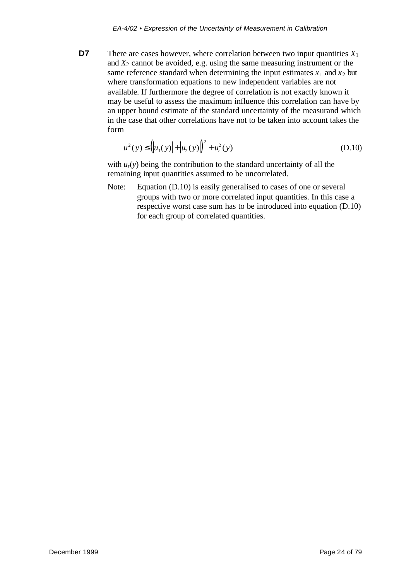**D7** There are cases however, where correlation between two input quantities  $X_1$ and  $X_2$  cannot be avoided, e.g. using the same measuring instrument or the same reference standard when determining the input estimates  $x_1$  and  $x_2$  but where transformation equations to new independent variables are not available. If furthermore the degree of correlation is not exactly known it may be useful to assess the maximum influence this correlation can have by an upper bound estimate of the standard uncertainty of the measurand which in the case that other correlations have not to be taken into account takes the form

$$
u^{2}(y) \leq (|u_{1}(y)| + |u_{2}(y)|)^{2} + u_{r}^{2}(y)
$$
\n(D.10)

with  $u_r(v)$  being the contribution to the standard uncertainty of all the remaining input quantities assumed to be uncorrelated.

Note: Equation (D.10) is easily generalised to cases of one or several groups with two or more correlated input quantities. In this case a respective worst case sum has to be introduced into equation (D.10) for each group of correlated quantities.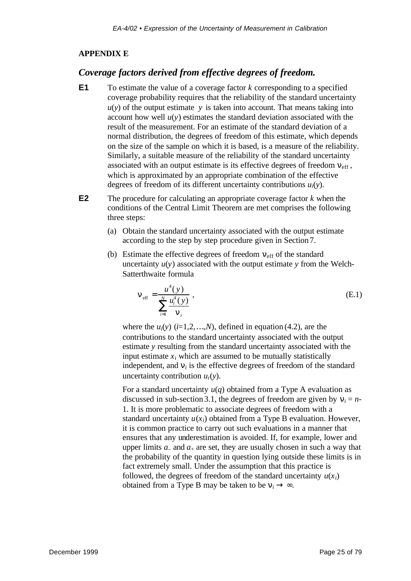#### **APPENDIX E**

#### *Coverage factors derived from effective degrees of freedom.*

- **E1** To estimate the value of a coverage factor *k* corresponding to a specified coverage probability requires that the reliability of the standard uncertainty  $u(y)$  of the output estimate  $y$  is taken into account. That means taking into account how well  $u(y)$  estimates the standard deviation associated with the result of the measurement. For an estimate of the standard deviation of a normal distribution, the degrees of freedom of this estimate, which depends on the size of the sample on which it is based, is a measure of the reliability. Similarly, a suitable measure of the reliability of the standard uncertainty associated with an output estimate is its effective degrees of freedom  $n_{\text{eff}}$ , which is approximated by an appropriate combination of the effective degrees of freedom of its different uncertainty contributions *ui*(*y*).
- **E2** The procedure for calculating an appropriate coverage factor *k* when the conditions of the Central Limit Theorem are met comprises the following three steps:
	- (a) Obtain the standard uncertainty associated with the output estimate according to the step by step procedure given in Section 7.
	- (b) Estimate the effective degrees of freedom  $n_{\text{eff}}$  of the standard uncertainty  $u(y)$  associated with the output estimate  $y$  from the Welch-Satterthwaite formula

$$
\mathbf{n}_{\text{eff}} = \frac{u^4(y)}{\sum_{i=1}^N \frac{u_i^4(y)}{\mathbf{n}_i}},
$$
(E.1)

where the  $u_i(y)$  ( $i=1,2,...,N$ ), defined in equation (4.2), are the contributions to the standard uncertainty associated with the output estimate *y* resulting from the standard uncertainty associated with the input estimate  $x_i$  which are assumed to be mutually statistically independent, and  $\mathbf{n}_i$  is the effective degrees of freedom of the standard uncertainty contribution  $u_i(y)$ .

For a standard uncertainty  $u(q)$  obtained from a Type A evaluation as discussed in sub-section 3.1, the degrees of freedom are given by  $n_i = n$ -1. It is more problematic to associate degrees of freedom with a standard uncertainty  $u(x_i)$  obtained from a Type B evaluation. However, it is common practice to carry out such evaluations in a manner that ensures that any underestimation is avoided. If, for example, lower and upper limits  $a_$  and  $a_+$  are set, they are usually chosen in such a way that the probability of the quantity in question lying outside these limits is in fact extremely small. Under the assumption that this practice is followed, the degrees of freedom of the standard uncertainty  $u(x_i)$ obtained from a Type B may be taken to be  $n_i \rightarrow \infty$ .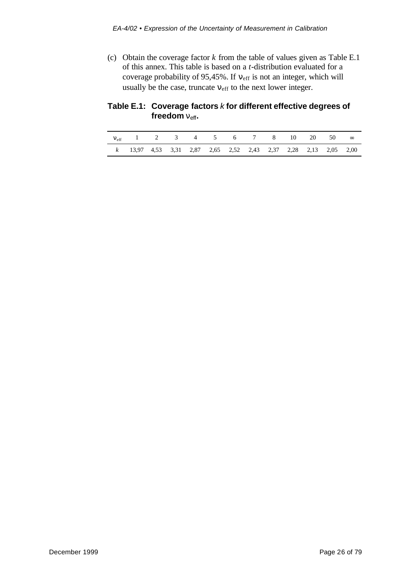(c) Obtain the coverage factor *k* from the table of values given as Table E.1 of this annex. This table is based on a *t*-distribution evaluated for a coverage probability of 95,45%. If  $n_{\text{eff}}$  is not an integer, which will usually be the case, truncate  $n_{\text{eff}}$  to the next lower integer.

## **Table E.1: Coverage factors** *k* **for different effective degrees of** freedom  $n_{\text{eff}}$ .

| $n_{eff}$ 1 2 3 4 5 6 7 8 10 20 50 $\infty$                    |  |  |  |  |  |  |
|----------------------------------------------------------------|--|--|--|--|--|--|
| k 13,97 4,53 3,31 2,87 2,65 2,52 2,43 2,37 2,28 2,13 2,05 2,00 |  |  |  |  |  |  |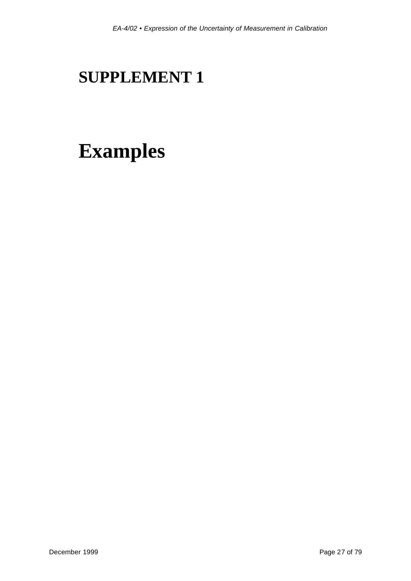# **SUPPLEMENT 1**

# **Examples**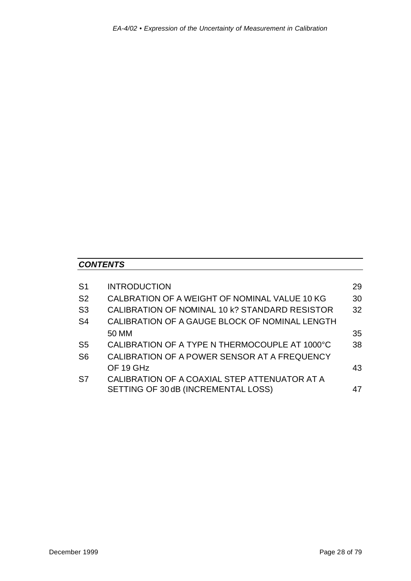## *CONTENTS*

| S <sub>1</sub> | <b>INTRODUCTION</b>                            | 29 |
|----------------|------------------------------------------------|----|
| S <sub>2</sub> | CALBRATION OF A WEIGHT OF NOMINAL VALUE 10 KG  | 30 |
| S <sub>3</sub> | CALIBRATION OF NOMINAL 10 k? STANDARD RESISTOR | 32 |
| S4             | CALIBRATION OF A GAUGE BLOCK OF NOMINAL LENGTH |    |
|                | 50 MM                                          | 35 |
| S <sub>5</sub> | CALIBRATION OF A TYPE N THERMOCOUPLE AT 1000°C | 38 |
| S <sub>6</sub> | CALIBRATION OF A POWER SENSOR AT A FREQUENCY   |    |
|                | OF 19 GHz                                      | 43 |
| S7             | CALIBRATION OF A COAXIAL STEP ATTENUATOR AT A  |    |
|                | SETTING OF 30 dB (INCREMENTAL LOSS)            | 47 |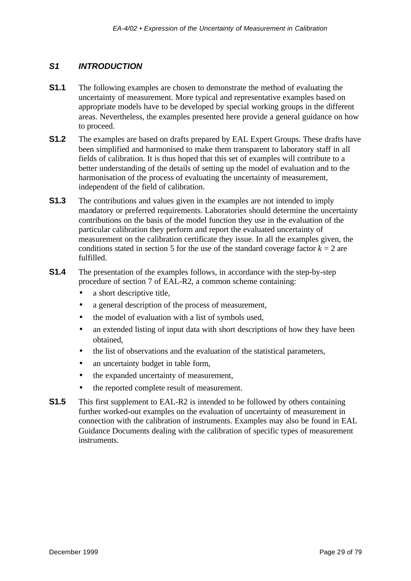### *S1 INTRODUCTION*

- **S1.1** The following examples are chosen to demonstrate the method of evaluating the uncertainty of measurement. More typical and representative examples based on appropriate models have to be developed by special working groups in the different areas. Nevertheless, the examples presented here provide a general guidance on how to proceed.
- **S1.2** The examples are based on drafts prepared by EAL Expert Groups. These drafts have been simplified and harmonised to make them transparent to laboratory staff in all fields of calibration. It is thus hoped that this set of examples will contribute to a better understanding of the details of setting up the model of evaluation and to the harmonisation of the process of evaluating the uncertainty of measurement, independent of the field of calibration.
- **S1.3** The contributions and values given in the examples are not intended to imply mandatory or preferred requirements. Laboratories should determine the uncertainty contributions on the basis of the model function they use in the evaluation of the particular calibration they perform and report the evaluated uncertainty of measurement on the calibration certificate they issue. In all the examples given, the conditions stated in section 5 for the use of the standard coverage factor  $k = 2$  are fulfilled.
- **S1.4** The presentation of the examples follows, in accordance with the step-by-step procedure of section 7 of EAL-R2, a common scheme containing:
	- a short descriptive title,
	- a general description of the process of measurement,
	- the model of evaluation with a list of symbols used,
	- an extended listing of input data with short descriptions of how they have been obtained,
	- the list of observations and the evaluation of the statistical parameters,
	- an uncertainty budget in table form,
	- the expanded uncertainty of measurement,
	- the reported complete result of measurement.
- **S1.5** This first supplement to EAL-R2 is intended to be followed by others containing further worked-out examples on the evaluation of uncertainty of measurement in connection with the calibration of instruments. Examples may also be found in EAL Guidance Documents dealing with the calibration of specific types of measurement instruments.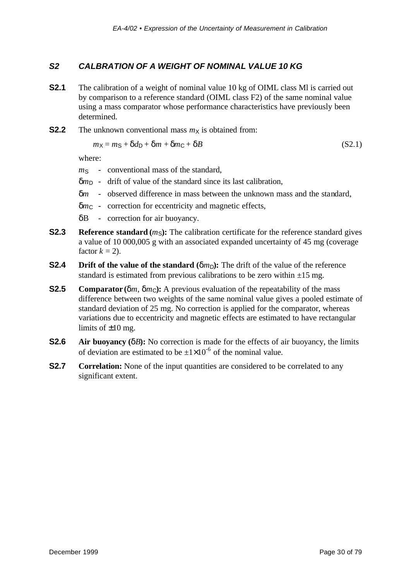### *S2 CALBRATION OF A WEIGHT OF NOMINAL VALUE 10 KG*

- **S2.1** The calibration of a weight of nominal value 10 kg of OIML class MI is carried out by comparison to a reference standard (OIML class F2) of the same nominal value using a mass comparator whose performance characteristics have previously been determined.
- **S2.2** The unknown conventional mass  $m_X$  is obtained from:

$$
m_X = m_S + \delta d_D + \delta m + \delta m_C + \delta B \tag{S2.1}
$$

where:

- *m*<sub>S</sub> conventional mass of the standard,
- $\delta m_D$  drift of value of the standard since its last calibration,
- δ*m* observed difference in mass between the unknown mass and the standard,
- δ*m*<sup>C</sup> correction for eccentricity and magnetic effects,
- δB correction for air buoyancy.
- **S2.3 Reference standard**  $(m<sub>S</sub>)$ : The calibration certificate for the reference standard gives a value of 10 000,005 g with an associated expanded uncertainty of 45 mg (coverage factor  $k = 2$ ).
- **S2.4 Drift of the value of the standard**  $(\delta m_D)$ : The drift of the value of the reference standard is estimated from previous calibrations to be zero within  $\pm 15$  mg.
- **S2.5 Comparator** ( $\delta m$ ,  $\delta m_C$ ): A previous evaluation of the repeatability of the mass difference between two weights of the same nominal value gives a pooled estimate of standard deviation of 25 mg. No correction is applied for the comparator, whereas variations due to eccentricity and magnetic effects are estimated to have rectangular limits of  $\pm 10$  mg.
- **S2.6 Air buoyancy (**δ*B***):** No correction is made for the effects of air buoyancy, the limits of deviation are estimated to be  $\pm 1\times 10^{-6}$  of the nominal value.
- **S2.7 Correlation:** None of the input quantities are considered to be correlated to any significant extent.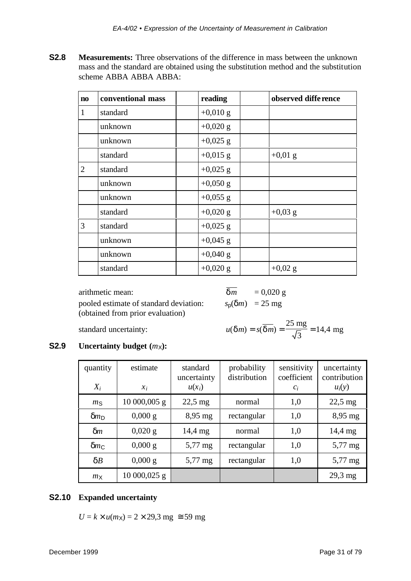**S2.8 Measurements:** Three observations of the difference in mass between the unknown mass and the standard are obtained using the substitution method and the substitution scheme ABBA ABBA ABBA:

| $\mathbf{n}\mathbf{o}$ | conventional mass | reading            | observed diffe rence |
|------------------------|-------------------|--------------------|----------------------|
| $\mathbf{1}$           | standard          | $+0,010 \text{ g}$ |                      |
|                        | unknown           | $+0,020$ g         |                      |
|                        | unknown           | $+0,025$ g         |                      |
|                        | standard          | $+0,015$ g         | $+0.01$ g            |
| $\overline{2}$         | standard          | $+0,025$ g         |                      |
|                        | unknown           | $+0,050$ g         |                      |
|                        | unknown           | $+0,055$ g         |                      |
|                        | standard          | $+0,020$ g         | $+0,03$ g            |
| 3                      | standard          | $+0,025$ g         |                      |
|                        | unknown           | $+0,045$ g         |                      |
|                        | unknown           | $+0,040$ g         |                      |
|                        | standard          | $+0,020$ g         | $+0,02$ g            |

arithmetic mean: pooled estimate of standard deviation:  $s_p(\delta m) = 25$  mg (obtained from prior evaluation)

$$
\frac{\overline{\delta m}}{\delta m} = 0.020 \text{ g}
$$
  

$$
s_p(\delta m) = 25 \text{ mg}
$$

 $standard$  uncertainty:

$$
u(\delta m) = s(\overline{\delta m}) = \frac{25 \text{ mg}}{\sqrt{3}} = 14,4 \text{ mg}
$$

## **S2.9 Uncertainty budget**  $(m_X)$ :

| quantity<br>$X_i$ | estimate<br>$\chi_i$ | standard<br>uncertainty<br>$u(x_i)$ | probability<br>distribution | sensitivity<br>coefficient<br>$c_i$ | uncertainty<br>contribution<br>$u_i(y)$ |
|-------------------|----------------------|-------------------------------------|-----------------------------|-------------------------------------|-----------------------------------------|
| m <sub>S</sub>    | $10000,005$ g        | $22,5$ mg                           | normal                      | 1,0                                 | $22,5$ mg                               |
| $\delta m_D$      | $0,000 \text{ g}$    | $8,95 \text{ mg}$                   | rectangular                 | 1,0                                 | $8,95 \text{ mg}$                       |
| $\delta m$        | $0,020 \text{ g}$    | $14,4 \text{ mg}$                   | normal                      | 1,0                                 | 14,4 mg                                 |
| $\delta m_C$      | $0,000 \text{ g}$    | $5,77$ mg                           | rectangular                 | 1,0                                 | $5,77$ mg                               |
| $\delta B$        | $0,000 \text{ g}$    | $5,77 \,\mathrm{mg}$                | rectangular                 | 1,0                                 | $5,77$ mg                               |
| m <sub>X</sub>    | 10 000,025 g         |                                     |                             |                                     | $29,3$ mg                               |

### **S2.10 Expanded uncertainty**

 $U = k \times u(m_X) = 2 \times 29.3$  mg  $\approx 59$  mg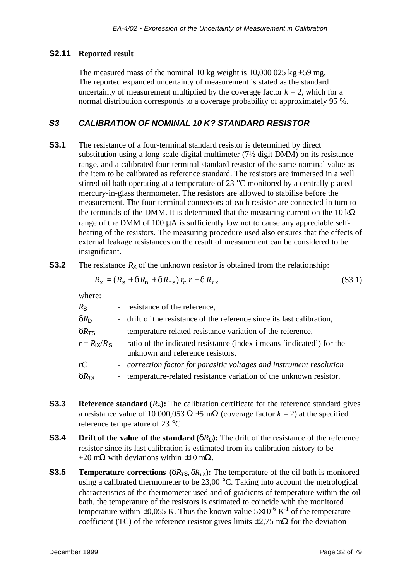#### **S2.11 Reported result**

The measured mass of the nominal 10 kg weight is 10,000 025 kg  $\pm$ 59 mg. The reported expanded uncertainty of measurement is stated as the standard uncertainty of measurement multiplied by the coverage factor  $k = 2$ , which for a normal distribution corresponds to a coverage probability of approximately 95 %.

#### *S3 CALIBRATION OF NOMINAL 10 K? STANDARD RESISTOR*

- **S3.1** The resistance of a four-terminal standard resistor is determined by direct substitution using a long-scale digital multimeter (7½ digit DMM) on its resistance range, and a calibrated four-terminal standard resistor of the same nominal value as the item to be calibrated as reference standard. The resistors are immersed in a well stirred oil bath operating at a temperature of 23 °C monitored by a centrally placed mercury-in-glass thermometer. The resistors are allowed to stabilise before the measurement. The four-terminal connectors of each resistor are connected in turn to the terminals of the DMM. It is determined that the measuring current on the  $10 \text{ k}\Omega$ range of the DMM of 100 μA is sufficiently low not to cause any appreciable selfheating of the resistors. The measuring procedure used also ensures that the effects of external leakage resistances on the result of measurement can be considered to be insignificant.
- **S3.2** The resistance  $R_X$  of the unknown resistor is obtained from the relationship:

$$
R_{\rm X} = (R_{\rm S} + \delta R_{\rm D} + \delta R_{\rm TS}) r_{\rm C} r - \delta R_{\rm TX}
$$
\n(S3.1)

where:

| $R_{\rm S}$            | - resistance of the reference,                                                                                                  |
|------------------------|---------------------------------------------------------------------------------------------------------------------------------|
| $\delta R_{\text{D}}$  | - drift of the resistance of the reference since its last calibration,                                                          |
| $\delta R_{\rm TS}$    | - temperature related resistance variation of the reference,                                                                    |
|                        | $r = R_{iX}/R_{iS}$ - ratio of the indicated resistance (index i means 'indicated') for the<br>unknown and reference resistors, |
| rC                     | - correction factor for parasitic voltages and instrument resolution                                                            |
| $\delta R_{T\text{X}}$ | temperature-related resistance variation of the unknown resistor.                                                               |

- **S3.3 Reference standard**  $(R_S)$ : The calibration certificate for the reference standard gives a resistance value of 10 000,053  $\Omega \pm 5$  m $\Omega$  (coverage factor  $k = 2$ ) at the specified reference temperature of 23 °C.
- **S3.4 Drift of the value of the standard (** $\delta R_D$ **):** The drift of the resistance of the reference resistor since its last calibration is estimated from its calibration history to be +20 m $\Omega$  with deviations within  $\pm 10$  m $\Omega$ .
- **S3.5 Temperature corrections** ( $\delta R_{T\text{S}}$ ,  $\delta R_{T\text{X}}$ ): The temperature of the oil bath is monitored using a calibrated thermometer to be 23,00 °C. Taking into account the metrological characteristics of the thermometer used and of gradients of temperature within the oil bath, the temperature of the resistors is estimated to coincide with the monitored temperature within  $\pm 0.055$  K. Thus the known value  $5\times10^{-6}$  K<sup>-1</sup> of the temperature coefficient (TC) of the reference resistor gives limits  $\pm 2.75$  m $\Omega$  for the deviation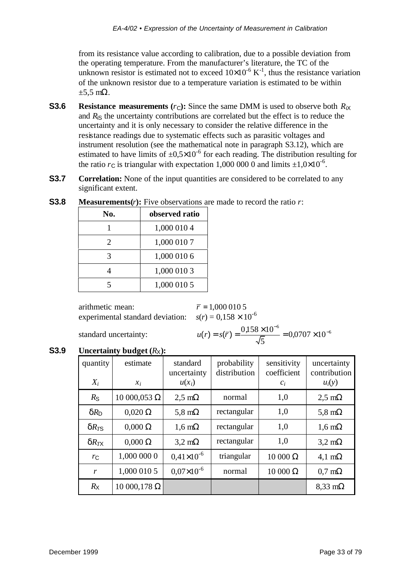from its resistance value according to calibration, due to a possible deviation from the operating temperature. From the manufacturer's literature, the TC of the unknown resistor is estimated not to exceed  $10\times10^{-6}$  K<sup>-1</sup>, thus the resistance variation of the unknown resistor due to a temperature variation is estimated to be within  $\pm 5.5$  m $\Omega$ .

- **S3.6 Resistance measurements**  $(r<sub>C</sub>)$ : Since the same DMM is used to observe both  $R_{iX}$ and  $R_i$ <sub>S</sub> the uncertainty contributions are correlated but the effect is to reduce the uncertainty and it is only necessary to consider the relative difference in the resistance readings due to systematic effects such as parasitic voltages and instrument resolution (see the mathematical note in paragraph S3.12), which are estimated to have limits of  $\pm 0.5 \times 10^{-6}$  for each reading. The distribution resulting for the ratio  $r_c$  is triangular with expectation 1,000 000 0 and limits  $\pm 1,0 \times 10^{-6}$ .
- **S3.7 Correlation:** None of the input quantities are considered to be correlated to any significant extent.

| observed ratio |
|----------------|
| 1,000 010 4    |
| 1,000 010 7    |
| 1,000 010 6    |
| 1,000 010 3    |
| 1,000 010 5    |
|                |

**S3.8 Measurements(***r***):** Five observations are made to record the ratio *r*:

arithmetic mean:  $\overline{r} = 1,000\,010\,5$ experimental standard deviation:  $s(r) = 0.158 \times 10^{-6}$ 

 $standard$  uncertainty:

```
\frac{\times 10^{-6}}{2} = 0.0707 \times0.158 \times 10^{-6} -0.0707 \times 10^{-7}5
              0,0707 \times 10\frac{158 \times 10^{-6}}{5} = 0.0707 \times 10^{-6}
```
**S3.9 Uncertainty budget**  $(R_X)$ :

| quantity<br>$X_i$  | estimate<br>$x_i$  | standard<br>uncertainty<br>$u(x_i)$ | probability<br>distribution | sensitivity<br>coefficient<br>$c_i$ | uncertainty<br>contribution<br>$u_i(y)$ |
|--------------------|--------------------|-------------------------------------|-----------------------------|-------------------------------------|-----------------------------------------|
| $R_{\rm S}$        | $10000,053$ Ω      | $2.5 \text{ m}\Omega$               | normal                      | 1,0                                 | $2.5 \text{ mA}$                        |
| $\delta R_{\rm D}$ | $0,020 \Omega$     | 5,8 m $\Omega$                      | rectangular                 | 1,0                                 | 5,8 m $\Omega$                          |
| $\delta R_{TS}$    | $0,000 \Omega$     | $1,6 \text{ m}\Omega$               | rectangular                 | 1,0                                 | $1,6 \text{ m}\Omega$                   |
| $\delta R_{TX}$    | $0,000 \Omega$     | $3.2 \text{ mA}$                    | rectangular                 | 1,0                                 | $3.2 \text{ mA}$                        |
| $r_{\rm C}$        | 1,000 000 0        | $0.41\times10^{-6}$                 | triangular                  | 10000 Ω                             | 4,1 m $\Omega$                          |
| r                  | 1,000 010 5        | $0.07\times10^{-6}$                 | normal                      | 10000 Ω                             | $0.7 \text{ mA}$                        |
| $R_{\rm X}$        | $10000,178 \Omega$ |                                     |                             |                                     | $8,33 \text{ m}\Omega$                  |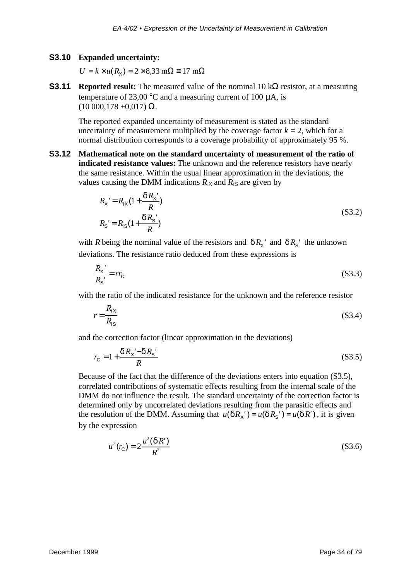#### **S3.10 Expanded uncertainty:**

 $U = k \times u(R_{\rm X}) = 2 \times 8,33 \text{ m}\Omega \approx 17 \text{ m}\Omega$ 

**S3.11 Reported result:** The measured value of the nominal 10 kΩ resistor, at a measuring temperature of 23,00 °C and a measuring current of 100  $\mu$ A, is  $(10\ 000, 178\ \pm0, 017)$  Ω.

The reported expanded uncertainty of measurement is stated as the standard uncertainty of measurement multiplied by the coverage factor  $k = 2$ , which for a normal distribution corresponds to a coverage probability of approximately 95 %.

**S3.12 Mathematical note on the standard uncertainty of measurement of the ratio of indicated resistance values:** The unknown and the reference resistors have nearly the same resistance. Within the usual linear approximation in the deviations, the values causing the DMM indications  $R_{iX}$  and  $R_{iS}$  are given by

$$
R_{X}' = R_{iX} (1 + \frac{\delta R_{X}'}{R})
$$
  
\n
$$
R_{S} = R_{iS} (1 + \frac{\delta R_{S}'}{R})
$$
\n(S3.2)

with *R* being the nominal value of the resistors and  $\delta R_X'$  and  $\delta R_S'$  the unknown deviations. The resistance ratio deduced from these expressions is

$$
\frac{R_{\rm x'}}{R_{\rm s'}} = rr_{\rm C} \tag{S3.3}
$$

with the ratio of the indicated resistance for the unknown and the reference resistor

$$
r = \frac{R_{ix}}{R_{is}}\tag{S3.4}
$$

and the correction factor (linear approximation in the deviations)

$$
r_{\rm C} = 1 + \frac{\delta R_{\rm X} - \delta R_{\rm S}}{R}
$$
\n<sup>(S3.5)</sup>

Because of the fact that the difference of the deviations enters into equation (S3.5), correlated contributions of systematic effects resulting from the internal scale of the DMM do not influence the result. The standard uncertainty of the correction factor is determined only by uncorrelated deviations resulting from the parasitic effects and the resolution of the DMM. Assuming that  $u(\delta R_X') = u(\delta R_S') = u(\delta R')$ , it is given by the expression

$$
u^{2}(r_{\rm C}) = 2 \frac{u^{2}(\delta R')}{R^{2}}
$$
 (S3.6)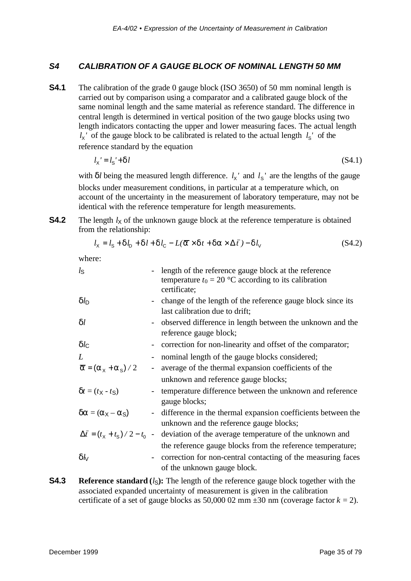## *S4 CALIBRATION OF A GAUGE BLOCK OF NOMINAL LENGTH 50 MM*

**S4.1** The calibration of the grade 0 gauge block (ISO 3650) of 50 mm nominal length is carried out by comparison using a comparator and a calibrated gauge block of the same nominal length and the same material as reference standard. The difference in central length is determined in vertical position of the two gauge blocks using two length indicators contacting the upper and lower measuring faces. The actual length  $l_X$ <sup>'</sup> of the gauge block to be calibrated is related to the actual length  $l_S$ <sup>'</sup> of the reference standard by the equation

$$
l_{\mathsf{x}} = l_{\mathsf{s}} + \delta l \tag{S4.1}
$$

with  $\delta l$  being the measured length difference.  $l_x$ <sup>'</sup> and  $l_s$ <sup>'</sup> are the lengths of the gauge blocks under measurement conditions, in particular at a temperature which, on account of the uncertainty in the measurement of laboratory temperature, may not be identical with the reference temperature for length measurements.

**S4.2** The length  $l_X$  of the unknown gauge block at the reference temperature is obtained from the relationship:

$$
l_{x} = l_{s} + \delta l_{p} + \delta l + \delta l_{c} - L(\vec{a} \times \delta t + \delta \vec{a} \times \Delta \vec{t}) - \delta l_{v}
$$
 (S4.2)

where:

| $l_{\rm S}$                                              |                          | length of the reference gauge block at the reference<br>temperature $t_0 = 20$ °C according to its calibration<br>certificate; |
|----------------------------------------------------------|--------------------------|--------------------------------------------------------------------------------------------------------------------------------|
| $\delta l_{\rm D}$                                       |                          | - change of the length of the reference gauge block since its<br>last calibration due to drift;                                |
| $\delta l$                                               |                          | - observed difference in length between the unknown and the<br>reference gauge block;                                          |
| $\delta l_{\rm C}$                                       | $\overline{\phantom{a}}$ | correction for non-linearity and offset of the comparator;                                                                     |
| L                                                        |                          | nominal length of the gauge blocks considered;                                                                                 |
| $\overline{a} = (a_x + a_s)/2$                           |                          | average of the thermal expansion coefficients of the                                                                           |
|                                                          |                          | unknown and reference gauge blocks;                                                                                            |
| $\delta t = (t_{\rm X} - t_{\rm S})$                     |                          | temperature difference between the unknown and reference<br>gauge blocks;                                                      |
| $\delta a = (a_X - a_S)$                                 | $\overline{\phantom{a}}$ | difference in the thermal expansion coefficients between the<br>unknown and the reference gauge blocks;                        |
| $\Delta \bar{t} = (t_{\rm x} + t_{\rm s})/2 - t_{\rm o}$ | $\pm$                    | deviation of the average temperature of the unknown and                                                                        |
|                                                          |                          | the reference gauge blocks from the reference temperature;                                                                     |
| $\delta\omega$                                           |                          | correction for non-central contacting of the measuring faces<br>of the unknown gauge block.                                    |

**S4.3 Reference standard**  $(l_S)$ : The length of the reference gauge block together with the associated expanded uncertainty of measurement is given in the calibration certificate of a set of gauge blocks as  $50,00002$  mm  $\pm 30$  nm (coverage factor  $k = 2$ ).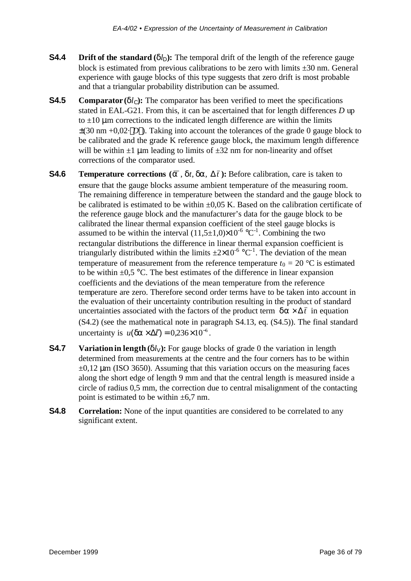- **S4.4 Drift of the standard**  $(\delta l_D)$ : The temporal drift of the length of the reference gauge block is estimated from previous calibrations to be zero with limits ±30 nm. General experience with gauge blocks of this type suggests that zero drift is most probable and that a triangular probability distribution can be assumed.
- **S4.5 Comparator** ( $\delta l_c$ ): The comparator has been verified to meet the specifications stated in EAL-G21. From this, it can be ascertained that for length differences *D* up to  $\pm 10$  μm corrections to the indicated length difference are within the limits  $\pm(30 \text{ nm} +0.02 \cdot |D|)$ . Taking into account the tolerances of the grade 0 gauge block to be calibrated and the grade K reference gauge block, the maximum length difference will be within  $\pm 1$  um leading to limits of  $\pm 32$  nm for non-linearity and offset corrections of the comparator used.
- **S4.6 Temperature corrections**  $(\overline{a}, \delta t, \delta a, \Delta \overline{t})$ : Before calibration, care is taken to ensure that the gauge blocks assume ambient temperature of the measuring room. The remaining difference in temperature between the standard and the gauge block to be calibrated is estimated to be within  $\pm 0.05$  K. Based on the calibration certificate of the reference gauge block and the manufacturer's data for the gauge block to be calibrated the linear thermal expansion coefficient of the steel gauge blocks is assumed to be within the interval  $(11,5\pm1,0)\times10^{-6}$  °C<sup>-1</sup>. Combining the two rectangular distributions the difference in linear thermal expansion coefficient is triangularly distributed within the limits  $\pm 2 \times 10^{-6}$  °C<sup>-1</sup>. The deviation of the mean temperature of measurement from the reference temperature  $t_0 = 20$  °C is estimated to be within  $\pm 0.5$  °C. The best estimates of the difference in linear expansion coefficients and the deviations of the mean temperature from the reference temperature are zero. Therefore second order terms have to be taken into account in the evaluation of their uncertainty contribution resulting in the product of standard uncertainties associated with the factors of the product term  $\delta a \times \Delta \bar{t}$  in equation (S4.2) (see the mathematical note in paragraph S4.13, eq. (S4.5)). The final standard uncertainty is  $u(\delta \mathbf{a} \times \Delta \mathbf{f}) = 0.236 \times 10^{-6}$ .
- **S4.7 Variation in length**  $(\delta l_V)$ : For gauge blocks of grade 0 the variation in length determined from measurements at the centre and the four corners has to be within  $\pm 0.12$  μm (ISO 3650). Assuming that this variation occurs on the measuring faces along the short edge of length 9 mm and that the central length is measured inside a circle of radius 0,5 mm, the correction due to central misalignment of the contacting point is estimated to be within  $\pm 6.7$  nm.
- **S4.8 Correlation:** None of the input quantities are considered to be correlated to any significant extent.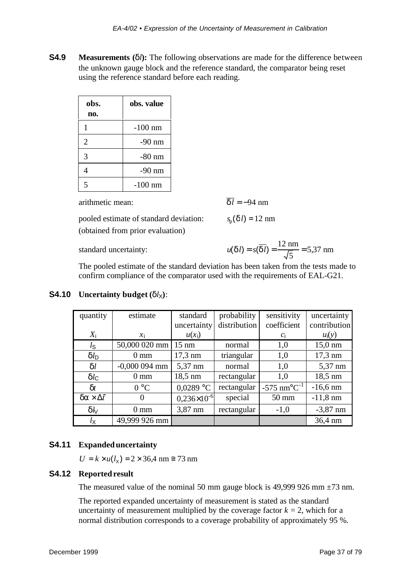**S4.9 Measurements (**δ*l***):** The following observations are made for the difference between the unknown gauge block and the reference standard, the comparator being reset using the reference standard before each reading.

| obs.<br>no.           | obs. value |
|-----------------------|------------|
|                       | $-100$ nm  |
| $\mathcal{D}_{\cdot}$ | $-90$ nm   |
| 3                     | $-80$ nm   |
|                       | $-90$ nm   |
|                       | $-100$ nm  |

arithmetic mean:  $\overline{\delta l}$  = −94 nm

pooled estimate of standard deviation: (obtained from prior evaluation)

 $p_p(\delta l) = 12$  nm

standard uncertainty: *u* 

$$
u(\delta l) = s(\overline{\delta l}) = \frac{12 \text{ nm}}{\sqrt{5}} = 5.37 \text{ nm}
$$

The pooled estimate of the standard deviation has been taken from the tests made to confirm compliance of the comparator used with the requirements of EAL-G21.

| quantity                        | estimate        | standard             | probability  | sensitivity                            | uncertainty       |
|---------------------------------|-----------------|----------------------|--------------|----------------------------------------|-------------------|
|                                 |                 | uncertainty          | distribution | coefficient                            | contribution      |
| $X_i$                           | $\mathcal{X}$ i | $u(x_i)$             |              | $c_i$                                  | $u_i(y)$          |
| $l_{\mathsf{S}}$                | 50,000 020 mm   | $15 \text{ nm}$      | normal       | 1,0                                    | $15,0 \text{ nm}$ |
| $\delta l_{\rm D}$              | $0 \text{ mm}$  | $17.3 \text{ nm}$    | triangular   | 1,0                                    | $17,3 \text{ nm}$ |
| $\delta l$                      | $-0,000094$ mm  | 5,37 nm              | normal       | 1,0                                    | 5,37 nm           |
| $\delta l_{\rm C}$              | $0 \text{ mm}$  | 18,5 nm              | rectangular  | 1,0                                    | 18,5 nm           |
| $\delta t$                      | $0^{\circ}C$    | $0,0289$ °C          | rectangular  | $-575$ nm <sup>o</sup> C <sup>-1</sup> | $-16,6$ nm        |
| $\delta \alpha \times \Delta t$ | $\theta$        | $0,236\times10^{-6}$ | special      | $50 \text{ mm}$                        | $-11,8$ nm        |
| $\delta k$                      | $0 \text{ mm}$  | 3,87 nm              | rectangular  | $-1,0$                                 | $-3,87$ nm        |
| $l_{\mathsf{X}}$                | 49,999 926 mm   |                      |              |                                        | 36,4 nm           |

**S4.10 Uncertainty budget**  $(\delta l_{\chi})$ :

# **S4.11 Expanded uncertainty**

 $U = k \times u(l_{x}) = 2 \times 36,4 \text{ nm} \approx 73 \text{ nm}$ 

#### **S4.12 Reported result**

The measured value of the nominal 50 mm gauge block is 49,999 926 mm  $\pm$ 73 nm.

The reported expanded uncertainty of measurement is stated as the standard uncertainty of measurement multiplied by the coverage factor  $k = 2$ , which for a normal distribution corresponds to a coverage probability of approximately 95 %.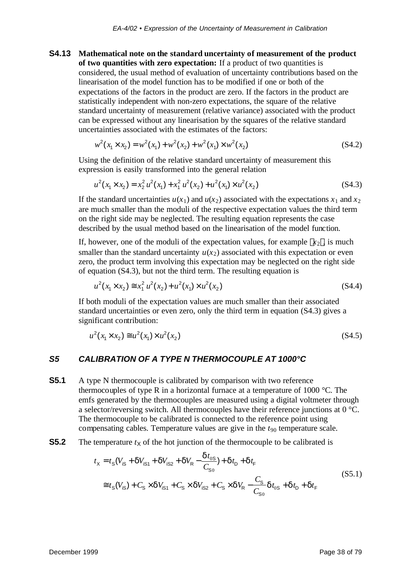**S4.13 Mathematical note on the standard uncertainty of measurement of the product of two quantities with zero expectation:** If a product of two quantities is considered, the usual method of evaluation of uncertainty contributions based on the linearisation of the model function has to be modified if one or both of the expectations of the factors in the product are zero. If the factors in the product are statistically independent with non-zero expectations, the square of the relative standard uncertainty of measurement (relative variance) associated with the product can be expressed without any linearisation by the squares of the relative standard uncertainties associated with the estimates of the factors:

$$
w^{2}(x_{1} \times x_{2}) = w^{2}(x_{1}) + w^{2}(x_{2}) + w^{2}(x_{1}) \times w^{2}(x_{2})
$$
\n(S4.2)

Using the definition of the relative standard uncertainty of measurement this expression is easily transformed into the general relation

$$
u^{2}(x_{1} \times x_{2}) = x_{2}^{2} u^{2}(x_{1}) + x_{1}^{2} u^{2}(x_{2}) + u^{2}(x_{1}) \times u^{2}(x_{2})
$$
\n(S4.3)

If the standard uncertainties  $u(x_1)$  and  $u(x_2)$  associated with the expectations  $x_1$  and  $x_2$ are much smaller than the moduli of the respective expectation values the third term on the right side may be neglected. The resulting equation represents the case described by the usual method based on the linearisation of the model function.

If, however, one of the moduli of the expectation values, for example  $x_2$ , is much smaller than the standard uncertainty  $u(x_2)$  associated with this expectation or even zero, the product term involving this expectation may be neglected on the right side of equation (S4.3), but not the third term. The resulting equation is

$$
u^{2}(x_{1} \times x_{2}) \approx x_{1}^{2} u^{2}(x_{2}) + u^{2}(x_{1}) \times u^{2}(x_{2})
$$
\n(S4.4)

If both moduli of the expectation values are much smaller than their associated standard uncertainties or even zero, only the third term in equation (S4.3) gives a significant contribution:

$$
u^{2}(x_{1} \times x_{2}) \approx u^{2}(x_{1}) \times u^{2}(x_{2})
$$
\n(S4.5)

#### *S5 CALIBRATION OF A TYPE N THERMOCOUPLE AT 1000°C*

**S5.1** A type N thermocouple is calibrated by comparison with two reference thermocouples of type R in a horizontal furnace at a temperature of 1000  $^{\circ}$ C. The emfs generated by the thermocouples are measured using a digital voltmeter through a selector/reversing switch. All thermocouples have their reference junctions at 0 °C. The thermocouple to be calibrated is connected to the reference point using compensating cables. Temperature values are give in the *t*90 temperature scale.

#### **S5.2** The temperature  $t_X$  of the hot junction of the thermocouple to be calibrated is

$$
t_{\chi} = t_{S}(V_{iS} + \delta V_{iS1} + \delta V_{iS2} + \delta V_{R} - \frac{\delta t_{0S}}{C_{S0}}) + \delta t_{D} + \delta t_{F}
$$
  
\n
$$
\approx t_{S}(V_{iS}) + C_{S} \times \delta V_{iS1} + C_{S} \times \delta V_{iS2} + C_{S} \times \delta V_{R} - \frac{C_{S}}{C_{S0}} \delta t_{0S} + \delta t_{D} + \delta t_{F}
$$
\n(S5.1)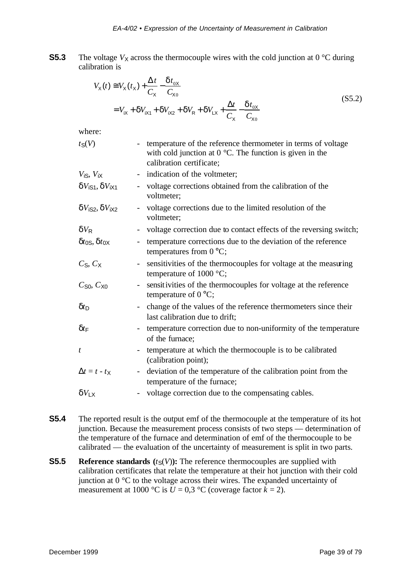**S5.3** The voltage  $V_X$  across the thermocouple wires with the cold junction at 0 °C during calibration is

$$
V_{\chi}(t) \approx V_{\chi}(t_{\chi}) + \frac{\Delta t}{C_{\chi}} - \frac{\delta t_{0\chi}}{C_{\chi_{0}}}
$$
  
=  $V_{i\chi} + \delta V_{i\chi_{1}} + \delta V_{i\chi_{2}} + \delta V_{R} + \delta V_{L\chi} + \frac{\Delta t}{C_{\chi}} - \frac{\delta t_{0\chi}}{C_{\chi_{0}}}$  (S5.2)

where:

| $t_S(V)$                                      | temperature of the reference thermometer in terms of voltage<br>with cold junction at $0^{\circ}$ C. The function is given in the<br>calibration certificate; |
|-----------------------------------------------|---------------------------------------------------------------------------------------------------------------------------------------------------------------|
| $V$ <sub>i</sub> s, $V$ <sub>i</sub> $\times$ | indication of the voltmeter;                                                                                                                                  |
| $\delta V_{\rm iS1}, \delta V_{\rm iX1}$      | voltage corrections obtained from the calibration of the<br>$\overline{\phantom{0}}$<br>voltmeter;                                                            |
| $\delta V_{\rm iS2}, \delta V_{\rm iX2}$      | voltage corrections due to the limited resolution of the<br>voltmeter;                                                                                        |
| $\delta V_{\rm R}$                            | voltage correction due to contact effects of the reversing switch;                                                                                            |
| $\delta t_{0S}, \delta t_{0X}$                | temperature corrections due to the deviation of the reference<br>temperatures from $0^{\circ}C$ ;                                                             |
| $C_S, C_X$                                    | sensitivities of the thermocouples for voltage at the measuring<br>temperature of $1000 \degree C$ ;                                                          |
| $C_{S0}$ , $C_{X0}$                           | sensitivities of the thermocouples for voltage at the reference<br>temperature of $0^{\circ}C$ ;                                                              |
| $\delta t_{\rm D}$                            | change of the values of the reference thermometers since their<br>last calibration due to drift;                                                              |
| $\delta t$ F                                  | temperature correction due to non-uniformity of the temperature<br>of the furnace:                                                                            |
| t                                             | temperature at which the thermocouple is to be calibrated<br>(calibration point);                                                                             |
| $\Delta t = t - t_{\mathsf{X}}$               | deviation of the temperature of the calibration point from the<br>$\blacksquare$<br>temperature of the furnace;                                               |
| $\delta V_{\text{L}X}$                        | voltage correction due to the compensating cables.                                                                                                            |
|                                               |                                                                                                                                                               |

- **S5.4** The reported result is the output emf of the thermocouple at the temperature of its hot junction. Because the measurement process consists of two steps — determination of the temperature of the furnace and determination of emf of the thermocouple to be calibrated — the evaluation of the uncertainty of measurement is split in two parts.
- **S5.5 Reference standards**  $(t_S(V))$ : The reference thermocouples are supplied with calibration certificates that relate the temperature at their hot junction with their cold junction at 0 °C to the voltage across their wires. The expanded uncertainty of measurement at 1000 °C is  $U = 0.3$  °C (coverage factor  $k = 2$ ).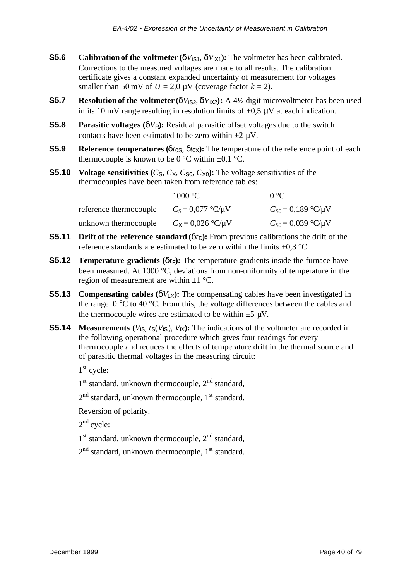- **S5.6 Calibration of the voltmeter** ( $\delta V_{\text{IS1}}$ ,  $\delta V_{\text{IX1}}$ ): The voltmeter has been calibrated. Corrections to the measured voltages are made to all results. The calibration certificate gives a constant expanded uncertainty of measurement for voltages smaller than 50 mV of  $U = 2.0 \mu V$  (coverage factor  $k = 2$ ).
- **S5.7 Resolution of the voltmeter** ( $\delta V_{iS2}, \delta V_{iX2}$ ): A 4½ digit microvoltmeter has been used in its 10 mV range resulting in resolution limits of  $\pm 0.5 \mu$ V at each indication.
- **S5.8 Parasitic voltages** ( $\delta V_R$ ): Residual parasitic offset voltages due to the switch contacts have been estimated to be zero within  $\pm 2 \mu V$ .
- **S5.9 Reference temperatures** ( $\delta t_{0S}$ ,  $\delta t_{0X}$ ): The temperature of the reference point of each thermocouple is known to be  $0^{\circ}$ C within  $\pm 0.1^{\circ}$ C.
- **S5.10 Voltage sensitivities**  $(C_S, C_X, C_{S_0}, C_{X_0})$ : The voltage sensitivities of the thermocouples have been taken from reference tables:

|                        | 1000 °C                         | $0^{\circ}C$                 |
|------------------------|---------------------------------|------------------------------|
| reference thermocouple | $C_{\rm S} = 0.077$ °C/ $\mu$ V | $C_{S0} = 0.189$ °C/ $\mu$ V |
| unknown thermocouple   | $C_{\rm X} = 0.026$ °C/ $\mu$ V | $C_{S0} = 0.039$ °C/ $\mu$ V |

- **S5.11 Drift of the reference standard** ( $\delta t_D$ ): From previous calibrations the drift of the reference standards are estimated to be zero within the limits  $\pm 0.3$  °C.
- **S5.12 Temperature gradients** ( $\delta t_F$ ): The temperature gradients inside the furnace have been measured. At 1000 °C, deviations from non-uniformity of temperature in the region of measurement are within  $\pm 1$  °C.
- **S5.13** Compensating cables  $(\delta V_X)$ : The compensating cables have been investigated in the range  $0^{\circ}$ C to 40 °C. From this, the voltage differences between the cables and the thermocouple wires are estimated to be within  $\pm 5 \mu V$ .
- **S5.14 Measurements** ( $V_{\text{is}}$ ,  $t_S(V_{\text{is}})$ ,  $V_{\text{ix}}$ ): The indications of the voltmeter are recorded in the following operational procedure which gives four readings for every thermocouple and reduces the effects of temperature drift in the thermal source and of parasitic thermal voltages in the measuring circuit:

1<sup>st</sup> cycle:

- 1<sup>st</sup> standard, unknown thermocouple, 2<sup>nd</sup> standard,
- 2<sup>nd</sup> standard, unknown thermocouple, 1<sup>st</sup> standard.

Reversion of polarity.

 $2<sup>nd</sup>$  cycle:

- 1<sup>st</sup> standard, unknown thermocouple, 2<sup>nd</sup> standard,
- 2<sup>nd</sup> standard, unknown thermocouple, 1<sup>st</sup> standard.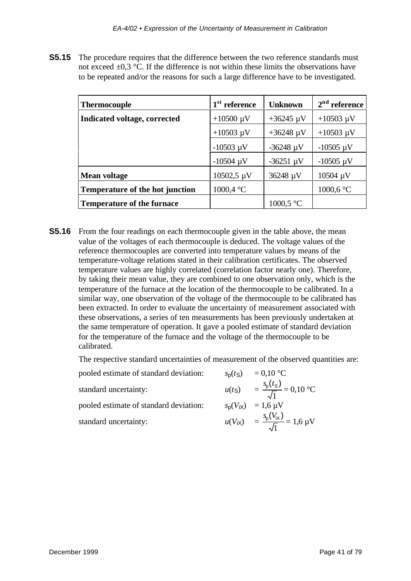**S5.15** The procedure requires that the difference between the two reference standards must not exceed  $\pm 0.3$  °C. If the difference is not within these limits the observations have to be repeated and/or the reasons for such a large difference have to be investigated.

| <b>Thermocouple</b>               | 1 <sup>st</sup> reference | <b>Unknown</b> | $2nd$ reference |
|-----------------------------------|---------------------------|----------------|-----------------|
| Indicated voltage, corrected      | $+10500 \mu V$            | $+36245 \mu V$ | $+10503 \mu V$  |
|                                   | $+10503 \mu V$            | $+36248 \mu V$ | $+10503 \mu V$  |
|                                   | $-10503 \mu V$            | $-36248 \mu V$ | $-10505 \mu V$  |
|                                   | $-10504 \mu V$            | $-36251 \mu V$ | $-10505 \mu V$  |
| <b>Mean voltage</b>               | $10502,5 \mu V$           | 36248 µV       | 10504 µV        |
| Temperature of the hot junction   | 1000,4 °C                 |                | 1000,6 °C       |
| <b>Temperature of the furnace</b> |                           | 1000,5 °C      |                 |

**S5.16** From the four readings on each thermocouple given in the table above, the mean value of the voltages of each thermocouple is deduced. The voltage values of the reference thermocouples are converted into temperature values by means of the temperature-voltage relations stated in their calibration certificates. The observed temperature values are highly correlated (correlation factor nearly one). Therefore, by taking their mean value, they are combined to one observation only, which is the temperature of the furnace at the location of the thermocouple to be calibrated. In a similar way, one observation of the voltage of the thermocouple to be calibrated has been extracted. In order to evaluate the uncertainty of measurement associated with these observations, a series of ten measurements has been previously undertaken at the same temperature of operation. It gave a pooled estimate of standard deviation for the temperature of the furnace and the voltage of the thermocouple to be calibrated.

The respective standard uncertainties of measurement of the observed quantities are:

| pooled estimate of standard deviation: | $s_p(t_S) = 0.10$ °C                                       |
|----------------------------------------|------------------------------------------------------------|
| standard uncertainty:                  | $u(t_S) = \frac{s_p(t_S)}{\sqrt{1}} = 0,10 \text{ °C}$     |
| pooled estimate of standard deviation: | $s_p(V_{iX}) = 1.6 \,\mu V$                                |
| standard uncertainty:                  | $u(V_{iX}) = \frac{s_{p}(V_{iX})}{\sqrt{1}} = 1.6 \ \mu V$ |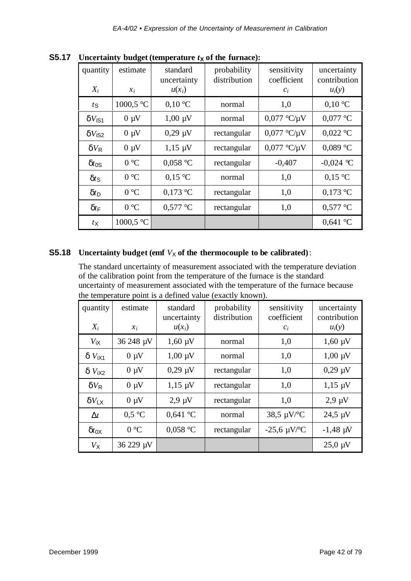| quantity<br>$X_i$        | estimate<br>$x_i$ | standard<br>uncertainty<br>$u(x_i)$ | probability<br>distribution | sensitivity<br>coefficient<br>$c_i$ | uncertainty<br>contribution<br>$u_i(y)$ |
|--------------------------|-------------------|-------------------------------------|-----------------------------|-------------------------------------|-----------------------------------------|
| $t_{\rm S}$              | 1000,5 °C         | $0,10\text{ °C}$                    | normal                      | 1,0                                 | $0,10\text{ °C}$                        |
| $\delta V_{\rm iS1}$     | $0 \mu V$         | $1,00 \mu V$                        | normal                      | $0.077$ °C/ $\mu$ V                 | $0,077$ °C                              |
| $\delta V_{\rm iS2}$     | $0 \mu V$         | $0,29 \mu V$                        | rectangular                 | $0,077$ °C/ $\mu$ V                 | $0,022$ °C                              |
| $\delta V_{\mathsf{R}}$  | $0 \mu V$         | $1,15 \mu V$                        | rectangular                 | $0.077$ °C/ $\mu$ V                 | $0,089$ °C                              |
| $\delta t$ <sub>0S</sub> | 0 °C              | $0.058$ °C                          | rectangular                 | $-0,407$                            | $-0,024$ °C                             |
| $\delta t$ s             | 0 °C              | $0.15$ °C                           | normal                      | 1,0                                 | $0.15$ °C                               |
| $\delta t_{\rm D}$       | 0 °C              | $0,173$ °C                          | rectangular                 | 1,0                                 | $0,173$ °C                              |
| $\delta t_{\text{F}}$    | 0 °C              | $0,577$ °C                          | rectangular                 | 1,0                                 | $0,577$ °C                              |
| $t_{\mathsf{X}}$         | 1000,5 °C         |                                     |                             |                                     | $0,641$ °C                              |

**S5.17 Uncertainty budget (temperature** *t***<sub>x</sub> of the furnace):** 

#### **S5.18 Uncertainty budget (emf**  $V_X$  of the thermocouple to be calibrated):

The standard uncertainty of measurement associated with the temperature deviation of the calibration point from the temperature of the furnace is the standard uncertainty of measurement associated with the temperature of the furnace because the temperature point is a defined value (exactly known).

| quantity<br>$X_i$                | estimate<br>$x_i$ | standard<br>uncertainty<br>$u(x_i)$ | probability<br>distribution | sensitivity<br>coefficient<br>$c_i$ | uncertainty<br>contribution<br>$u_i(y)$ |
|----------------------------------|-------------------|-------------------------------------|-----------------------------|-------------------------------------|-----------------------------------------|
| $V_{\mathsf{IX}}$                | 36 248 µV         | $1,60 \mu V$                        | normal                      | 1,0                                 | $1,60 \mu V$                            |
| $\delta V_{\text{IX1}}$          | $0 \mu V$         | $1,00 \mu V$                        | normal                      | 1,0                                 | $1,00 \mu V$                            |
| $\delta V_{\text{IX2}}$          | $0 \mu V$         | $0,29 \mu V$                        | rectangular                 | 1,0                                 | $0,29 \mu V$                            |
| $\delta V_{\rm R}$               | $0 \mu V$         | $1,15 \mu V$                        | rectangular                 | 1,0                                 | $1,15 \mu V$                            |
| $\delta V_{\rm IX}$              | $0 \mu V$         | $2.9 \mu V$                         | rectangular                 | 1,0                                 | $2.9 \mu V$                             |
| $\Delta t$                       | 0.5 °C            | $0,641$ °C                          | normal                      | 38,5 $\mu$ V/°C                     | $24.5 \mu V$                            |
| $\delta t$ <sub>O</sub> $\times$ | 0 °C              | $0,058$ °C                          | rectangular                 | $-25,6 \mu V$ <sup>o</sup> C        | $-1,48 \mu V$                           |
| $V_{\rm X}$                      | 36 229 µV         |                                     |                             |                                     | $25,0 \mu V$                            |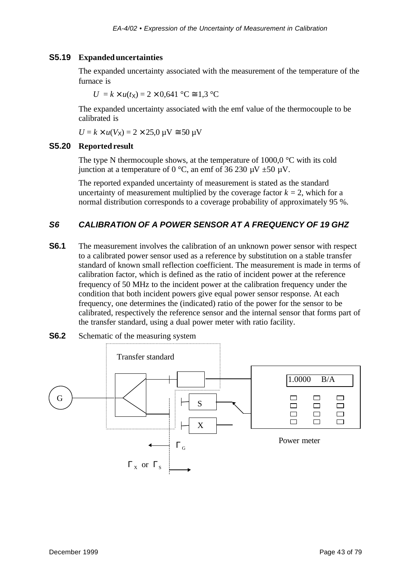#### **S5.19 Expanded uncertainties**

The expanded uncertainty associated with the measurement of the temperature of the furnace is

 $U = k \times u(t_{\rm X}) = 2 \times 0.641$  °C  $\approx 1.3$  °C

The expanded uncertainty associated with the emf value of the thermocouple to be calibrated is

$$
U = k \times u(V_X) = 2 \times 25.0 \, \mu\text{V} \cong 50 \, \mu\text{V}
$$

#### **S5.20 Reported result**

The type N thermocouple shows, at the temperature of  $1000.0 \degree C$  with its cold junction at a temperature of 0 °C, an emf of 36 230  $\mu$ V  $\pm$ 50  $\mu$ V.

The reported expanded uncertainty of measurement is stated as the standard uncertainty of measurement multiplied by the coverage factor  $k = 2$ , which for a normal distribution corresponds to a coverage probability of approximately 95 %.

#### *S6 CALIBRATION OF A POWER SENSOR AT A FREQUENCY OF 19 GHZ*

**S6.1** The measurement involves the calibration of an unknown power sensor with respect to a calibrated power sensor used as a reference by substitution on a stable transfer standard of known small reflection coefficient. The measurement is made in terms of calibration factor, which is defined as the ratio of incident power at the reference frequency of 50 MHz to the incident power at the calibration frequency under the condition that both incident powers give equal power sensor response. At each frequency, one determines the (indicated) ratio of the power for the sensor to be calibrated, respectively the reference sensor and the internal sensor that forms part of the transfer standard, using a dual power meter with ratio facility.



**S6.2** Schematic of the measuring system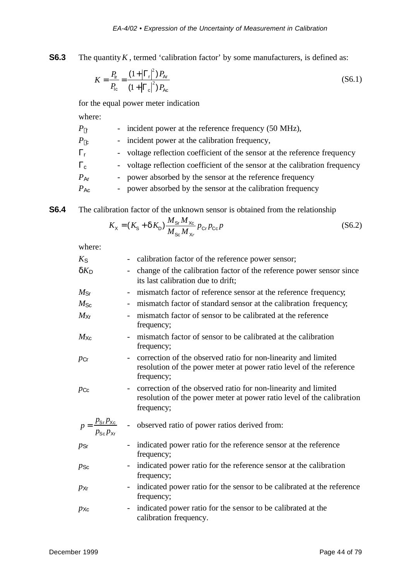**S6.3** The quantity *K*, termed 'calibration factor' by some manufacturers, is defined as:

$$
K = \frac{P_{\text{lr}}}{P_{\text{lc}}} = \frac{(1 + |\mathbf{G}_{\text{r}}|^2) P_{\text{Ar}}}{(1 + |\mathbf{G}_{\text{c}}|^2) P_{\text{Ac}}}
$$
(S6.1)

for the equal power meter indication

where:

| $P\vert$ r      | - incident power at the reference frequency (50 MHz),                       |
|-----------------|-----------------------------------------------------------------------------|
| $P_{\rm  c}$    | - incident power at the calibration frequency,                              |
| $G_{r}$         | - voltage reflection coefficient of the sensor at the reference frequency   |
| $G_{\rm C}$     | - voltage reflection coefficient of the sensor at the calibration frequency |
| $P_{\text{Ar}}$ | - power absorbed by the sensor at the reference frequency                   |
| $P_{\text{Ac}}$ | - power absorbed by the sensor at the calibration frequency                 |
|                 |                                                                             |

**S6.4** The calibration factor of the unknown sensor is obtained from the relationship

$$
K_{\rm X} = (K_{\rm S} + \delta K_{\rm D}) \frac{M_{\rm Sr} M_{\rm Xc}}{M_{\rm Sc} M_{\rm Xr}} p_{\rm Cr} p_{\rm Co} p \tag{S6.2}
$$

where:

| $K_{\mathsf{S}}$                                                    | calibration factor of the reference power sensor;                                                                                                     |
|---------------------------------------------------------------------|-------------------------------------------------------------------------------------------------------------------------------------------------------|
| $\delta K_{\mathsf{D}}$                                             | change of the calibration factor of the reference power sensor since                                                                                  |
|                                                                     | its last calibration due to drift;                                                                                                                    |
| $M_{\rm Sr}$                                                        | - mismatch factor of reference sensor at the reference frequency;                                                                                     |
| $M_{\rm Sc}$                                                        | mismatch factor of standard sensor at the calibration frequency,                                                                                      |
| $M_{\rm{Xr}}$                                                       | mismatch factor of sensor to be calibrated at the reference<br>frequency;                                                                             |
| $M_{\rm Xc}$                                                        | mismatch factor of sensor to be calibrated at the calibration<br>frequency;                                                                           |
| $p_{\text{Cr}}$                                                     | correction of the observed ratio for non-linearity and limited<br>resolution of the power meter at power ratio level of the reference<br>frequency;   |
| $p_{\mathsf{Cc}}$                                                   | correction of the observed ratio for non-linearity and limited<br>resolution of the power meter at power ratio level of the calibration<br>frequency; |
| $p = \frac{p_{\text{Sr}}p_{\text{Xc}}}{p_{\text{Sc}}p_{\text{Xr}}}$ | - observed ratio of power ratios derived from:                                                                                                        |
| $p_{\mathsf{Sr}}$                                                   | indicated power ratio for the reference sensor at the reference<br>frequency;                                                                         |
| $p_{\mathsf{Sc}}$                                                   | indicated power ratio for the reference sensor at the calibration<br>frequency;                                                                       |
| $p_{\mathsf{Xr}}$                                                   | indicated power ratio for the sensor to be calibrated at the reference<br>$\overline{\phantom{a}}$<br>frequency;                                      |
| $p_{\text{Xc}}$                                                     | indicated power ratio for the sensor to be calibrated at the<br>calibration frequency.                                                                |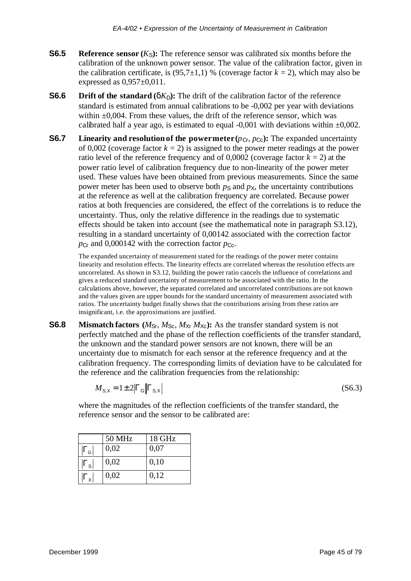- **S6.5 Reference sensor**  $(K_S)$ : The reference sensor was calibrated six months before the calibration of the unknown power sensor. The value of the calibration factor, given in the calibration certificate, is  $(95.7\pm1.1)$  % (coverage factor  $k = 2$ ), which may also be expressed as 0,957±0,011.
- **S6.6 Drift of the standard** ( $\delta K_D$ ): The drift of the calibration factor of the reference standard is estimated from annual calibrations to be -0,002 per year with deviations within  $\pm 0.004$ . From these values, the drift of the reference sensor, which was calibrated half a year ago, is estimated to equal  $-0.001$  with deviations within  $\pm 0.002$ .
- **S6.7 Linearity and resolution of the power meter**  $(p_{Cr}, p_{Cc})$ **: The expanded uncertainty** of 0,002 (coverage factor  $k = 2$ ) is assigned to the power meter readings at the power ratio level of the reference frequency and of  $0,0002$  (coverage factor  $k = 2$ ) at the power ratio level of calibration frequency due to non-linearity of the power meter used. These values have been obtained from previous measurements. Since the same power meter has been used to observe both  $p<sub>S</sub>$  and  $p<sub>X</sub>$ , the uncertainty contributions at the reference as well at the calibration frequency are correlated. Because power ratios at both frequencies are considered, the effect of the correlations is to reduce the uncertainty. Thus, only the relative difference in the readings due to systematic effects should be taken into account (see the mathematical note in paragraph S3.12), resulting in a standard uncertainty of 0,00142 associated with the correction factor  $p_{Cr}$  and 0,000142 with the correction factor  $p_{Cr}$ .

The expanded uncertainty of measurement stated for the readings of the power meter contains linearity and resolution effects. The linearity effects are correlated whereas the resolution effects are uncorrelated. As shown in S3.12, building the power ratio cancels the influence of correlations and gives a reduced standard uncertainty of measurement to be associated with the ratio. In the calculations above, however, the separated correlated and uncorrelated contributions are not known and the values given are upper bounds for the standard uncertainty of measurement associated with ratios. The uncertainty budget finally shows that the contributions arising from these ratios are insignificant, i.e. the approximations are justified.

**S6.8 Mismatch factors**  $(M_{\text{Sr}}, M_{\text{Sc}}, M_{\text{Xr}} M_{\text{Xc}})$ : As the transfer standard system is not perfectly matched and the phase of the reflection coefficients of the transfer standard, the unknown and the standard power sensors are not known, there will be an uncertainty due to mismatch for each sensor at the reference frequency and at the calibration frequency. The corresponding limits of deviation have to be calculated for the reference and the calibration frequencies from the relationship:

$$
M_{\rm S,X} = 1 \pm 2 \left| \mathbf{G}_{\rm S,X} \right| \tag{S6.3}
$$

where the magnitudes of the reflection coefficients of the transfer standard, the reference sensor and the sensor to be calibrated are:

|                        | <b>50 MHz</b> | 18 GHz |
|------------------------|---------------|--------|
| $ G_{\rm G} $          | 0,02          | 0,07   |
| $ G_{\text{\tiny S}} $ | 0,02          | 0,10   |
| $ \pmb{G}_\times $     | 0,02          | 0,12   |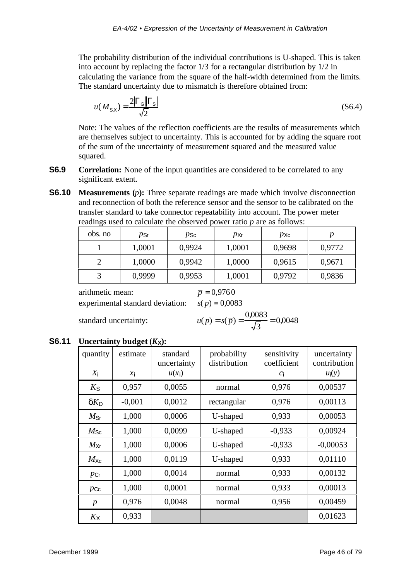The probability distribution of the individual contributions is U-shaped. This is taken into account by replacing the factor 1/3 for a rectangular distribution by 1/2 in calculating the variance from the square of the half-width determined from the limits. The standard uncertainty due to mismatch is therefore obtained from:

$$
u(M_{\rm S,X}) = \frac{2|\boldsymbol{G}_{\rm S}||\boldsymbol{G}_{\rm S}|}{\sqrt{2}}
$$
(S6.4)

Note: The values of the reflection coefficients are the results of measurements which are themselves subject to uncertainty. This is accounted for by adding the square root of the sum of the uncertainty of measurement squared and the measured value squared.

- **S6.9 Correlation:** None of the input quantities are considered to be correlated to any significant extent.
- **S6.10 Measurements** (*p*): Three separate readings are made which involve disconnection and reconnection of both the reference sensor and the sensor to be calibrated on the transfer standard to take connector repeatability into account. The power meter readings used to calculate the observed power ratio *p* are as follows:

| obs. no | $p_{\textsf{Sr}}$ | $p_{\mathsf{Sc}}$ | $p_{Xr}$ | $p_{\rm Xc}$ |        |
|---------|-------------------|-------------------|----------|--------------|--------|
|         | 1,0001            | 0,9924            | 1,0001   | 0,9698       | 0,9772 |
|         | 1,0000            | 0,9942            | 1,0000   | 0,9615       | 0,9671 |
|         | 0,9999            | 0,9953            | 1,0001   | 0,9792       | 0,9836 |

arithmetic mean:  $\bar{p} = 0.9760$ experimental standard deviation:  $s(p) = 0.0083$ 

standard uncertainty: *u* 

$$
u(p) = s(\overline{p}) = \frac{0,0083}{\sqrt{3}} = 0,0048
$$

#### **S6.11 Uncertainty budget**  $(K_X)$ :

| quantity         | estimate | standard<br>uncertainty | probability<br>distribution | sensitivity<br>coefficient | uncertainty<br>contribution |
|------------------|----------|-------------------------|-----------------------------|----------------------------|-----------------------------|
| $X_i$            | $x_i$    | $u(x_i)$                |                             | $c_i$                      | $u_i(y)$                    |
| $K_{\text{S}}$   | 0,957    | 0,0055                  | normal                      | 0,976                      | 0,00537                     |
| $\delta K_D$     | $-0,001$ | 0,0012                  | rectangular                 | 0,976                      | 0,00113                     |
| $M_{\rm Sr}$     | 1,000    | 0,0006                  | U-shaped                    | 0,933                      | 0,00053                     |
| $M_{\rm Sc}$     | 1,000    | 0,0099                  | U-shaped                    | $-0,933$                   | 0,00924                     |
| $M_{\rm{Xr}}$    | 1,000    | 0,0006                  | U-shaped                    | $-0,933$                   | $-0,00053$                  |
| $M_{\text{Xc}}$  | 1,000    | 0,0119                  | U-shaped                    | 0,933                      | 0,01110                     |
| $p_{\text{Cr}}$  | 1,000    | 0,0014                  | normal                      | 0,933                      | 0,00132                     |
| $p_{\text{Cc}}$  | 1,000    | 0,0001                  | normal                      | 0,933                      | 0,00013                     |
| $\boldsymbol{p}$ | 0,976    | 0,0048                  | normal                      | 0,956                      | 0,00459                     |
| $K_{\rm X}$      | 0,933    |                         |                             |                            | 0,01623                     |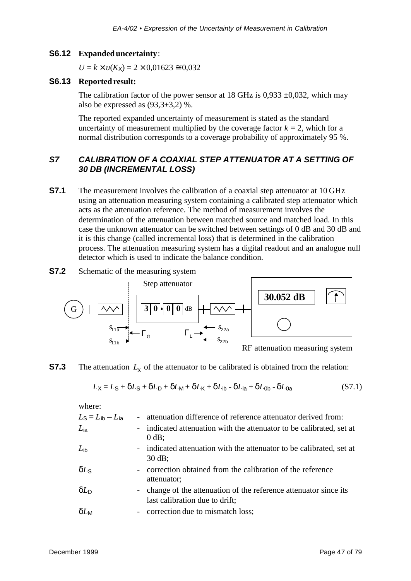#### **S6.12 Expanded uncertainty**:

 $U = k \times u(K_X) = 2 \times 0.01623 \approx 0.032$ 

#### **S6.13 Reported result:**

The calibration factor of the power sensor at 18 GHz is 0,933  $\pm$ 0,032, which may also be expressed as  $(93,3\pm3,2)$  %.

The reported expanded uncertainty of measurement is stated as the standard uncertainty of measurement multiplied by the coverage factor  $k = 2$ , which for a normal distribution corresponds to a coverage probability of approximately 95 %.

## *S7 CALIBRATION OF A COAXIAL STEP ATTENUATOR AT A SETTING OF 30 DB (INCREMENTAL LOSS)*

- **S7.1** The measurement involves the calibration of a coaxial step attenuator at 10 GHz using an attenuation measuring system containing a calibrated step attenuator which acts as the attenuation reference. The method of measurement involves the determination of the attenuation between matched source and matched load. In this case the unknown attenuator can be switched between settings of 0 dB and 30 dB and it is this change (called incremental loss) that is determined in the calibration process. The attenuation measuring system has a digital readout and an analogue null detector which is used to indicate the balance condition.
- **S7.2** Schematic of the measuring system



RF attenuation measuring system

**S7.3** The attenuation  $L<sub>X</sub>$  of the attenuator to be calibrated is obtained from the relation:

$$
L_X = L_S + \delta L_S + \delta L_D + \delta L_M + \delta L_K + \delta L_{\text{lb}} - \delta L_{\text{ia}} + \delta L_{\text{Ob}} - \delta L_{\text{0a}} \tag{S7.1}
$$

where:

| $L_S = L_{ib} - L_{ia}$ | - attenuation difference of reference attenuator derived from:                                      |
|-------------------------|-----------------------------------------------------------------------------------------------------|
| $L_{\text{ia}}$         | - indicated attenuation with the attenuator to be calibrated, set at<br>$0$ dB;                     |
| $L_{\rm ib}$            | - indicated attenuation with the attenuator to be calibrated, set at<br>$30$ dB;                    |
| $\delta L_{\rm S}$      | - correction obtained from the calibration of the reference<br>attenuator;                          |
| $\delta L_{\text{D}}$   | - change of the attenuation of the reference attenuator since its<br>last calibration due to drift; |
| $\delta L_{\rm M}$      | - correction due to mismatch loss;                                                                  |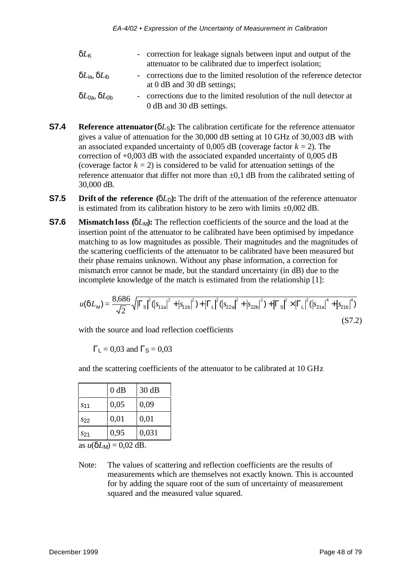| $\delta L_{\mathsf K}$         | - correction for leakage signals between input and output of the                                     |
|--------------------------------|------------------------------------------------------------------------------------------------------|
|                                | attenuator to be calibrated due to imperfect isolation;                                              |
| $\delta L$ ia, $\delta L$ ib   | - corrections due to the limited resolution of the reference detector<br>at 0 dB and 30 dB settings; |
| $\delta L_{0a}, \delta L_{0b}$ | - corrections due to the limited resolution of the null detector at<br>0 dB and 30 dB settings.      |

- **S7.4 Reference attenuator** ( $\delta L_s$ ): The calibration certificate for the reference attenuator gives a value of attenuation for the 30,000 dB setting at 10 GHz of 30,003 dB with an associated expanded uncertainty of  $0.005$  dB (coverage factor  $k = 2$ ). The correction of +0,003 dB with the associated expanded uncertainty of 0,005 dB (coverage factor  $k = 2$ ) is considered to be valid for attenuation settings of the reference attenuator that differ not more than  $\pm 0.1$  dB from the calibrated setting of 30,000 dB.
- **S7.5 Drift of the reference**  $(\delta L_D)$ : The drift of the attenuation of the reference attenuator is estimated from its calibration history to be zero with limits  $\pm 0.002$  dB.
- **S7.6 Mismatch loss** (δ*L<sub>M</sub>*): The reflection coefficients of the source and the load at the insertion point of the attenuator to be calibrated have been optimised by impedance matching to as low magnitudes as possible. Their magnitudes and the magnitudes of the scattering coefficients of the attenuator to be calibrated have been measured but their phase remains unknown. Without any phase information, a correction for mismatch error cannot be made, but the standard uncertainty (in dB) due to the incomplete knowledge of the match is estimated from the relationship [1]:

$$
u(\delta L_{\rm M}) = \frac{8,686}{\sqrt{2}} \sqrt{|G_{\rm S}|^2 (|s_{11a}|^2 + |s_{11b}|^2) + |G_{\rm L}|^2 (|s_{22a}|^2 + |s_{22b}|^2) + |G_{\rm S}|^2 \times |G_{\rm L}|^2 (|s_{21a}|^4 + |s_{21b}|^4)}
$$
\n(S7.2)

with the source and load reflection coefficients

 $G_{L} = 0.03$  and  $G_{S} = 0.03$ 

and the scattering coefficients of the attenuator to be calibrated at 10 GHz

|                 | $0$ dB | 30 dB |
|-----------------|--------|-------|
| S <sub>11</sub> | 0,05   | 0,09  |
| $S_{22}$        | 0,01   | 0,01  |
| S21             | 0,95   | 0,031 |

as  $u(\delta L_M) = 0.02$  dB.

Note: The values of scattering and reflection coefficients are the results of measurements which are themselves not exactly known. This is accounted for by adding the square root of the sum of uncertainty of measurement squared and the measured value squared.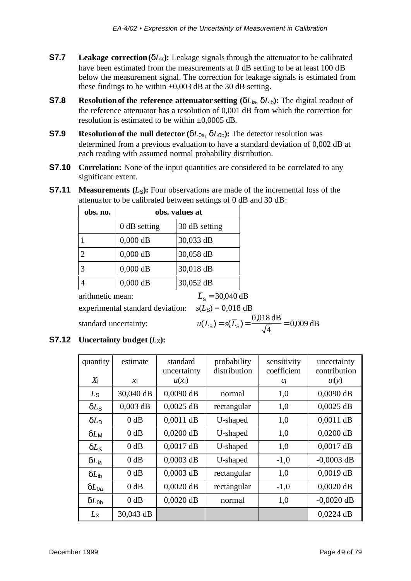- **S7.7 Leakage correction** ( $\delta L_K$ ): Leakage signals through the attenuator to be calibrated have been estimated from the measurements at 0 dB setting to be at least 100 dB below the measurement signal. The correction for leakage signals is estimated from these findings to be within  $\pm 0,003$  dB at the 30 dB setting.
- **S7.8 Resolution of the reference attenuator setting (** $\delta L_{\text{ia}}$ **,**  $\delta L_{\text{ib}}$ **): The digital readout of** the reference attenuator has a resolution of 0,001 dB from which the correction for resolution is estimated to be within ±0,0005 dB.
- **S7.9 Resolution of the null detector (** $\delta L_{0a}$ **,**  $\delta L_{0b}$ **): The detector resolution was** determined from a previous evaluation to have a standard deviation of 0,002 dB at each reading with assumed normal probability distribution.
- **S7.10 Correlation:** None of the input quantities are considered to be correlated to any significant extent.
- **S7.11 Measurements**  $(L<sub>S</sub>)$ : Four observations are made of the incremental loss of the attenuator to be calibrated between settings of 0 dB and 30 dB:

| obs. no.              |                                  | obs. values at                                                               |
|-----------------------|----------------------------------|------------------------------------------------------------------------------|
|                       | $0$ dB setting                   | 30 dB setting                                                                |
|                       | $0,000$ dB                       | 30,033 dB                                                                    |
| $\overline{2}$        | $0,000$ dB                       | 30,058 dB                                                                    |
| 3                     | $0,000$ dB                       | 30,018 dB                                                                    |
| $\overline{4}$        | $0,000$ dB                       | 30,052 dB                                                                    |
| arithmetic mean:      |                                  | $\overline{L}_{\rm s}$ = 30,040 dB                                           |
|                       | experimental standard deviation: | $s(LS) = 0,018$ dB                                                           |
| standard uncertainty: |                                  | $u(L_{\rm S}) = s(\overline{L}_{\rm S}) = \frac{0.018 \text{ dB}}{\sqrt{4}}$ |

**S7.12 Uncertainty budget**  $(L_X)$ :

| quantity                | estimate   | standard<br>uncertainty | probability<br>distribution | sensitivity<br>coefficient | uncertainty<br>contribution |
|-------------------------|------------|-------------------------|-----------------------------|----------------------------|-----------------------------|
| $X_i$                   | $x_i$      | $u(x_i)$                |                             | $c_i$                      | $u_i(y)$                    |
| $L_{\rm S}$             | 30,040 dB  | $0,0090$ dB             | normal                      | 1,0                        | $0,0090$ dB                 |
| $\delta L$ <sub>S</sub> | $0,003$ dB | $0,0025$ dB             | rectangular                 | 1,0                        | $0,0025$ dB                 |
| $\delta L_{\text{D}}$   | 0 dB       | $0,0011$ dB             | U-shaped                    | 1,0                        | $0,0011$ dB                 |
| $\delta L_{\rm M}$      | 0 dB       | $0,0200$ dB             | U-shaped                    | 1,0                        | $0,0200$ dB                 |
| $\delta L_{\mathsf K}$  | 0 dB       | $0,0017$ dB             | U-shaped                    | 1,0                        | $0,0017$ dB                 |
| $\delta L_{\sf ia}$     | 0 dB       | $0,0003$ dB             | U-shaped                    | $-1,0$                     | $-0,0003$ dB                |
| $\delta L_{\rm ib}$     | 0 dB       | $0,0003$ dB             | rectangular                 | 1,0                        | $0,0019$ dB                 |
| $\delta L_{0a}$         | 0 dB       | $0,0020$ dB             | rectangular                 | $-1,0$                     | $0,0020$ dB                 |
| $\delta L_{0b}$         | 0 dB       | $0,0020$ dB             | normal                      | 1,0                        | $-0,0020$ dB                |
| $L_{\rm X}$             | 30,043 dB  |                         |                             |                            | $0,0224$ dB                 |

4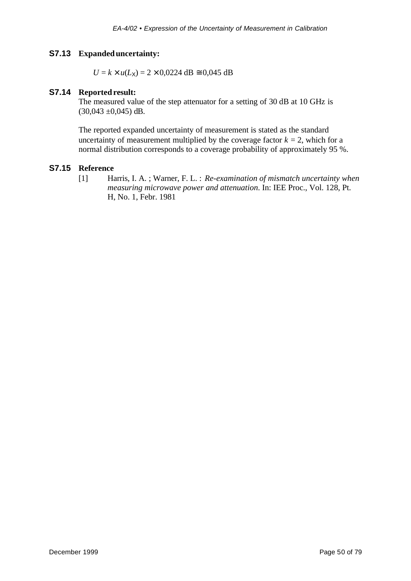#### **S7.13 Expanded uncertainty:**

 $U = k \times u(L_X) = 2 \times 0,0224 \text{ dB} \approx 0,045 \text{ dB}$ 

#### **S7.14 Reported result:**

The measured value of the step attenuator for a setting of 30 dB at 10 GHz is  $(30,043 \pm 0,045)$  dB.

The reported expanded uncertainty of measurement is stated as the standard uncertainty of measurement multiplied by the coverage factor  $k = 2$ , which for a normal distribution corresponds to a coverage probability of approximately 95 %.

#### **S7.15 Reference**

[1] Harris, I. A. ; Warner, F. L. : *Re-examination of mismatch uncertainty when measuring microwave power and attenuation*. In: IEE Proc., Vol. 128, Pt. H, No. 1, Febr. 1981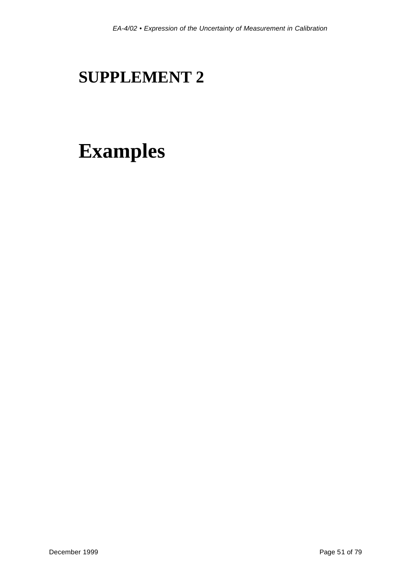# **SUPPLEMENT 2**

# **Examples**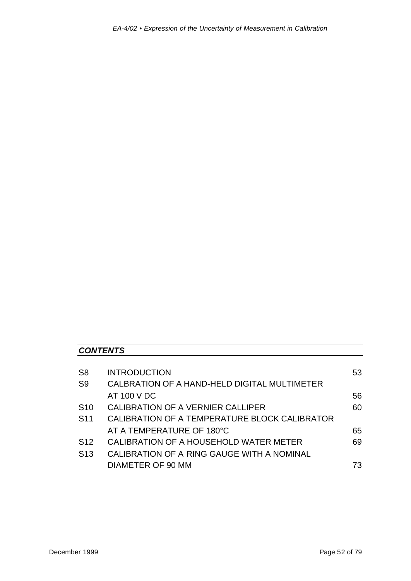# *CONTENTS*

| S <sub>8</sub>  | <b>INTRODUCTION</b>                           | 53 |
|-----------------|-----------------------------------------------|----|
| S <sub>9</sub>  | CALBRATION OF A HAND-HELD DIGITAL MULTIMETER  |    |
|                 | AT 100 V DC                                   | 56 |
| S <sub>10</sub> | CALIBRATION OF A VERNIER CALLIPER             | 60 |
| S <sub>11</sub> | CALIBRATION OF A TEMPERATURE BLOCK CALIBRATOR |    |
|                 | AT A TEMPERATURE OF 180°C                     | 65 |
| S <sub>12</sub> | CALIBRATION OF A HOUSEHOLD WATER METER        | 69 |
| S <sub>13</sub> | CALIBRATION OF A RING GAUGE WITH A NOMINAL    |    |
|                 | <b>DIAMETER OF 90 MM</b>                      | 73 |
|                 |                                               |    |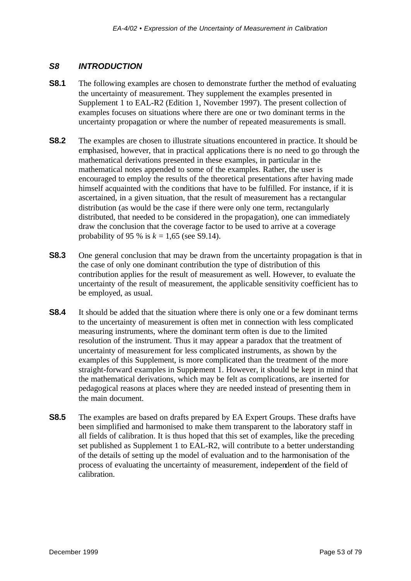#### *S8 INTRODUCTION*

- **S8.1** The following examples are chosen to demonstrate further the method of evaluating the uncertainty of measurement. They supplement the examples presented in Supplement 1 to EAL-R2 (Edition 1, November 1997). The present collection of examples focuses on situations where there are one or two dominant terms in the uncertainty propagation or where the number of repeated measurements is small.
- **S8.2** The examples are chosen to illustrate situations encountered in practice. It should be emphasised, however, that in practical applications there is no need to go through the mathematical derivations presented in these examples, in particular in the mathematical notes appended to some of the examples. Rather, the user is encouraged to employ the results of the theoretical presentations after having made himself acquainted with the conditions that have to be fulfilled. For instance, if it is ascertained, in a given situation, that the result of measurement has a rectangular distribution (as would be the case if there were only one term, rectangularly distributed, that needed to be considered in the propagation), one can immediately draw the conclusion that the coverage factor to be used to arrive at a coverage probability of 95 % is  $k = 1,65$  (see S9.14).
- **S8.3** One general conclusion that may be drawn from the uncertainty propagation is that in the case of only one dominant contribution the type of distribution of this contribution applies for the result of measurement as well. However, to evaluate the uncertainty of the result of measurement, the applicable sensitivity coefficient has to be employed, as usual.
- **S8.4** It should be added that the situation where there is only one or a few dominant terms to the uncertainty of measurement is often met in connection with less complicated measuring instruments, where the dominant term often is due to the limited resolution of the instrument. Thus it may appear a paradox that the treatment of uncertainty of measurement for less complicated instruments, as shown by the examples of this Supplement, is more complicated than the treatment of the more straight-forward examples in Supplement 1. However, it should be kept in mind that the mathematical derivations, which may be felt as complications, are inserted for pedagogical reasons at places where they are needed instead of presenting them in the main document.
- **S8.5** The examples are based on drafts prepared by EA Expert Groups. These drafts have been simplified and harmonised to make them transparent to the laboratory staff in all fields of calibration. It is thus hoped that this set of examples, like the preceding set published as Supplement 1 to EAL-R2, will contribute to a better understanding of the details of setting up the model of evaluation and to the harmonisation of the process of evaluating the uncertainty of measurement, independent of the field of calibration.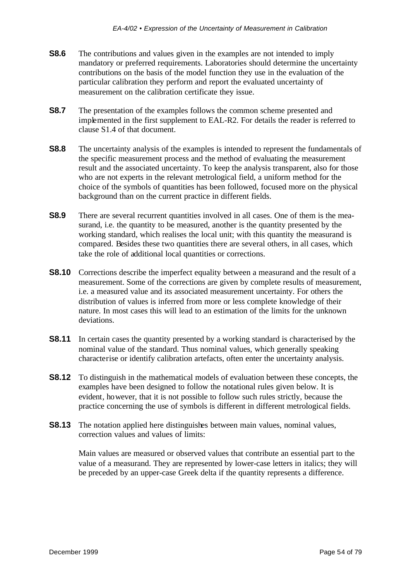- **S8.6** The contributions and values given in the examples are not intended to imply mandatory or preferred requirements. Laboratories should determine the uncertainty contributions on the basis of the model function they use in the evaluation of the particular calibration they perform and report the evaluated uncertainty of measurement on the calibration certificate they issue.
- **S8.7** The presentation of the examples follows the common scheme presented and implemented in the first supplement to EAL-R2. For details the reader is referred to clause S1.4 of that document.
- **S8.8** The uncertainty analysis of the examples is intended to represent the fundamentals of the specific measurement process and the method of evaluating the measurement result and the associated uncertainty. To keep the analysis transparent, also for those who are not experts in the relevant metrological field, a uniform method for the choice of the symbols of quantities has been followed, focused more on the physical background than on the current practice in different fields.
- **S8.9** There are several recurrent quantities involved in all cases. One of them is the measurand, i.e. the quantity to be measured, another is the quantity presented by the working standard, which realises the local unit; with this quantity the measurand is compared. Besides these two quantities there are several others, in all cases, which take the role of additional local quantities or corrections.
- **S8.10** Corrections describe the imperfect equality between a measurand and the result of a measurement. Some of the corrections are given by complete results of measurement, i.e. a measured value and its associated measurement uncertainty. For others the distribution of values is inferred from more or less complete knowledge of their nature. In most cases this will lead to an estimation of the limits for the unknown deviations.
- **S8.11** In certain cases the quantity presented by a working standard is characterised by the nominal value of the standard. Thus nominal values, which generally speaking characterise or identify calibration artefacts, often enter the uncertainty analysis.
- **S8.12** To distinguish in the mathematical models of evaluation between these concepts, the examples have been designed to follow the notational rules given below. It is evident, however, that it is not possible to follow such rules strictly, because the practice concerning the use of symbols is different in different metrological fields.
- **S8.13** The notation applied here distinguishes between main values, nominal values, correction values and values of limits:

Main values are measured or observed values that contribute an essential part to the value of a measurand. They are represented by lower-case letters in italics; they will be preceded by an upper-case Greek delta if the quantity represents a difference.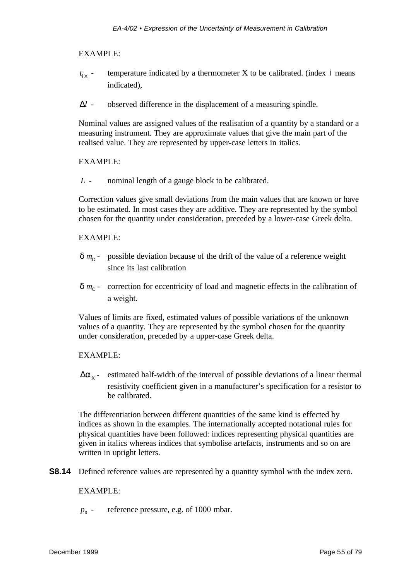#### EXAMPLE:

- *t* i X temperature indicated by a thermometer  $X$  to be calibrated. (index  $\mathbf{i}$  means indicated),
- $\Delta l$  observed difference in the displacement of a measuring spindle.

Nominal values are assigned values of the realisation of a quantity by a standard or a measuring instrument. They are approximate values that give the main part of the realised value. They are represented by upper-case letters in italics.

#### EXAMPLE:

*L* - nominal length of a gauge block to be calibrated.

Correction values give small deviations from the main values that are known or have to be estimated. In most cases they are additive. They are represented by the symbol chosen for the quantity under consideration, preceded by a lower-case Greek delta.

#### EXAMPLE:

- $\delta$   $m_{\text{D}}$  possible deviation because of the drift of the value of a reference weight since its last calibration
- $\delta$   $m_{\rm C}$  correction for eccentricity of load and magnetic effects in the calibration of a weight.

Values of limits are fixed, estimated values of possible variations of the unknown values of a quantity. They are represented by the symbol chosen for the quantity under consideration, preceded by a upper-case Greek delta.

#### EXAMPLE:

 $\Delta a_{x}$  - estimated half-width of the interval of possible deviations of a linear thermal resistivity coefficient given in a manufacturer's specification for a resistor to be calibrated.

The differentiation between different quantities of the same kind is effected by indices as shown in the examples. The internationally accepted notational rules for physical quantities have been followed: indices representing physical quantities are given in italics whereas indices that symbolise artefacts, instruments and so on are written in upright letters.

**S8.14** Defined reference values are represented by a quantity symbol with the index zero.

#### EXAMPLE:

 $p_0$  reference pressure, e.g. of 1000 mbar.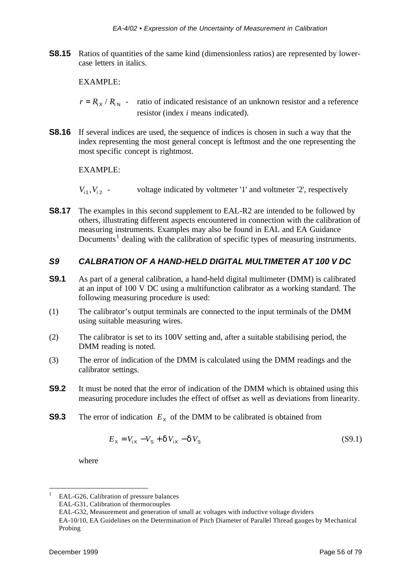**S8.15** Ratios of quantities of the same kind (dimensionless ratios) are represented by lowercase letters in italics.

EXAMPLE:

- $r = R_{iX} / R_{iN}$  ratio of indicated resistance of an unknown resistor and a reference resistor (index *i* means indicated).
- **S8.16** If several indices are used, the sequence of indices is chosen in such a way that the index representing the most general concept is leftmost and the one representing the most specific concept is rightmost.

EXAMPLE:

 $V_{11}$ ,  $V_{12}$  - voltage indicated by voltmeter '1' and voltmeter '2', respectively

**S8.17** The examples in this second supplement to EAL-R2 are intended to be followed by others, illustrating different aspects encountered in connection with the calibration of measuring instruments. Examples may also be found in EAL and EA Guidance Documents<sup>1</sup> dealing with the calibration of specific types of measuring instruments.

## *S9 CALBRATION OF A HAND-HELD DIGITAL MULTIMETER AT 100 V DC*

- **S9.1** As part of a general calibration, a hand-held digital multimeter (DMM) is calibrated at an input of 100 V DC using a multifunction calibrator as a working standard. The following measuring procedure is used:
- (1) The calibrator's output terminals are connected to the input terminals of the DMM using suitable measuring wires.
- (2) The calibrator is set to its 100V setting and, after a suitable stabilising period, the DMM reading is noted.
- (3) The error of indication of the DMM is calculated using the DMM readings and the calibrator settings.
- **S9.2** It must be noted that the error of indication of the DMM which is obtained using this measuring procedure includes the effect of offset as well as deviations from linearity.
- **S9.3** The error of indication  $E<sub>X</sub>$  of the DMM to be calibrated is obtained from

$$
E_{\rm X} = V_{\rm iX} - V_{\rm S} + dV_{\rm iX} - dV_{\rm S}
$$
 (S9.1)

where

l

<sup>1</sup> EAL-G26, Calibration of pressure balances

EAL-G31, Calibration of thermocouples

EAL-G32, Measurement and generation of small ac voltages with inductive voltage dividers

EA-10/10, EA Guidelines on the Determination of Pitch Diameter of Parallel Thread gauges by Mechanical Probing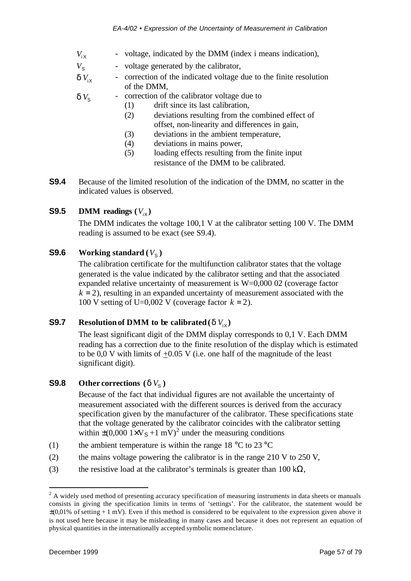- $V_{i \times}$ - voltage, indicated by the DMM (index i means indication),
- $V_{\rm s}$ - voltage generated by the calibrator,
- $dV_{iX}$ - correction of the indicated voltage due to the finite resolution of the DMM,

 $dV_{\rm s}$ - correction of the calibrator voltage due to

- (1) drift since its last calibration,
	- (2) deviations resulting from the combined effect of offset, non-linearity and differences in gain,
	- (3) deviations in the ambient temperature,
	- (4) deviations in mains power,
	- (5) loading effects resulting from the finite input resistance of the DMM to be calibrated.
- **S9.4** Because of the limited resolution of the indication of the DMM, no scatter in the indicated values is observed.

# **S9.5 DMM** readings  $(V_{iX})$

The DMM indicates the voltage 100,1 V at the calibrator setting 100 V. The DMM reading is assumed to be exact (see S9.4).

# **S9.6 Working standard**  $(V<sub>S</sub>)$

The calibration certificate for the multifunction calibrator states that the voltage generated is the value indicated by the calibrator setting and that the associated expanded relative uncertainty of measurement is W=0,000 02 (coverage factor  $k = 2$ ), resulting in an expanded uncertainty of measurement associated with the 100 V setting of U=0,002 V (coverage factor  $k = 2$ ).

# **S9.7 Resolution of DMM to be calibrated (***d* $V_{iX}$ **)**

The least significant digit of the DMM display corresponds to 0,1 V. Each DMM reading has a correction due to the finite resolution of the display which is estimated to be 0,0 V with limits of  $\pm 0.05$  V (i.e. one half of the magnitude of the least significant digit).

# **S9.8 Other corrections**  $(dV<sub>S</sub>)$

Because of the fact that individual figures are not available the uncertainty of measurement associated with the different sources is derived from the accuracy specification given by the manufacturer of the calibrator. These specifications state that the voltage generated by the calibrator coincides with the calibrator setting within  $\pm (0.000 \text{ 1xV}_\text{S} + 1 \text{ mV})^2$  under the measuring conditions

- (1) the ambient temperature is within the range  $18 \degree C$  to  $23 \degree C$
- (2) the mains voltage powering the calibrator is in the range  $210 \text{ V}$  to  $250 \text{ V}$ ,
- (3) the resistive load at the calibrator's terminals is greater than 100 k $\Omega$ ,

l

 $2^2$  A widely used method of presenting accuracy specification of measuring instruments in data sheets or manuals consists in giving the specification limits in terms of 'settings'. For the calibrator, the statement would be  $\pm$ (0,01% of setting + 1 mV). Even if this method is considered to be equivalent to the expression given above it is not used here because it may be misleading in many cases and because it does not represent an equation of physical quantities in the internationally accepted symbolic nomenclature.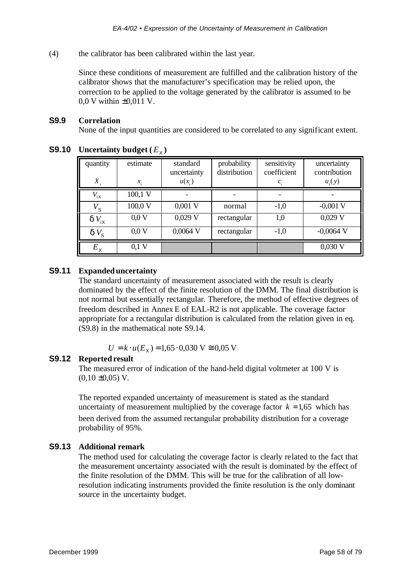(4) the calibrator has been calibrated within the last year.

Since these conditions of measurement are fulfilled and the calibration history of the calibrator shows that the manufacturer's specification may be relied upon, the correction to be applied to the voltage generated by the calibrator is assumed to be 0,0 V within ±0,011 V.

#### **S9.9 Correlation**

None of the input quantities are considered to be correlated to any significant extent.

| quantity       | estimate | standard<br>uncertainty | probability<br>distribution | sensitivity<br>coefficient | uncertainty<br>contribution |
|----------------|----------|-------------------------|-----------------------------|----------------------------|-----------------------------|
| $X_{i}$        | $x_i$    | $u(x_i)$                |                             | $c_i$                      | $u_i(y)$                    |
| $V_{iX}$       | 100,1 V  |                         |                             |                            |                             |
| $V^{}_{\tt S}$ | 100,0 V  | $0,001$ V               | normal                      | $-1,0$                     | $-0,001$ V                  |
| $dV_{iX}$      | 0.0V     | $0,029$ V               | rectangular                 | 1,0                        | $0,029$ V                   |
| $dV_{\rm s}$   | 0.0V     | $0,0064$ V              | rectangular                 | $-1,0$                     | $-0,0064$ V                 |
| $E_{\times}$   | $0,1$ V  |                         |                             |                            | $0,030$ V                   |

# **S9.10** Uncertainty budget  $(E_\chi)$

#### **S9.11 Expanded uncertainty**

The standard uncertainty of measurement associated with the result is clearly dominated by the effect of the finite resolution of the DMM. The final distribution is not normal but essentially rectangular. Therefore, the method of effective degrees of freedom described in Annex E of EAL-R2 is not applicable. The coverage factor appropriate for a rectangular distribution is calculated from the relation given in eq. (S9.8) in the mathematical note S9.14.

 $U = k \cdot u(E_X) = 1,65 \cdot 0,030 \text{ V} \approx 0,05 \text{ V}$ 

#### **S9.12 Reported result**

The measured error of indication of the hand-held digital voltmeter at 100 V is  $(0.10 \pm 0.05)$  V.

The reported expanded uncertainty of measurement is stated as the standard uncertainty of measurement multiplied by the coverage factor  $k = 1.65$  which has been derived from the assumed rectangular probability distribution for a coverage probability of 95%.

#### **S9.13 Additional remark**

The method used for calculating the coverage factor is clearly related to the fact that the measurement uncertainty associated with the result is dominated by the effect of the finite resolution of the DMM. This will be true for the calibration of all lowresolution indicating instruments provided the finite resolution is the only dominant source in the uncertainty budget.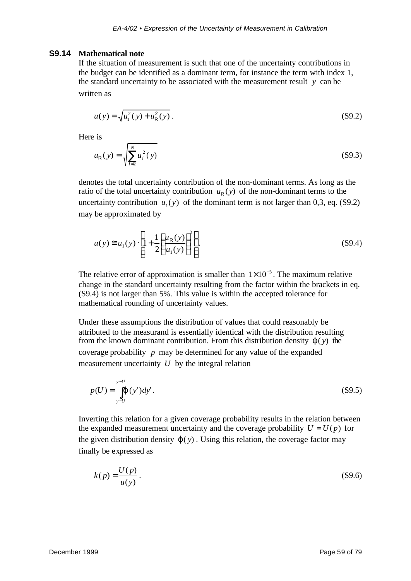#### **S9.14 Mathematical note**

If the situation of measurement is such that one of the uncertainty contributions in the budget can be identified as a dominant term, for instance the term with index 1, the standard uncertainty to be associated with the measurement result  $y$  can be written as

$$
u(y) = \sqrt{u_1^2(y) + u_R^2(y)}.
$$
 (S9.2)

Here is

$$
u_{R}(y) = \sqrt{\sum_{i=2}^{N} u_{i}^{2}(y)}
$$
 (S9.3)

denotes the total uncertainty contribution of the non-dominant terms. As long as the ratio of the total uncertainty contribution  $u_R(y)$  of the non-dominant terms to the uncertainty contribution  $u_1(y)$  of the dominant term is not larger than 0,3, eq. (S9.2) may be approximated by

$$
u(y) \cong u_1(y) \cdot \left[ 1 + \frac{1}{2} \left( \frac{u_R(y)}{u_1(y)} \right)^2 \right].
$$
 (S9.4)

The relative error of approximation is smaller than  $1 \times 10^{-3}$ . The maximum relative change in the standard uncertainty resulting from the factor within the brackets in eq. (S9.4) is not larger than 5%. This value is within the accepted tolerance for mathematical rounding of uncertainty values.

Under these assumptions the distribution of values that could reasonably be attributed to the measurand is essentially identical with the distribution resulting from the known dominant contribution. From this distribution density *j*( *y*) the coverage probability *p* may be determined for any value of the expanded measurement uncertainty *U* by the integral relation

$$
p(U) = \int_{y-U}^{y+U} (y')dy'.
$$
 (S9.5)

Inverting this relation for a given coverage probability results in the relation between the expanded measurement uncertainty and the coverage probability  $U = U(p)$  for the given distribution density  $j(y)$ . Using this relation, the coverage factor may finally be expressed as

$$
k(p) = \frac{U(p)}{u(y)}.
$$
\n<sup>(S9.6)</sup>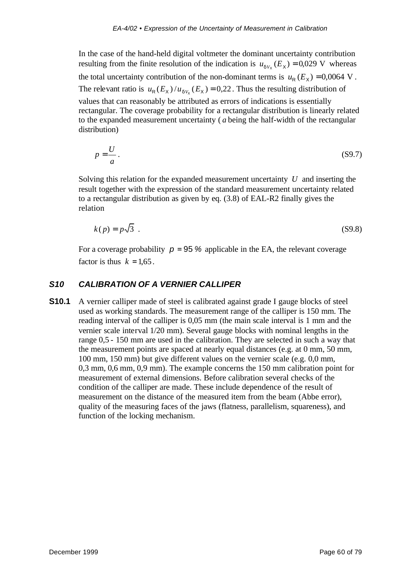In the case of the hand-held digital voltmeter the dominant uncertainty contribution resulting from the finite resolution of the indication is  $u_{dV_x}(E_x) = 0.029$  V whereas the total uncertainty contribution of the non-dominant terms is  $u_R(E_X) = 0.0064$  V. The relevant ratio is  $u_R(E_X) / u_{dV_X}(E_X) = 0.22$ . Thus the resulting distribution of values that can reasonably be attributed as errors of indications is essentially rectangular. The coverage probability for a rectangular distribution is linearly related to the expanded measurement uncertainty ( *a* being the half-width of the rectangular distribution)

$$
p = \frac{U}{a} \,. \tag{S9.7}
$$

Solving this relation for the expanded measurement uncertainty *U* and inserting the result together with the expression of the standard measurement uncertainty related to a rectangular distribution as given by eq. (3.8) of EAL-R2 finally gives the relation

$$
k(p) = p\sqrt{3} \tag{S9.8}
$$

For a coverage probability  $p = 95$  % applicable in the EA, the relevant coverage factor is thus  $k = 1.65$ .

# *S10 CALIBRATION OF A VERNIER CALLIPER*

**S10.1** A vernier calliper made of steel is calibrated against grade I gauge blocks of steel used as working standards. The measurement range of the calliper is 150 mm. The reading interval of the calliper is 0,05 mm (the main scale interval is 1 mm and the vernier scale interval 1/20 mm). Several gauge blocks with nominal lengths in the range 0,5 - 150 mm are used in the calibration. They are selected in such a way that the measurement points are spaced at nearly equal distances (e.g. at 0 mm, 50 mm, 100 mm, 150 mm) but give different values on the vernier scale (e.g. 0,0 mm, 0,3 mm, 0,6 mm, 0,9 mm). The example concerns the 150 mm calibration point for measurement of external dimensions. Before calibration several checks of the condition of the calliper are made. These include dependence of the result of measurement on the distance of the measured item from the beam (Abbe error), quality of the measuring faces of the jaws (flatness, parallelism, squareness), and function of the locking mechanism.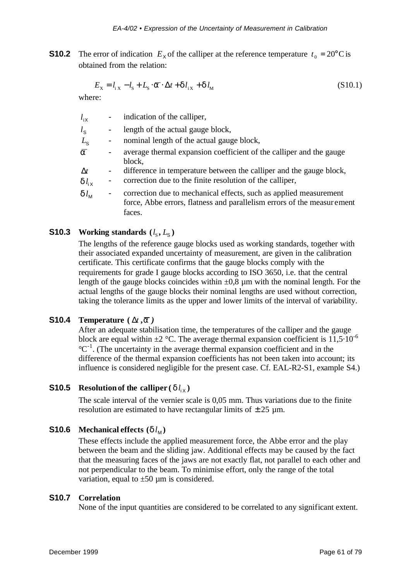**S10.2** The error of indication  $E<sub>X</sub>$  of the calliper at the reference temperature  $t<sub>0</sub> = 20^{\circ}$ C is obtained from the relation:

$$
E_{\rm X} = l_{\rm i X} - l_{\rm S} + L_{\rm S} \cdot \overline{\mathbf{a}} \cdot \Delta t + \mathbf{d} l_{\rm i X} + \mathbf{d} l_{\rm M}
$$
 (S10.1)

where:

| $l_{\rm ix}$                | indication of the calliper,                                                                                                                           |
|-----------------------------|-------------------------------------------------------------------------------------------------------------------------------------------------------|
| $l_{\rm S}$                 | length of the actual gauge block,                                                                                                                     |
| $L_{\rm S}$                 | nominal length of the actual gauge block,                                                                                                             |
| $\overline{a}$              | average thermal expansion coefficient of the calliper and the gauge<br>block,                                                                         |
| $\Delta t$<br>$dl_{\rm ix}$ | difference in temperature between the calliper and the gauge block,<br>correction due to the finite resolution of the calliper,                       |
| $dl_{\scriptscriptstyle M}$ | correction due to mechanical effects, such as applied measurement<br>force, Abbe errors, flatness and parallelism errors of the measurement<br>faces. |

# **S10.3** Working standards  $(l_s, L_s)$

The lengths of the reference gauge blocks used as working standards, together with their associated expanded uncertainty of measurement, are given in the calibration certificate. This certificate confirms that the gauge blocks comply with the requirements for grade I gauge blocks according to ISO 3650, i.e. that the central length of the gauge blocks coincides within  $\pm 0.8$  µm with the nominal length. For the actual lengths of the gauge blocks their nominal lengths are used without correction, taking the tolerance limits as the upper and lower limits of the interval of variability.

#### **S10.4 Temperature**  $(\Delta t, \overline{a})$

After an adequate stabilisation time, the temperatures of the calliper and the gauge block are equal within  $\pm 2$  °C. The average thermal expansion coefficient is 11,5 $\cdot$ 10<sup>-6</sup>  $^{\circ}C^{-1}$ . (The uncertainty in the average thermal expansion coefficient and in the difference of the thermal expansion coefficients has not been taken into account; its influence is considered negligible for the present case. Cf. EAL-R2-S1, example S4.)

# **S10.5** Resolution of the calliper ( $d l_{iX}$ )

The scale interval of the vernier scale is 0,05 mm. Thus variations due to the finite resolution are estimated to have rectangular limits of  $\pm 25$  µm.

#### **S10.6 Mechanical effects**  $(d l_M)$

These effects include the applied measurement force, the Abbe error and the play between the beam and the sliding jaw. Additional effects may be caused by the fact that the measuring faces of the jaws are not exactly flat, not parallel to each other and not perpendicular to the beam. To minimise effort, only the range of the total variation, equal to  $\pm 50 \mu m$  is considered.

#### **S10.7 Correlation**

None of the input quantities are considered to be correlated to any significant extent.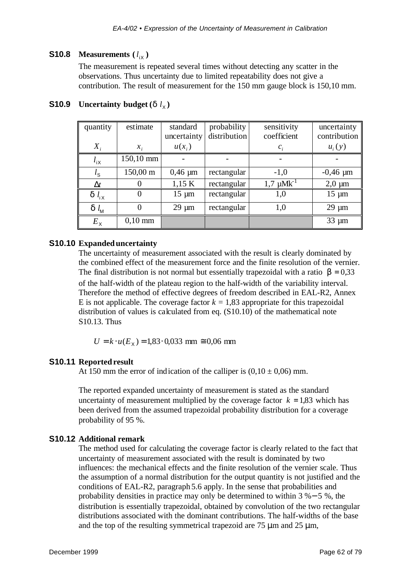#### **S10.8 Measurements**  $(l_{iX})$

The measurement is repeated several times without detecting any scatter in the observations. Thus uncertainty due to limited repeatability does not give a contribution. The result of measurement for the 150 mm gauge block is 150,10 mm.

| quantity        | estimate          | standard     | probability  | sensitivity       | uncertainty   |
|-----------------|-------------------|--------------|--------------|-------------------|---------------|
|                 |                   | uncertainty  | distribution | coefficient       | contribution  |
| $X_i$           | $\mathcal{X}_{i}$ | $u(x_i)$     |              | $\mathcal{C}$     | $u_i(y)$      |
| $l_{\rm ix}$    | 150,10 mm         |              |              |                   |               |
| $l_{\rm S}$     | 150,00 m          | $0,46 \mu m$ | rectangular  | $-1,0$            | $-0,46 \mu m$ |
| $\Delta t$      |                   | 1,15 K       | rectangular  | $1,7 \mu Mk^{-1}$ | $2,0 \mu m$   |
| $d_l$           |                   | $15 \mu m$   | rectangular  | 1,0               | $15 \mu m$    |
| $d$ $l_{\rm M}$ |                   | $29 \mu m$   | rectangular  | 1,0               | $29 \mu m$    |
| $E_{\rm X}$     | $0,10$ mm         |              |              |                   | $33 \mu m$    |

# **S10.9** Uncertainty budget  $(d l_{\chi})$

#### **S10.10 Expanded uncertainty**

The uncertainty of measurement associated with the result is clearly dominated by the combined effect of the measurement force and the finite resolution of the vernier. The final distribution is not normal but essentially trapezoidal with a ratio  $\mathbf{b} = 0.33$ of the half-width of the plateau region to the half-width of the variability interval. Therefore the method of effective degrees of freedom described in EAL-R2, Annex E is not applicable. The coverage factor  $k = 1.83$  appropriate for this trapezoidal distribution of values is calculated from eq. (S10.10) of the mathematical note S10.13. Thus

 $U = k \cdot u(E_X) = 1,83 \cdot 0,033$  mm  $\approx 0,06$  mm

#### **S10.11 Reported result**

At 150 mm the error of indication of the calliper is  $(0,10 \pm 0,06)$  mm.

The reported expanded uncertainty of measurement is stated as the standard uncertainty of measurement multiplied by the coverage factor  $k = 1.83$  which has been derived from the assumed trapezoidal probability distribution for a coverage probability of 95 %.

#### **S10.12 Additional remark**

The method used for calculating the coverage factor is clearly related to the fact that uncertainty of measurement associated with the result is dominated by two influences: the mechanical effects and the finite resolution of the vernier scale. Thus the assumption of a normal distribution for the output quantity is not justified and the conditions of EAL-R2, paragraph 5.6 apply. In the sense that probabilities and probability densities in practice may only be determined to within 3 %− 5 %, the distribution is essentially trapezoidal, obtained by convolution of the two rectangular distributions associated with the dominant contributions. The half-widths of the base and the top of the resulting symmetrical trapezoid are  $75 \mu m$  and  $25 \mu m$ ,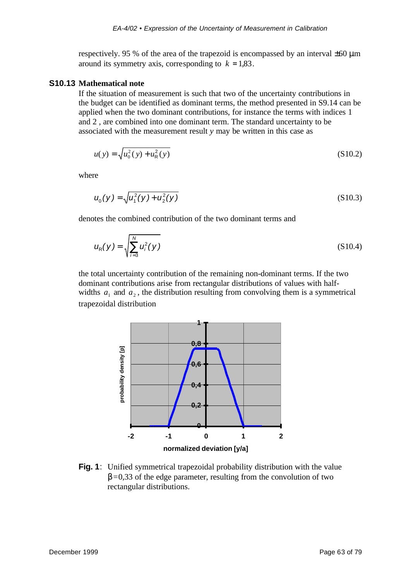respectively. 95 % of the area of the trapezoid is encompassed by an interval  $\pm 60 \,\mu$ m around its symmetry axis, corresponding to  $k = 1,83$ .

#### **S10.13 Mathematical note**

If the situation of measurement is such that two of the uncertainty contributions in the budget can be identified as dominant terms, the method presented in S9.14 can be applied when the two dominant contributions, for instance the terms with indices 1 and 2 , are combined into one dominant term. The standard uncertainty to be associated with the measurement result *y* may be written in this case as

$$
u(y) = \sqrt{u_0^2(y) + u_R^2(y)}
$$
 (S10.2)

where

$$
u_0(y) = \sqrt{u_1^2(y) + u_2^2(y)}
$$
 (S10.3)

denotes the combined contribution of the two dominant terms and

$$
u_{R}(y) = \sqrt{\sum_{i=3}^{N} u_{i}^{2}(y)}
$$
 (S10.4)

the total uncertainty contribution of the remaining non-dominant terms. If the two dominant contributions arise from rectangular distributions of values with halfwidths  $a_1$  and  $a_2$ , the distribution resulting from convolving them is a symmetrical trapezoidal distribution



**Fig. 1**: Unified symmetrical trapezoidal probability distribution with the value *b*=0,33 of the edge parameter, resulting from the convolution of two rectangular distributions.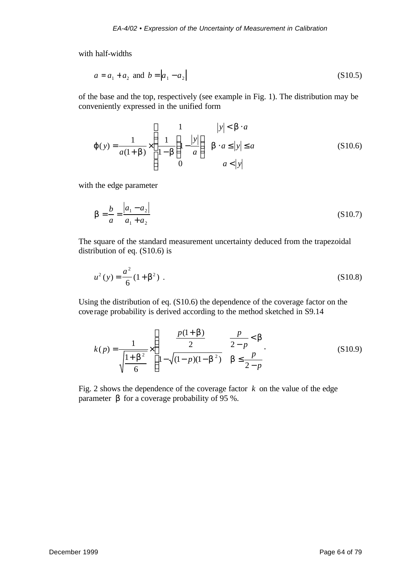with half-widths

$$
a = a_1 + a_2 \text{ and } b = |a_1 - a_2|
$$
 (S10.5)

of the base and the top, respectively (see example in Fig. 1). The distribution may be conveniently expressed in the unified form

$$
\boldsymbol{j}(y) = \frac{1}{a(1+\boldsymbol{b})} \times \begin{cases} 1 & |y| < \boldsymbol{b} \cdot a \\ \frac{1}{1-\boldsymbol{b}} \left( 1 - \frac{|y|}{a} \right) & \boldsymbol{b} \cdot a \le |y| \le a \\ 0 & a < |y| \end{cases}
$$
(S10.6)

with the edge parameter

$$
\mathbf{b} = \frac{b}{a} = \frac{|a_1 - a_2|}{a_1 + a_2} \tag{S10.7}
$$

The square of the standard measurement uncertainty deduced from the trapezoidal distribution of eq. (S10.6) is

$$
u^{2}(y) = \frac{a^{2}}{6}(1+b^{2}).
$$
 (S10.8)

Using the distribution of eq. (S10.6) the dependence of the coverage factor on the coverage probability is derived according to the method sketched in S9.14

$$
k(p) = \frac{1}{\sqrt{\frac{1 + \mathbf{b}^2}{6}}} \times \begin{cases} \frac{p(1 + \mathbf{b})}{2} & \frac{p}{2 - p} < \mathbf{b} \\ 1 - \sqrt{(1 - p)(1 - \mathbf{b}^2)} & \mathbf{b} \le \frac{p}{2 - p} \end{cases}
$$
(S10.9)

Fig. 2 shows the dependence of the coverage factor  $k$  on the value of the edge parameter *b* for a coverage probability of 95 %.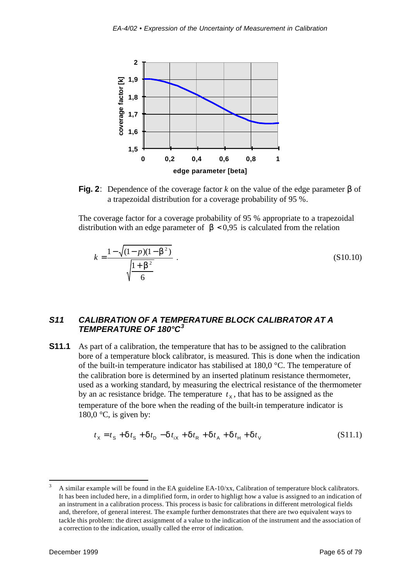

**Fig. 2**: Dependence of the coverage factor *k* on the value of the edge parameter *b* of a trapezoidal distribution for a coverage probability of 95 %.

The coverage factor for a coverage probability of 95 % appropriate to a trapezoidal distribution with an edge parameter of  **is calculated from the relation** 

$$
k = \frac{1 - \sqrt{(1 - p)(1 - b^2)}}{\sqrt{\frac{1 + b^2}{6}}} \tag{S10.10}
$$

#### *S11 CALIBRATION OF A TEMPERATURE BLOCK CALIBRATOR AT A TEMPERATURE OF 180°C<sup>3</sup>*

**S11.1** As part of a calibration, the temperature that has to be assigned to the calibration bore of a temperature block calibrator, is measured. This is done when the indication of the built-in temperature indicator has stabilised at 180,0 °C. The temperature of the calibration bore is determined by an inserted platinum resistance thermometer, used as a working standard, by measuring the electrical resistance of the thermometer by an ac resistance bridge. The temperature  $t<sub>x</sub>$ , that has to be assigned as the temperature of the bore when the reading of the built-in temperature indicator is 180,0  $\degree$ C, is given by:

$$
t_{\rm X} = t_{\rm S} + dt_{\rm S} + dt_{\rm D} - dt_{\rm iX} + dt_{\rm R} + dt_{\rm A} + dt_{\rm H} + dt_{\rm V}
$$
 (S11.1)

l

A similar example will be found in the EA guideline  $EA-10/xx$ , Calibration of temperature block calibrators. It has been included here, in a dimplified form, in order to highligt how a value is assigned to an indication of an instrument in a calibration process. This process is basic for calibrations in different metrological fields and, therefore, of general interest. The example further demonstrates that there are two equivalent ways to tackle this problem: the direct assignment of a value to the indication of the instrument and the association of a correction to the indication, usually called the error of indication.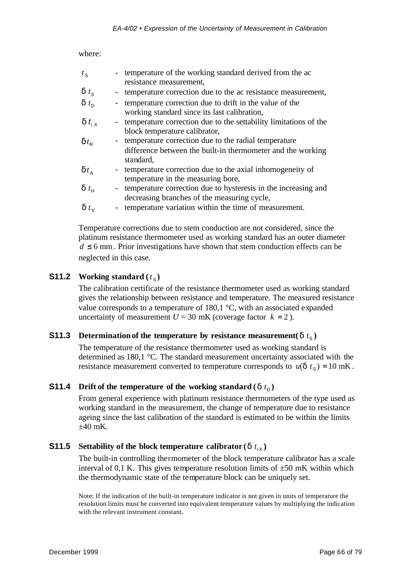where:

| $t_{\rm S}$                     | - temperature of the working standard derived from the ac                                                                        |
|---------------------------------|----------------------------------------------------------------------------------------------------------------------------------|
|                                 | resistance measurement,                                                                                                          |
| $\boldsymbol{d}$ t <sub>s</sub> | temperature correction due to the ac resistance measurement,                                                                     |
| $\boldsymbol{d}$ t <sub>n</sub> | temperature correction due to drift in the value of the<br>working standard since its last calibration,                          |
| d $t_{i \times}$                | temperature correction due to the settability limitations of the<br>block temperature calibrator,                                |
| $\boldsymbol{d}$ t <sub>R</sub> | temperature correction due to the radial temperature<br>difference between the built-in thermometer and the working<br>standard, |
| $\boldsymbol{d}$ t <sub>A</sub> | temperature correction due to the axial inhomogeneity of<br>temperature in the measuring bore,                                   |
| $\boldsymbol{d}$ t <sub>H</sub> | temperature correction due to hysteresis in the increasing and<br>decreasing branches of the measuring cycle,                    |
| $\boldsymbol{d}$ t <sub>v</sub> | temperature variation within the time of measurement.                                                                            |

Temperature corrections due to stem conduction are not considered, since the platinum resistance thermometer used as working standard has an outer diameter  $d \leq 6$  mm. Prior investigations have shown that stem conduction effects can be neglected in this case.

# **S11.2** Working standard  $(t<sub>S</sub>)$

The calibration certificate of the resistance thermometer used as working standard gives the relationship between resistance and temperature. The measured resistance value corresponds to a temperature of 180,1 °C, with an associated expanded uncertainty of measurement  $U = 30$  mK (coverage factor  $k = 2$ ).

# **S11.3 Determination of the temperature by resistance measurement(***d* $t_s$ **)**

The temperature of the resistance thermometer used as working standard is determined as 180,1 °C. The standard measurement uncertainty associated with the resistance measurement converted to temperature corresponds to  $u(\mathbf{d} t_{\rm s}) = 10 \text{ mK}$ .

# **S11.4** Drift of the temperature of the working standard  $(d t_D)$

From general experience with platinum resistance thermometers of the type used as working standard in the measurement, the change of temperature due to resistance ageing since the last calibration of the standard is estimated to be within the limits  $\pm 40$  mK.

# **S11.5** Settability of the block temperature calibrator (*d*  $t_{iX}$ )

The built-in controlling thermometer of the block temperature calibrator has a scale interval of 0,1 K. This gives temperature resolution limits of  $\pm 50$  mK within which the thermodynamic state of the temperature block can be uniquely set.

Note: If the indication of the built-in temperature indicator is not given in units of temperature the resolution limits must be converted into equivalent temperature values by multiplying the indication with the relevant instrument constant.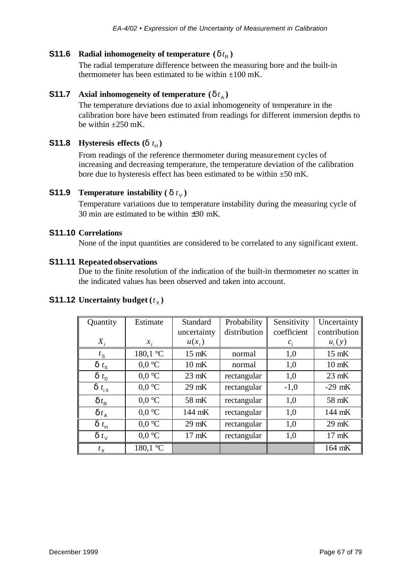#### **S11.6 Radial inhomogeneity of temperature**  $(d t<sub>R</sub>)$

The radial temperature difference between the measuring bore and the built-in thermometer has been estimated to be within  $\pm 100$  mK.

#### **S11.7 Axial inhomogeneity of temperature**  $(d t_{\mu})$

The temperature deviations due to axial inhomogeneity of temperature in the calibration bore have been estimated from readings for different immersion depths to be within  $\pm 250$  mK.

## **S11.8 Hysteresis effects (***d*  $t_H$ )

From readings of the reference thermometer during measurement cycles of increasing and decreasing temperature, the temperature deviation of the calibration bore due to hysteresis effect has been estimated to be within  $\pm 50$  mK.

# **S11.9 Temperature instability** ( $d t<sub>V</sub>$ )

Temperature variations due to temperature instability during the measuring cycle of 30 min are estimated to be within  $\pm 30$  mK.

#### **S11.10 Correlations**

None of the input quantities are considered to be correlated to any significant extent.

#### **S11.11 Repeated observations**

Due to the finite resolution of the indication of the built-in thermometer no scatter in the indicated values has been observed and taken into account.

| Quantity                         | Estimate         | Standard        | Probability  | Sensitivity | Uncertainty     |
|----------------------------------|------------------|-----------------|--------------|-------------|-----------------|
|                                  |                  | uncertainty     | distribution | coefficient | contribution    |
| $X_i$                            | $x_i$            | $u(x_i)$        |              | $c_i$       | $u_i(y)$        |
| $t_{\rm S}$                      | 180,1 °C         | 15 mK           | normal       | 1,0         | 15 mK           |
| $\boldsymbol{d}$ t <sub>s</sub>  | $0.0 \text{ °C}$ | $10$ mK         | normal       | 1,0         | $10$ mK         |
| $\boldsymbol{d}$ t <sub>D</sub>  | $0.0 \degree C$  | $23$ mK         | rectangular  | 1,0         | $23$ mK         |
| $\boldsymbol{d}$ t <sub>iX</sub> | $0.0 \text{ °C}$ | $29$ mK         | rectangular  | $-1,0$      | $-29$ mK        |
| $\boldsymbol{d} t_{\text{R}}$    | $0.0 \degree C$  | 58 mK           | rectangular  | 1,0         | 58 mK           |
| $\boldsymbol{d} t_{A}$           | $0.0 \text{ °C}$ | 144 mK          | rectangular  | 1,0         | 144 mK          |
| $\boldsymbol{d}$ $t_{\rm H}$     | $0.0 \degree C$  | 29 mK           | rectangular  | 1,0         | 29 mK           |
| $\boldsymbol{d}$ t <sub>v</sub>  | $0.0 \text{ °C}$ | $17 \text{ mK}$ | rectangular  | 1,0         | $17 \text{ mK}$ |
| $t_{\rm X}$                      | 180,1 °C         |                 |              |             | 164 mK          |

# **S11.12** Uncertainty budget  $(t_\chi)$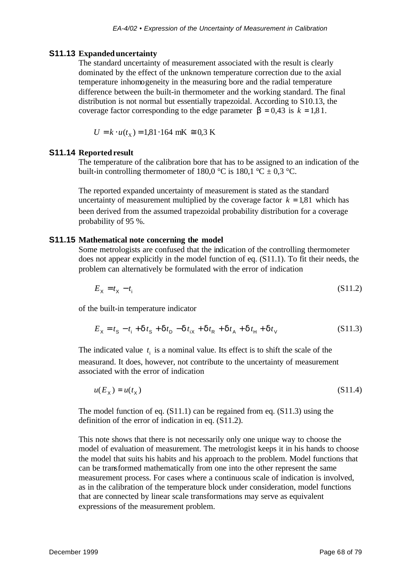#### **S11.13 Expanded uncertainty**

The standard uncertainty of measurement associated with the result is clearly dominated by the effect of the unknown temperature correction due to the axial temperature inhomogeneity in the measuring bore and the radial temperature difference between the built-in thermometer and the working standard. The final distribution is not normal but essentially trapezoidal. According to S10.13, the coverage factor corresponding to the edge parameter  $\mathbf{b} = 0.43$  is  $k = 1.81$ .

$$
U = k \cdot u(t_{\rm X}) = 1.81 \cdot 164 \text{ mK} \approx 0.3 \text{ K}
$$

#### **S11.14 Reported result**

The temperature of the calibration bore that has to be assigned to an indication of the built-in controlling thermometer of 180,0 °C is 180,1 °C  $\pm$  0.3 °C.

The reported expanded uncertainty of measurement is stated as the standard uncertainty of measurement multiplied by the coverage factor  $k = 1.81$  which has been derived from the assumed trapezoidal probability distribution for a coverage probability of 95 %.

#### **S11.15 Mathematical note concerning the model**

Some metrologists are confused that the indication of the controlling thermometer does not appear explicitly in the model function of eq. (S11.1). To fit their needs, the problem can alternatively be formulated with the error of indication

$$
E_{\chi} = t_{\chi} - t_{\rm i} \tag{S11.2}
$$

of the built-in temperature indicator

$$
E_{\rm X} = t_{\rm S} - t_{\rm i} + d t_{\rm S} + d t_{\rm D} - d t_{\rm iX} + d t_{\rm R} + d t_{\rm A} + d t_{\rm H} + d t_{\rm V}
$$
 (S11.3)

The indicated value  $t_i$  is a nominal value. Its effect is to shift the scale of the measurand. It does, however, not contribute to the uncertainty of measurement associated with the error of indication

$$
u(E_x) = u(t_x) \tag{S11.4}
$$

The model function of eq. (S11.1) can be regained from eq. (S11.3) using the definition of the error of indication in eq. (S11.2).

This note shows that there is not necessarily only one unique way to choose the model of evaluation of measurement. The metrologist keeps it in his hands to choose the model that suits his habits and his approach to the problem. Model functions that can be transformed mathematically from one into the other represent the same measurement process. For cases where a continuous scale of indication is involved, as in the calibration of the temperature block under consideration, model functions that are connected by linear scale transformations may serve as equivalent expressions of the measurement problem.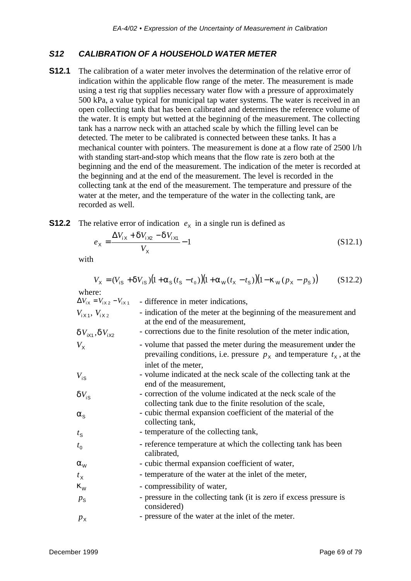#### *S12 CALIBRATION OF A HOUSEHOLD WATER METER*

**S12.1** The calibration of a water meter involves the determination of the relative error of indication within the applicable flow range of the meter. The measurement is made using a test rig that supplies necessary water flow with a pressure of approximately 500 kPa, a value typical for municipal tap water systems. The water is received in an open collecting tank that has been calibrated and determines the reference volume of the water. It is empty but wetted at the beginning of the measurement. The collecting tank has a narrow neck with an attached scale by which the filling level can be detected. The meter to be calibrated is connected between these tanks. It has a mechanical counter with pointers. The measurement is done at a flow rate of 2500 l/h with standing start-and-stop which means that the flow rate is zero both at the beginning and the end of the measurement. The indication of the meter is recorded at the beginning and at the end of the measurement. The level is recorded in the collecting tank at the end of the measurement. The temperature and pressure of the water at the meter, and the temperature of the water in the collecting tank, are recorded as well.

# **S12.2** The relative error of indication  $e_X$  in a single run is defined as

$$
e_{\rm X} = \frac{\Delta V_{\rm iX} + dV_{\rm iX2} - dV_{\rm iX1}}{V_{\rm X}} - 1
$$
\n(S12.1)

with

$$
V_{\rm X} = (V_{\rm iS} + dV_{\rm iS})\big(1 + a_{\rm S}(t_{\rm S} - t_{\rm 0})\big)\big(1 + a_{\rm W}(t_{\rm X} - t_{\rm S})\big)\big(1 - k_{\rm W}(p_{\rm X} - p_{\rm S})\big) \tag{S12.2}
$$

where:

|                                     | $\Delta V_{ix} = V_{ix2} - V_{ix1}$ - difference in meter indications,                                                                                              |
|-------------------------------------|---------------------------------------------------------------------------------------------------------------------------------------------------------------------|
| $V_{1X1}$ , $V_{1X2}$               | - indication of the meter at the beginning of the measurement and<br>at the end of the measurement,                                                                 |
| $dV_{i\times 1}$ , $dV_{i\times 2}$ | - corrections due to the finite resolution of the meter indication,                                                                                                 |
| $V_{\rm x}$                         | - volume that passed the meter during the measurement under the<br>prevailing conditions, i.e. pressure $p_x$ and temperature $t_x$ , at the<br>inlet of the meter, |
| $V_{\text{is}}$                     | - volume indicated at the neck scale of the collecting tank at the<br>end of the measurement,                                                                       |
| $dV_{\rm is}$                       | - correction of the volume indicated at the neck scale of the<br>collecting tank due to the finite resolution of the scale,                                         |
| $a_{\rm s}$                         | - cubic thermal expansion coefficient of the material of the<br>collecting tank,                                                                                    |
| $t_{\rm S}$                         | - temperature of the collecting tank,                                                                                                                               |
| $t_{0}$                             | - reference temperature at which the collecting tank has been<br>calibrated,                                                                                        |
| $\boldsymbol{a}_{\text{W}}$         | - cubic thermal expansion coefficient of water,                                                                                                                     |
| $t_{\rm X}$                         | - temperature of the water at the inlet of the meter,                                                                                                               |
| $\mathbf{k}_{\mathrm{w}}$           | - compressibility of water,                                                                                                                                         |
| $p_{\rm s}$                         | - pressure in the collecting tank (it is zero if excess pressure is<br>considered)                                                                                  |
| $p_{\rm X}$                         | - pressure of the water at the inlet of the meter.                                                                                                                  |
|                                     |                                                                                                                                                                     |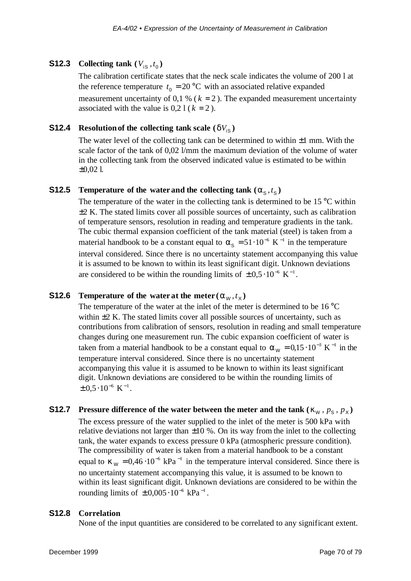# **S12.3** Collecting tank  $(V_{is}, t_0)$

The calibration certificate states that the neck scale indicates the volume of 200 l at the reference temperature  $t_0 = 20$  °C with an associated relative expanded measurement uncertainty of 0,1 % ( $k = 2$ ). The expanded measurement uncertainty associated with the value is  $0,21$  ( $k = 2$ ).

# **S12.4 Resolution of the collecting tank scale**  $(dV_{\text{is}})$

The water level of the collecting tank can be determined to within  $\pm 1$  mm. With the scale factor of the tank of 0,02 l/mm the maximum deviation of the volume of water in the collecting tank from the observed indicated value is estimated to be within  $\pm 0.02$  l.

# **S12.5** Temperature of the water and the collecting tank  $(a_s, t_s)$

The temperature of the water in the collecting tank is determined to be  $15^{\circ}$ C within  $\pm$ 2 K. The stated limits cover all possible sources of uncertainty, such as calibration of temperature sensors, resolution in reading and temperature gradients in the tank. The cubic thermal expansion coefficient of the tank material (steel) is taken from a material handbook to be a constant equal to  $a_{\rm s} = 51 \cdot 10^{-6}$  K<sup>-1</sup> in the temperature interval considered. Since there is no uncertainty statement accompanying this value it is assumed to be known to within its least significant digit. Unknown deviations are considered to be within the rounding limits of  $\pm 0.5 \cdot 10^{-6}$  K<sup>-1</sup>.

# **S12.6** Temperature of the water at the meter  $(a_w, t_x)$

The temperature of the water at the inlet of the meter is determined to be 16 °C within  $\pm 2$  K. The stated limits cover all possible sources of uncertainty, such as contributions from calibration of sensors, resolution in reading and small temperature changes during one measurement run. The cubic expansion coefficient of water is taken from a material handbook to be a constant equal to  $a_w = 0.15 \cdot 10^{-3}$  K<sup>-1</sup> in the temperature interval considered. Since there is no uncertainty statement accompanying this value it is assumed to be known to within its least significant digit. Unknown deviations are considered to be within the rounding limits of  $\pm 0.5 \cdot 10^{-6}$  K<sup>-1</sup>.

# **S12.7** Pressure difference of the water between the meter and the tank  $(\mathbf{k}_W, p_S, p_X)$

The excess pressure of the water supplied to the inlet of the meter is 500 kPa with relative deviations not larger than  $\pm 10$  %. On its way from the inlet to the collecting tank, the water expands to excess pressure 0 kPa (atmospheric pressure condition). The compressibility of water is taken from a material handbook to be a constant equal to  $\mathbf{k}_{\rm W} = 0.46 \cdot 10^{-6} \text{ kPa}^{-1}$  in the temperature interval considered. Since there is no uncertainty statement accompanying this value, it is assumed to be known to within its least significant digit. Unknown deviations are considered to be within the rounding limits of  $\pm 0,005 \cdot 10^{-6}$  kPa<sup>-1</sup>.

#### **S12.8 Correlation**

None of the input quantities are considered to be correlated to any significant extent.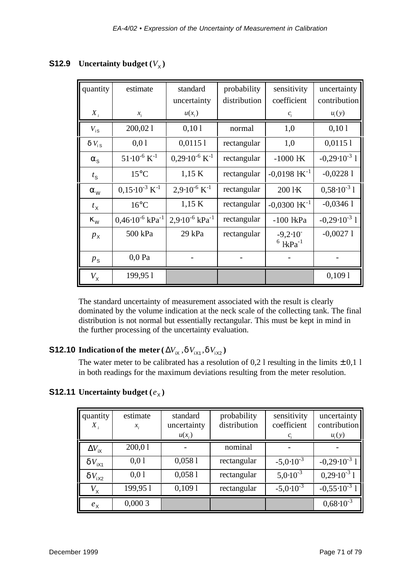| quantity                  | estimate                           | standard                             | probability  | sensitivity                               | uncertainty            |
|---------------------------|------------------------------------|--------------------------------------|--------------|-------------------------------------------|------------------------|
|                           |                                    | uncertainty                          | distribution | coefficient                               | contribution           |
| $X_i$                     | $x_i$                              | $u(x_i)$                             |              | $c_i$                                     | $u_i(y)$               |
| $V_{\text{is}}$           | 200,021                            | 0,101                                | normal       | 1,0                                       | 0,101                  |
| $dV_{\text{is}}$          | 0,01                               | 0,01151                              | rectangular  | 1,0                                       | 0,01151                |
| $a_{\rm s}$               | $51 \cdot 10^{-6}$ K <sup>-1</sup> | $0.29 \cdot 10^{-6}$ K <sup>-1</sup> | rectangular  | $-1000$ $\text{1K}$                       | $-0,29.10^{-3}$ 1      |
| $t_{\rm S}$               | $15^{\circ}$ C                     | 1,15 K                               | rectangular  | $-0,0198$ $\rm kK^{-1}$                   | $-0,02281$             |
| $\mathbf{a}_{\mathrm{w}}$ | $0,15\cdot10^{-3}$ K <sup>-1</sup> | $2,9.10^{-6}$ K <sup>-1</sup>        | rectangular  | 200 l·K                                   | $0,58 \cdot 10^{-3}$ 1 |
| $t_{\rm X}$               | $16^{\circ}$ C                     | 1,15 K                               | rectangular  | $-0,0300$ $\rm kK^{-1}$                   | $-0,03461$             |
| $\mathbf{k}_{\mathrm{w}}$ | $0,46.10^{-6}$ kPa <sup>-1</sup>   | $2,9.10^{-6}$ kPa <sup>-1</sup>      | rectangular  | $-100$ $lkPa$                             | $-0,29.10^{-3}$ 1      |
| $p_{\rm X}$               | 500 kPa                            | 29 kPa                               | rectangular  | $-9,2.10$<br>$6$ l <sub>kPa</sub> $^{-1}$ | $-0,00271$             |
| $p_{\rm s}$               | $0,0$ Pa                           |                                      |              |                                           |                        |
| $V_{\rm X}$               | 199,951                            |                                      |              |                                           | 0,1091                 |

# **S12.9** Uncertainty budget  $(V_\chi)$

The standard uncertainty of measurement associated with the result is clearly dominated by the volume indication at the neck scale of the collecting tank. The final distribution is not normal but essentially rectangular. This must be kept in mind in the further processing of the uncertainty evaluation.

# **S12.10** Indication of the meter ( $\Delta V_{\text{iX}}$  ,  $dV_{\text{iX1}}$  ,  $dV_{\text{iX2}}$ )

The water meter to be calibrated has a resolution of 0,2 l resulting in the limits  $\pm$  0,1 l in both readings for the maximum deviations resulting from the meter resolution.

# **S12.11** Uncertainty budget  $(e_{\chi})$

| quantity<br>$X_{i}$    | estimate<br>$x_i$ | standard<br>uncertainty<br>$u(x_i)$ | probability<br>distribution | sensitivity<br>coefficient<br>$c_{i}$ | uncertainty<br>contribution<br>$u_i(y)$ |
|------------------------|-------------------|-------------------------------------|-----------------------------|---------------------------------------|-----------------------------------------|
| $\Delta V_{\text{IX}}$ | 200,01            |                                     | nominal                     |                                       |                                         |
| $dV_{iX1}$             | 0,01              | 0,0581                              | rectangular                 | $-5,0.10^{-3}$                        | $-0,29.10^{-3}$ 1                       |
| $dV_{iX2}$             | 0,01              | 0,0581                              | rectangular                 | $5,0.10^{-3}$                         | $0.29 \cdot 10^{-3}$ 1                  |
| $V_\mathsf{X}$         | 199,951           | 0,1091                              | rectangular                 | $-5,0.10^{-3}$                        | $-0,55 \cdot 10^{-3}$ 1                 |
| $e_{\rm X}$            | 0,0003            |                                     |                             |                                       | $0,68 \cdot 10^{-3}$                    |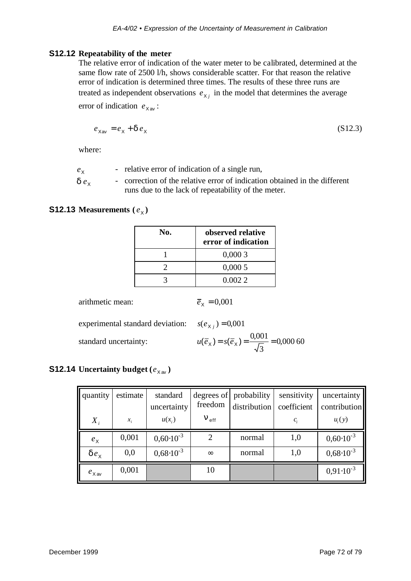#### **S12.12 Repeatability of the meter**

The relative error of indication of the water meter to be calibrated, determined at the same flow rate of 2500 l/h, shows considerable scatter. For that reason the relative error of indication is determined three times. The results of these three runs are treated as independent observations  $e_{x_j}$  in the model that determines the average error of indication  $e_{\text{X av}}$ :

$$
e_{\text{Xav}} = e_{\text{X}} + d e_{\text{X}}
$$
 (S12.3)

where:

 $e_{x}$ *e* - relative error of indication of a single run,

 $d e_x$  - correction of the relative error of indication obtained in the different runs due to the lack of repeatability of the meter.

# **S12.13 Measurements**  $(e_x)$

| No. | observed relative<br>error of indication |
|-----|------------------------------------------|
|     | 0,0003                                   |
|     | 0,0005                                   |
|     | 0.0022                                   |

arithmetic mean:  $\overline{e}_x = 0,001$ 

experimental standard deviation:  $s(e_{X_j}) = 0.001$ 

standard uncertainty:

$$
u(\overline{e}_x) = s(\overline{e}_x) = \frac{0,001}{\sqrt{3}} = 0,00060
$$

# **S12.14 Uncertainty budget**  $(e_{xav})$

| quantity          | estimate | standard<br>uncertainty | freedom                       | degrees of probability<br>distribution | sensitivity<br>coefficient | uncertainty<br>contribution |
|-------------------|----------|-------------------------|-------------------------------|----------------------------------------|----------------------------|-----------------------------|
| $X_i$             | $x_i$    | $u(x_i)$                | $\boldsymbol{n}_{\text{eff}}$ |                                        | $c_i$                      | $u_i(y)$                    |
| $e_{\rm X}$       | 0,001    | $0,60 \cdot 10^{-3}$    |                               | normal                                 | 1,0                        | $0,60 \cdot 10^{-3}$        |
| $de_{x}$          | 0,0      | $0,68 \cdot 10^{-3}$    | $\infty$                      | normal                                 | 1,0                        | $0,68 \cdot 10^{-3}$        |
| $e_{\text{X av}}$ | 0,001    |                         | 10                            |                                        |                            | $0,91 \cdot 10^{-3}$        |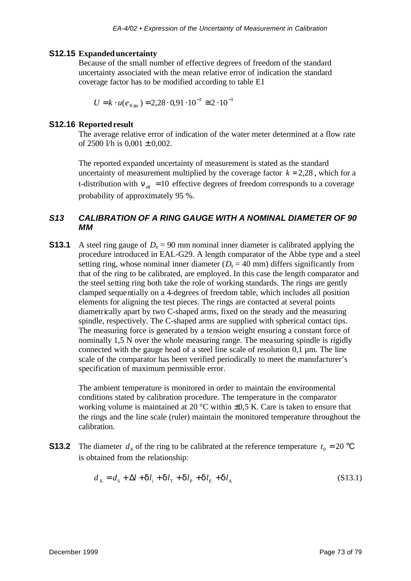#### **S12.15 Expanded uncertainty**

Because of the small number of effective degrees of freedom of the standard uncertainty associated with the mean relative error of indication the standard coverage factor has to be modified according to table E1

$$
U = k \cdot u(e_{\text{Xav}}) = 2,28 \cdot 0,91 \cdot 10^{-3} \approx 2 \cdot 10^{-3}
$$

#### **S12.16 Reported result**

The average relative error of indication of the water meter determined at a flow rate of 2500 l/h is  $0.001 \pm 0.002$ .

The reported expanded uncertainty of measurement is stated as the standard uncertainty of measurement multiplied by the coverage factor  $k = 2.28$ , which for a t-distribution with  $\mathbf{n}_{\text{eff}} = 10$  effective degrees of freedom corresponds to a coverage probability of approximately 95 %.

## *S13 CALIBRATION OF A RING GAUGE WITH A NOMINAL DIAMETER OF 90 MM*

**S13.1** A steel ring gauge of  $D_x = 90$  mm nominal inner diameter is calibrated applying the procedure introduced in EAL-G29. A length comparator of the Abbe type and a steel setting ring, whose nominal inner diameter  $(D_s = 40 \text{ mm})$  differs significantly from that of the ring to be calibrated, are employed. In this case the length comparator and the steel setting ring both take the role of working standards. The rings are gently clamped sequentially on a 4-degrees of freedom table, which includes all position elements for aligning the test pieces. The rings are contacted at several points diametrically apart by two C-shaped arms, fixed on the steady and the measuring spindle, respectively. The C-shaped arms are supplied with spherical contact tips. The measuring force is generated by a tension weight ensuring a constant force of nominally 1,5 N over the whole measuring range. The measuring spindle is rigidly connected with the gauge head of a steel line scale of resolution 0,1 µm. The line scale of the comparator has been verified periodically to meet the manufacturer's specification of maximum permissible error.

The ambient temperature is monitored in order to maintain the environmental conditions stated by calibration procedure. The temperature in the comparator working volume is maintained at 20  $^{\circ}$ C within  $\pm$ 0,5 K. Care is taken to ensure that the rings and the line scale (ruler) maintain the monitored temperature throughout the calibration.

**S13.2** The diameter  $d_x$  of the ring to be calibrated at the reference temperature  $t_0 = 20$  °C is obtained from the relationship:

$$
d_{\mathbf{x}} = d_{\mathbf{s}} + \Delta l + \mathbf{d}l_{\mathbf{i}} + \mathbf{d}l_{\mathbf{T}} + \mathbf{d}l_{\mathbf{p}} + \mathbf{d}l_{\mathbf{g}} + \mathbf{d}l_{\mathbf{A}}
$$
 (S13.1)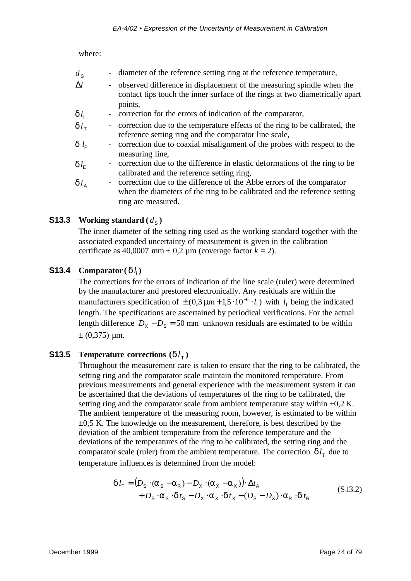where:

| $d_{\rm S}$  | - diameter of the reference setting ring at the reference temperature,                                                                                             |
|--------------|--------------------------------------------------------------------------------------------------------------------------------------------------------------------|
| Al           | - observed difference in displacement of the measuring spindle when the<br>contact tips touch the inner surface of the rings at two diametrically apart<br>points, |
| $dl_i$       | - correction for the errors of indication of the comparator,                                                                                                       |
| $dl_{\tau}$  | - correction due to the temperature effects of the ring to be calibrated, the<br>reference setting ring and the comparator line scale,                             |
| $d_l$        | - correction due to coaxial misalignment of the probes with respect to the<br>measuring line,                                                                      |
| $dl_{\rm E}$ | - correction due to the difference in elastic deformations of the ring to be                                                                                       |

calibrated and the reference setting ring,  $d_l$  - correction due to the difference of the Abbe errors of the comparator when the diameters of the ring to be calibrated and the reference setting ring are measured.

# **S13.3 Working standard**  $(d_s)$

The inner diameter of the setting ring used as the working standard together with the associated expanded uncertainty of measurement is given in the calibration certificate as  $40,0007$  mm  $\pm$  0,2 µm (coverage factor  $k = 2$ ).

# **S13.4 Comparator** ( $d l_i$ )

The corrections for the errors of indication of the line scale (ruler) were determined by the manufacturer and prestored electronically. Any residuals are within the manufacturers specification of  $\pm (0.3 \,\mu m + 1.5 \cdot 10^{-6} \cdot l_i)$  $\pm (0.3 \mu m + 1.5 \cdot 10^{-6} \cdot l_i)$  with  $l_i$  being the indicated length. The specifications are ascertained by periodical verifications. For the actual length difference  $D_X - D_S = 50$  mm unknown residuals are estimated to be within  $\pm$  (0,375) µm.

# **S13.5 Temperature corrections**  $(d l_{\tau})$

Throughout the measurement care is taken to ensure that the ring to be calibrated, the setting ring and the comparator scale maintain the monitored temperature. From previous measurements and general experience with the measurement system it can be ascertained that the deviations of temperatures of the ring to be calibrated, the setting ring and the comparator scale from ambient temperature stay within  $\pm 0.2$  K. The ambient temperature of the measuring room, however, is estimated to be within  $\pm 0.5$  K. The knowledge on the measurement, therefore, is best described by the deviation of the ambient temperature from the reference temperature and the deviations of the temperatures of the ring to be calibrated, the setting ring and the comparator scale (ruler) from the ambient temperature. The correction  $d_l$  due to temperature influences is determined from the model:

$$
\boldsymbol{d} l_{\mathsf{T}} = (D_{\mathsf{S}} \cdot (\boldsymbol{a}_{\mathsf{S}} - \boldsymbol{a}_{\mathsf{R}}) - D_{\mathsf{X}} \cdot (\boldsymbol{a}_{\mathsf{X}} - \boldsymbol{a}_{\mathsf{X}})) \cdot \Delta t_{\mathsf{A}}
$$
\n
$$
+ D_{\mathsf{S}} \cdot \boldsymbol{a}_{\mathsf{S}} \cdot \boldsymbol{d} t_{\mathsf{S}} - D_{\mathsf{X}} \cdot \boldsymbol{a}_{\mathsf{X}} \cdot \boldsymbol{d} t_{\mathsf{X}} - (D_{\mathsf{S}} - D_{\mathsf{X}}) \cdot \boldsymbol{a}_{\mathsf{R}} \cdot \boldsymbol{d} t_{\mathsf{R}}
$$
\n(S13.2)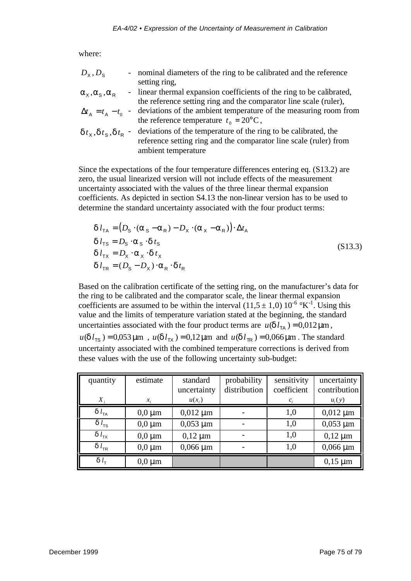where:

| $D_{\rm x}, D_{\rm s}$                            |                          | - nominal diameters of the ring to be calibrated and the reference    |
|---------------------------------------------------|--------------------------|-----------------------------------------------------------------------|
|                                                   |                          | setting ring,                                                         |
| $a_{x}, a_{s}, a_{R}$                             |                          | - linear thermal expansion coefficients of the ring to be calibrated, |
|                                                   |                          | the reference setting ring and the comparator line scale (ruler),     |
| $\Delta t_{\rm A} = t_{\rm A} - t_{\rm 0}$        | $\sim$                   | deviations of the ambient temperature of the measuring room from      |
|                                                   |                          | the reference temperature $t_0 = 20$ °C,                              |
| $dt_{\times}$ , $dt_{\text{s}}$ , $dt_{\text{R}}$ | $\overline{\phantom{a}}$ | deviations of the temperature of the ring to be calibrated, the       |
|                                                   |                          | reference setting ring and the comparator line scale (ruler) from     |
|                                                   |                          | ambient temperature                                                   |

Since the expectations of the four temperature differences entering eq. (S13.2) are zero, the usual linearized version will not include effects of the measurement uncertainty associated with the values of the three linear thermal expansion coefficients. As depicted in section S4.13 the non-linear version has to be used to determine the standard uncertainty associated with the four product terms:

$$
\begin{aligned}\n\mathbf{d} \, l_{\text{TA}} &= \left( D_{\text{S}} \cdot (\mathbf{a}_{\text{S}} - \mathbf{a}_{\text{R}}) - D_{\text{X}} \cdot (\mathbf{a}_{\text{X}} - \mathbf{a}_{\text{R}}) \right) \cdot \Delta t_{\text{A}} \\
\mathbf{d} \, l_{\text{TS}} &= D_{\text{S}} \cdot \mathbf{a}_{\text{S}} \cdot \mathbf{d} \, t_{\text{S}} \\
\mathbf{d} \, l_{\text{TX}} &= D_{\text{X}} \cdot \mathbf{a}_{\text{X}} \cdot \mathbf{d} \, t_{\text{X}} \\
\mathbf{d} \, l_{\text{TR}} &= (D_{\text{S}} - D_{\text{X}}) \cdot \mathbf{a}_{\text{R}} \cdot \mathbf{d} \, t_{\text{R}}\n\end{aligned} \tag{S13.3}
$$

Based on the calibration certificate of the setting ring, on the manufacturer's data for the ring to be calibrated and the comparator scale, the linear thermal expansion coefficients are assumed to be within the interval  $(11.5 \pm 1.0) 10^{-6}$  °K<sup>-1</sup>. Using this value and the limits of temperature variation stated at the beginning, the standard uncertainties associated with the four product terms are  $u(\mathbf{d} l_{\text{TA}}) = 0.012 \,\mu\text{m}$ ,  $u(\mathbf{d} l_{\text{TS}}) = 0.053 \,\mu\text{m}$ ,  $u(\mathbf{d} l_{\text{TX}}) = 0.12 \,\mu\text{m}$  and  $u(\mathbf{d} l_{\text{TR}}) = 0.066 \,\mu\text{m}$ . The standard uncertainty associated with the combined temperature corrections is derived from these values with the use of the following uncertainty sub-budget:

| quantity            | estimate    | standard<br>uncertainty | probability<br>distribution | sensitivity<br>coefficient | uncertainty<br>contribution |
|---------------------|-------------|-------------------------|-----------------------------|----------------------------|-----------------------------|
| $X_i$               | $x_i$       | $u(x_i)$                |                             | $c_i$                      | $u_i(y)$                    |
| $d$ $l_{\text{TA}}$ | $0,0 \mu m$ | $0,012 \mu m$           |                             | 1,0                        | $0,012 \mu m$               |
| $d l_{\text{TS}}$   | $0,0 \mu m$ | $0,053 \mu m$           |                             | 1,0                        | $0,053 \mu m$               |
| $d$ $l_{\rm TX}$    | $0,0 \mu m$ | $0,12 \mu m$            |                             | 1,0                        | $0,12 \mu m$                |
| $d$ $l_{TR}$        | $0,0 \mu m$ | $0,066 \mu m$           |                             | 1,0                        | $0,066 \mu m$               |
| $d_l$               | $0,0 \mu m$ |                         |                             |                            | $0,15 \mu m$                |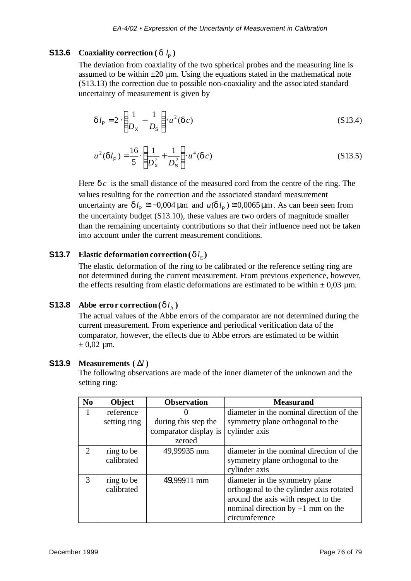# **S13.6** Coaxiality correction ( $d l_p$ )

The deviation from coaxiality of the two spherical probes and the measuring line is assumed to be within  $\pm 20 \mu$ m. Using the equations stated in the mathematical note (S13.13) the correction due to possible non-coaxiality and the associated standard uncertainty of measurement is given by

$$
dl_{\rm P} = 2 \cdot \left(\frac{1}{D_{\rm x}} - \frac{1}{D_{\rm s}}\right) u^2 \left(\frac{d}{c}\right) \tag{S13.4}
$$

$$
u^{2}(\mathbf{d}l_{\mathsf{P}}) = \frac{16}{5} \cdot \left(\frac{1}{D_{\mathsf{X}}^{2}} + \frac{1}{D_{\mathsf{S}}^{2}}\right) \cdot u^{4}(\mathbf{d}c)
$$
 (S13.5)

Here *d c* is the small distance of the measured cord from the centre of the ring. The values resulting for the correction and the associated standard measurement uncertainty are  $d l_{\rm p} \approx -0.004 \,\mu m$  and  $u(d l_{\rm p}) \approx 0.0065 \,\mu m$ . As can been seen from the uncertainty budget (S13.10), these values are two orders of magnitude smaller than the remaining uncertainty contributions so that their influence need not be taken into account under the current measurement conditions.

## **S13.7 Elastic deformation correction (** $d l_{\rm E}$ **)**

The elastic deformation of the ring to be calibrated or the reference setting ring are not determined during the current measurement. From previous experience, however, the effects resulting from elastic deformations are estimated to be within  $\pm 0.03$  µm.

# **S13.8 Abbe error correction** ( $d l_{\text{A}}$ )

The actual values of the Abbe errors of the comparator are not determined during the current measurement. From experience and periodical verification data of the comparator, however, the effects due to Abbe errors are estimated to be within  $± 0,02 \mu m$ .

### **S13.9 Measurements (** Δ*l* **)**

The following observations are made of the inner diameter of the unknown and the setting ring:

| N <sub>0</sub> | Object                   | <b>Observation</b>    | <b>Measurand</b>                                                                                                                                                         |
|----------------|--------------------------|-----------------------|--------------------------------------------------------------------------------------------------------------------------------------------------------------------------|
|                | reference                |                       | diameter in the nominal direction of the                                                                                                                                 |
|                | setting ring             | during this step the  | symmetry plane orthogonal to the                                                                                                                                         |
|                |                          | comparator display is | cylinder axis                                                                                                                                                            |
|                |                          | zeroed                |                                                                                                                                                                          |
| $\overline{2}$ | ring to be<br>calibrated | 49,99935 mm           | diameter in the nominal direction of the<br>symmetry plane orthogonal to the                                                                                             |
|                |                          |                       | cylinder axis                                                                                                                                                            |
| 3              | ring to be<br>calibrated | 49,99911 mm           | diameter in the symmetry plane<br>orthogonal to the cylinder axis rotated<br>around the axis with respect to the<br>nominal direction by $+1$ mm on the<br>circumference |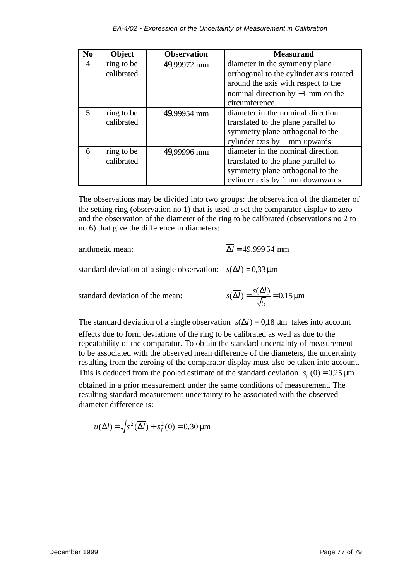| N <sub>0</sub> | <b>Object</b> | <b>Observation</b> | <b>Measurand</b>                                                               |
|----------------|---------------|--------------------|--------------------------------------------------------------------------------|
| 4              | ring to be    | 49,99972 mm        | diameter in the symmetry plane                                                 |
|                | calibrated    |                    | orthogonal to the cylinder axis rotated<br>around the axis with respect to the |
|                |               |                    | nominal direction by $-1$ mm on the<br>circumference.                          |
| $\overline{5}$ | ring to be    | 49,99954 mm        | diameter in the nominal direction                                              |
|                | calibrated    |                    | translated to the plane parallel to                                            |
|                |               |                    | symmetry plane orthogonal to the                                               |
|                |               |                    | cylinder axis by 1 mm upwards                                                  |
| 6              | ring to be    | 49,99996 mm        | diameter in the nominal direction                                              |
|                | calibrated    |                    | translated to the plane parallel to                                            |
|                |               |                    | symmetry plane orthogonal to the                                               |
|                |               |                    | cylinder axis by 1 mm downwards                                                |

The observations may be divided into two groups: the observation of the diameter of the setting ring (observation no 1) that is used to set the comparator display to zero and the observation of the diameter of the ring to be calibrated (observations no 2 to no 6) that give the difference in diameters:

arithmetic mean:  $\overline{\Delta l}$  = 49,999 54 mm

standard deviation of a single observation:  $s(\Delta l) = 0.33 \,\text{\mu m}$ 

standard deviation of the mean: 5  $s(\overline{\Delta l}) = \frac{s(\Delta l)}{\sqrt{2}} = 0.15 \,\mu$ 

The standard deviation of a single observation  $s(\Delta l) = 0.18 \,\mu m$  takes into account effects due to form deviations of the ring to be calibrated as well as due to the repeatability of the comparator. To obtain the standard uncertainty of measurement to be associated with the observed mean difference of the diameters, the uncertainty resulting from the zeroing of the comparator display must also be taken into account. This is deduced from the pooled estimate of the standard deviation  $s_p(0) = 0.25 \,\mu\text{m}$ obtained in a prior measurement under the same conditions of measurement. The resulting standard measurement uncertainty to be associated with the observed diameter difference is:

$$
u(\Delta l) = \sqrt{s^2(\overline{\Delta l}) + s_p^2(0)} = 0,30 \,\mu\text{m}
$$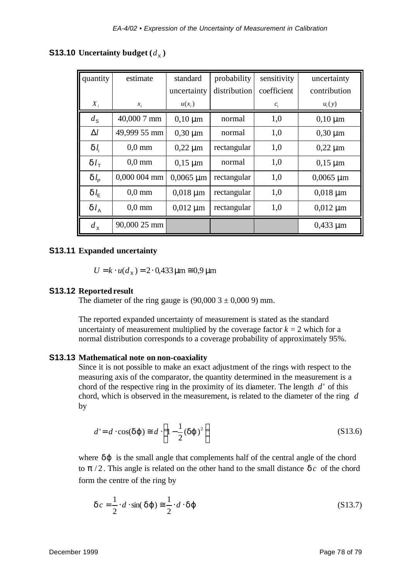# **S13.10** Uncertainty budget  $(d_{\chi})$

| quantity         | estimate         | standard       | probability  | sensitivity | uncertainty    |
|------------------|------------------|----------------|--------------|-------------|----------------|
|                  |                  | uncertainty    | distribution | coefficient | contribution   |
| $X_i$            | $x_i$            | $u(x_i)$       |              | $c_i$       | $u_i(y)$       |
| $d_{\rm S}$      | 40,000 7 mm      | $0,10 \mu m$   | normal       | 1,0         | $0,10 \mu m$   |
| $\Delta l$       | 49,999 55 mm     | $0,30 \mu m$   | normal       | 1,0         | $0,30 \mu m$   |
| $dl_i$           | $0,0$ mm         | $0,22 \mu m$   | rectangular  | 1,0         | $0,22 \mu m$   |
| $dl_{\tau}$      | $0.0 \text{ mm}$ | $0,15 \mu m$   | normal       | 1,0         | $0,15 \mu m$   |
| $dl_{\rm p}$     | 0,000 004 mm     | $0,0065 \mu m$ | rectangular  | 1,0         | $0,0065 \mu m$ |
| $dl_{\rm F}$     | $0.0 \text{ mm}$ | $0,018 \mu m$  | rectangular  | 1,0         | $0,018 \mu m$  |
| $dl_A$           | $0.0 \text{ mm}$ | $0,012 \mu m$  | rectangular  | 1,0         | $0,012 \mu m$  |
| $d_{\mathsf{X}}$ | 90,000 25 mm     |                |              |             | $0,433 \mu m$  |

## **S13.11 Expanded uncertainty**

 $U = k \cdot u(d_{x}) = 2 \cdot 0.433 \,\text{\mu m} \approx 0.9 \,\text{\mu m}$ 

#### **S13.12 Reported result**

The diameter of the ring gauge is  $(90,0003 \pm 0,0009)$  mm.

The reported expanded uncertainty of measurement is stated as the standard uncertainty of measurement multiplied by the coverage factor  $k = 2$  which for a normal distribution corresponds to a coverage probability of approximately 95%.

#### **S13.13 Mathematical note on non-coaxiality**

Since it is not possible to make an exact adjustment of the rings with respect to the measuring axis of the comparator, the quantity determined in the measurement is a chord of the respective ring in the proximity of its diameter. The length *d*' of this chord, which is observed in the measurement, is related to the diameter of the ring *d* by

$$
d' = d \cdot \cos(\boldsymbol{dj}) \equiv d \cdot \left(1 - \frac{1}{2}(\boldsymbol{dj})^2\right)
$$
 (S13.6)

where *d***j** is the small angle that complements half of the central angle of the chord to  $p/2$ . This angle is related on the other hand to the small distance  $\boldsymbol{d}c$  of the chord form the centre of the ring by

$$
\boldsymbol{d}\,c = \frac{1}{2} \cdot d \cdot \sin(\boldsymbol{dj}) \equiv \frac{1}{2} \cdot d \cdot \boldsymbol{dj}
$$
\n(S13.7)